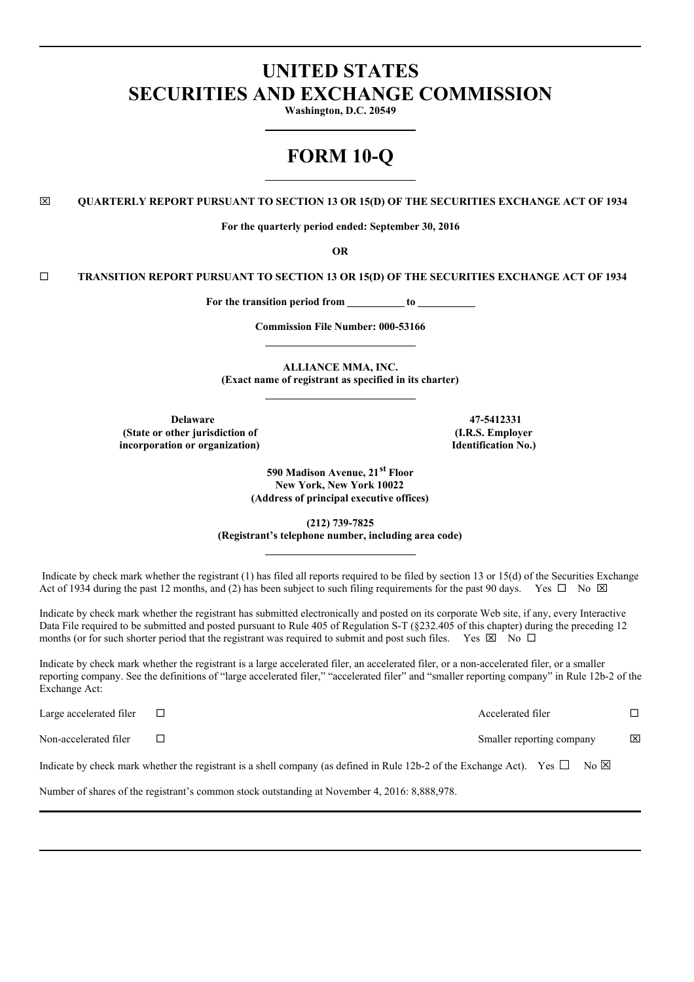# **UNITED STATES SECURITIES AND EXCHANGE COMMISSION**

**Washington, D.C. 20549**

# **FORM 10-Q**

x **QUARTERLY REPORT PURSUANT TO SECTION 13 OR 15(D) OF THE SECURITIES EXCHANGE ACT OF 1934**

**For the quarterly period ended: September 30, 2016**

**OR**

¨ **TRANSITION REPORT PURSUANT TO SECTION 13 OR 15(D) OF THE SECURITIES EXCHANGE ACT OF 1934**

**For the transition period from to**

**Commission File Number: 000-53166**

**ALLIANCE MMA, INC. (Exact name of registrant as specified in its charter)**

**Delaware 47-5412331 (State or other jurisdiction of incorporation or organization)**

**(I.R.S. Employer Identification No.)**

**590 Madison Avenue, 21 st Floor New York, New York 10022 (Address of principal executive offices)**

**(212) 739-7825**

**(Registrant's telephone number, including area code)**

Indicate by check mark whether the registrant (1) has filed all reports required to be filed by section 13 or 15(d) of the Securities Exchange Act of 1934 during the past 12 months, and (2) has been subject to such filing requirements for the past 90 days. Yes  $\Box$  No  $\boxtimes$ 

Indicate by check mark whether the registrant has submitted electronically and posted on its corporate Web site, if any, every Interactive Data File required to be submitted and posted pursuant to Rule 405 of Regulation S-T (§232.405 of this chapter) during the preceding 12 months (or for such shorter period that the registrant was required to submit and post such files. Yes  $\boxtimes$  No  $\Box$ 

Indicate by check mark whether the registrant is a large accelerated filer, an accelerated filer, or a non-accelerated filer, or a smaller reporting company. See the definitions of "large accelerated filer," "accelerated filer" and "smaller reporting company" in Rule 12b-2 of the Exchange Act:

Large accelerated filer  $\Box$ Non-accelerated filer □ □ smaller reporting company **x** Indicate by check mark whether the registrant is a shell company (as defined in Rule 12b-2 of the Exchange Act). Yes  $\Box$  No  $\boxtimes$ Number of shares of the registrant's common stock outstanding at November 4, 2016: 8,888,978.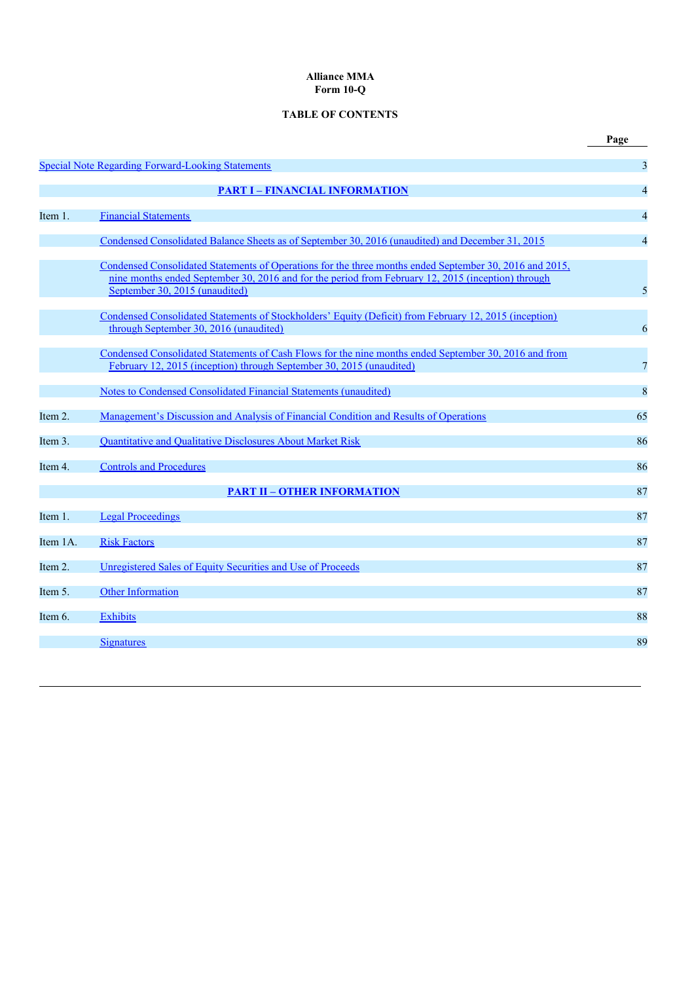### **Alliance MMA Form 10-Q**

## **TABLE OF CONTENTS**

|          |                                                                                                                                                                                                                                                 | Page           |
|----------|-------------------------------------------------------------------------------------------------------------------------------------------------------------------------------------------------------------------------------------------------|----------------|
|          | <b>Special Note Regarding Forward-Looking Statements</b>                                                                                                                                                                                        | 3              |
|          | <b>PART I - FINANCIAL INFORMATION</b>                                                                                                                                                                                                           | $\overline{4}$ |
|          |                                                                                                                                                                                                                                                 |                |
| Item 1.  | <b>Financial Statements</b>                                                                                                                                                                                                                     | 4              |
|          | Condensed Consolidated Balance Sheets as of September 30, 2016 (unaudited) and December 31, 2015                                                                                                                                                | $\overline{4}$ |
|          | Condensed Consolidated Statements of Operations for the three months ended September 30, 2016 and 2015,<br>nine months ended September 30, 2016 and for the period from February 12, 2015 (inception) through<br>September 30, 2015 (unaudited) | 5              |
|          | Condensed Consolidated Statements of Stockholders' Equity (Deficit) from February 12, 2015 (inception)<br>through September 30, 2016 (unaudited)                                                                                                | 6              |
|          | Condensed Consolidated Statements of Cash Flows for the nine months ended September 30, 2016 and from<br>February 12, 2015 (inception) through September 30, 2015 (unaudited)                                                                   | 7              |
|          | Notes to Condensed Consolidated Financial Statements (unaudited)                                                                                                                                                                                | 8              |
| Item 2.  | Management's Discussion and Analysis of Financial Condition and Results of Operations                                                                                                                                                           | 65             |
| Item 3.  | <b>Quantitative and Qualitative Disclosures About Market Risk</b>                                                                                                                                                                               | 86             |
| Item 4.  | <b>Controls and Procedures</b>                                                                                                                                                                                                                  | 86             |
|          | <b>PART II - OTHER INFORMATION</b>                                                                                                                                                                                                              | 87             |
| Item 1.  | <b>Legal Proceedings</b>                                                                                                                                                                                                                        | 87             |
| Item 1A. | <b>Risk Factors</b>                                                                                                                                                                                                                             | 87             |
| Item 2.  | Unregistered Sales of Equity Securities and Use of Proceeds                                                                                                                                                                                     | 87             |
| Item 5.  | <b>Other Information</b>                                                                                                                                                                                                                        | 87             |
| Item 6.  | <b>Exhibits</b>                                                                                                                                                                                                                                 | 88             |
|          | <b>Signatures</b>                                                                                                                                                                                                                               | 89             |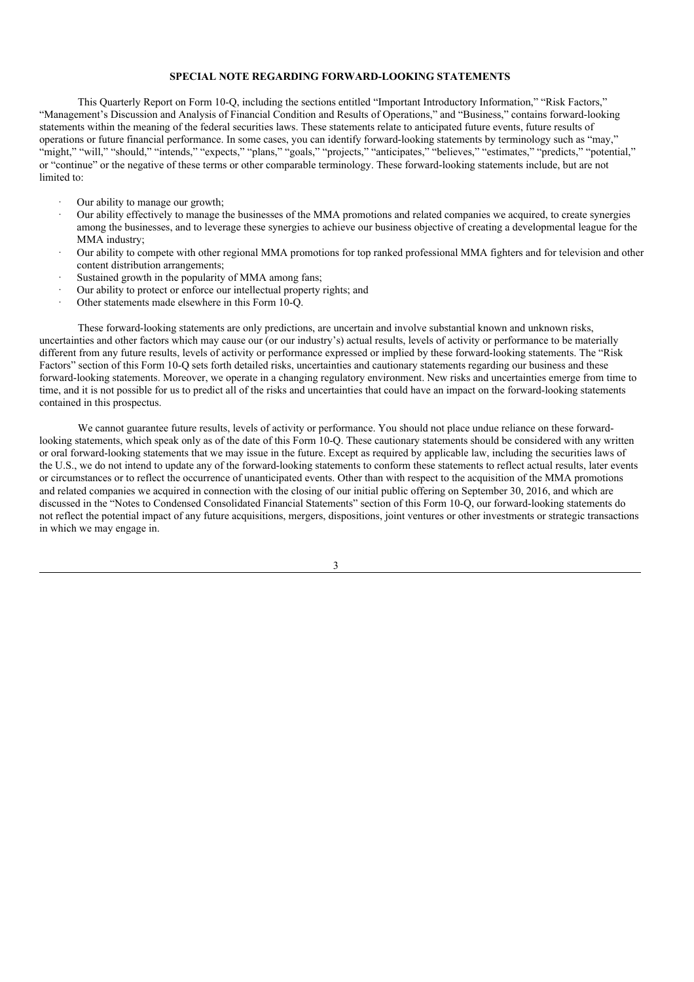### **SPECIAL NOTE REGARDING FORWARD-LOOKING STATEMENTS**

This Quarterly Report on Form 10-Q, including the sections entitled "Important Introductory Information," "Risk Factors," "Management's Discussion and Analysis of Financial Condition and Results of Operations," and "Business," contains forward-looking statements within the meaning of the federal securities laws. These statements relate to anticipated future events, future results of operations or future financial performance. In some cases, you can identify forward-looking statements by terminology such as "may," "might," "will," "should," "intends," "expects," "plans," "goals," "projects," "anticipates," "believes," "estimates," "predicts," "potential," or "continue" or the negative of these terms or other comparable terminology. These forward-looking statements include, but are not limited to:

- Our ability to manage our growth:
- · Our ability effectively to manage the businesses of the MMA promotions and related companies we acquired, to create synergies among the businesses, and to leverage these synergies to achieve our business objective of creating a developmental league for the MMA industry;
- · Our ability to compete with other regional MMA promotions for top ranked professional MMA fighters and for television and other content distribution arrangements;
- Sustained growth in the popularity of MMA among fans;
- Our ability to protect or enforce our intellectual property rights; and
- Other statements made elsewhere in this Form 10-O.

These forward-looking statements are only predictions, are uncertain and involve substantial known and unknown risks, uncertainties and other factors which may cause our (or our industry's) actual results, levels of activity or performance to be materially different from any future results, levels of activity or performance expressed or implied by these forward-looking statements. The "Risk Factors" section of this Form 10-Q sets forth detailed risks, uncertainties and cautionary statements regarding our business and these forward-looking statements. Moreover, we operate in a changing regulatory environment. New risks and uncertainties emerge from time to time, and it is not possible for us to predict all of the risks and uncertainties that could have an impact on the forward-looking statements contained in this prospectus.

We cannot guarantee future results, levels of activity or performance. You should not place undue reliance on these forwardlooking statements, which speak only as of the date of this Form 10-Q. These cautionary statements should be considered with any written or oral forward-looking statements that we may issue in the future. Except as required by applicable law, including the securities laws of the U.S., we do not intend to update any of the forward-looking statements to conform these statements to reflect actual results, later events or circumstances or to reflect the occurrence of unanticipated events. Other than with respect to the acquisition of the MMA promotions and related companies we acquired in connection with the closing of our initial public offering on September 30, 2016, and which are discussed in the "Notes to Condensed Consolidated Financial Statements" section of this Form 10-Q, our forward-looking statements do not reflect the potential impact of any future acquisitions, mergers, dispositions, joint ventures or other investments or strategic transactions in which we may engage in.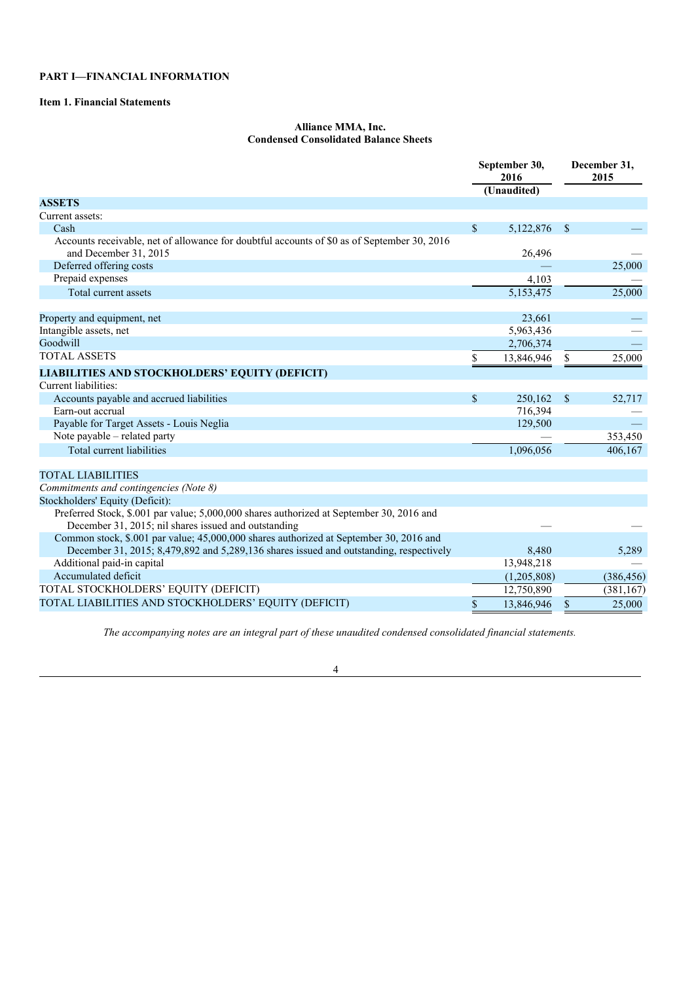### **PART I—FINANCIAL INFORMATION**

### **Item 1. Financial Statements**

### **Alliance MMA, Inc. Condensed Consolidated Balance Sheets**

|                                                                                                                                                  | September 30,<br>2016 |             |              | December 31,<br>2015 |
|--------------------------------------------------------------------------------------------------------------------------------------------------|-----------------------|-------------|--------------|----------------------|
|                                                                                                                                                  |                       | (Unaudited) |              |                      |
| <b>ASSETS</b>                                                                                                                                    |                       |             |              |                      |
| Current assets:                                                                                                                                  |                       |             |              |                      |
| Cash                                                                                                                                             | \$                    | 5,122,876   | \$           |                      |
| Accounts receivable, net of allowance for doubtful accounts of \$0 as of September 30, 2016<br>and December 31, 2015                             |                       | 26,496      |              |                      |
| Deferred offering costs                                                                                                                          |                       |             |              | 25,000               |
| Prepaid expenses                                                                                                                                 |                       | 4.103       |              |                      |
| Total current assets                                                                                                                             |                       | 5,153,475   |              | 25,000               |
| Property and equipment, net                                                                                                                      |                       | 23,661      |              |                      |
| Intangible assets, net                                                                                                                           |                       | 5,963,436   |              |                      |
| Goodwill                                                                                                                                         |                       | 2,706,374   |              |                      |
| <b>TOTAL ASSETS</b>                                                                                                                              | \$                    | 13,846,946  | \$           | 25,000               |
| LIABILITIES AND STOCKHOLDERS' EQUITY (DEFICIT)                                                                                                   |                       |             |              |                      |
| Current liabilities:                                                                                                                             |                       |             |              |                      |
| Accounts payable and accrued liabilities                                                                                                         | $\mathbf S$           | 250,162     | $\mathbf{s}$ | 52,717               |
| Earn-out accrual                                                                                                                                 |                       | 716,394     |              |                      |
| Payable for Target Assets - Louis Neglia                                                                                                         |                       | 129,500     |              |                      |
| Note payable - related party                                                                                                                     |                       |             |              | 353,450              |
| Total current liabilities                                                                                                                        |                       | 1,096,056   |              | 406,167              |
| <b>TOTAL LIABILITIES</b>                                                                                                                         |                       |             |              |                      |
| Commitments and contingencies (Note 8)                                                                                                           |                       |             |              |                      |
| Stockholders' Equity (Deficit):                                                                                                                  |                       |             |              |                      |
| Preferred Stock, \$.001 par value; 5,000,000 shares authorized at September 30, 2016 and<br>December 31, 2015; nil shares issued and outstanding |                       |             |              |                      |
| Common stock, \$.001 par value; 45,000,000 shares authorized at September 30, 2016 and                                                           |                       |             |              |                      |
| December 31, 2015; 8,479,892 and 5,289,136 shares issued and outstanding, respectively                                                           |                       | 8,480       |              | 5,289                |
| Additional paid-in capital                                                                                                                       |                       | 13,948,218  |              |                      |
| Accumulated deficit                                                                                                                              |                       | (1,205,808) |              | (386, 456)           |
| TOTAL STOCKHOLDERS' EQUITY (DEFICIT)                                                                                                             |                       | 12,750,890  |              | (381, 167)           |
| TOTAL LIABILITIES AND STOCKHOLDERS' EQUITY (DEFICIT)                                                                                             | \$                    | 13.846.946  | $\mathbf S$  | 25,000               |

*The accompanying notes are an integral part of these unaudited condensed consolidated financial statements.*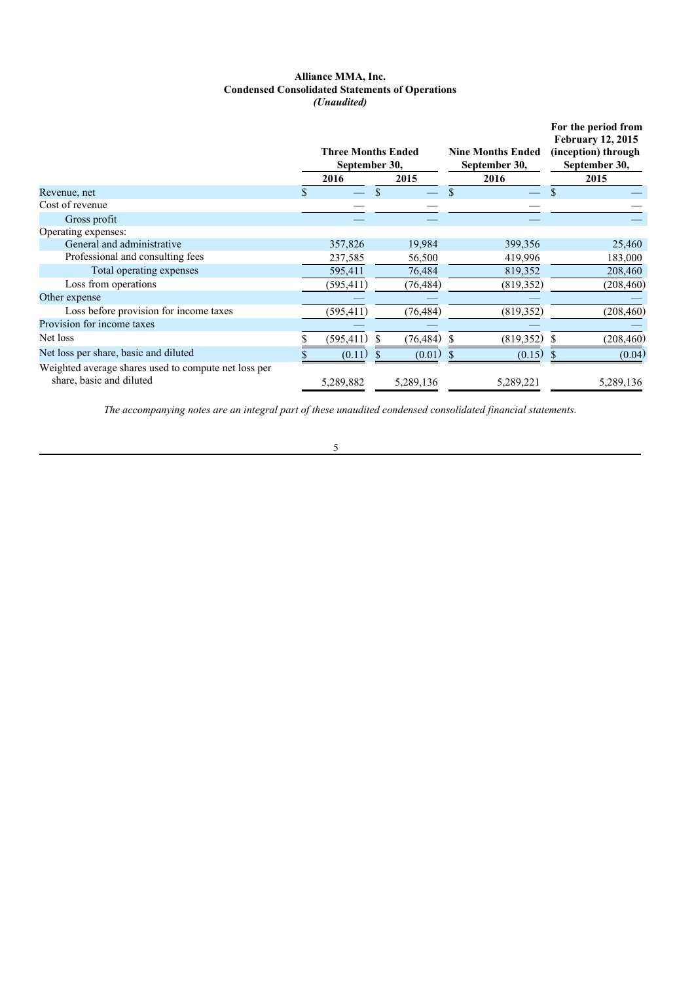### **Alliance MMA, Inc. Condensed Consolidated Statements of Operations** *(Unaudited)*

|                                                                                  | <b>Three Months Ended</b><br>September 30, |               |           |      | <b>Nine Months Ended</b><br>September 30, |      | For the period from<br><b>February 12, 2015</b><br>(inception) through<br>September 30, |
|----------------------------------------------------------------------------------|--------------------------------------------|---------------|-----------|------|-------------------------------------------|------|-----------------------------------------------------------------------------------------|
|                                                                                  | 2016                                       |               | 2015      | 2016 |                                           | 2015 |                                                                                         |
| Revenue, net                                                                     | \$                                         | $\mathbf{\$}$ |           | \$   |                                           | \$.  |                                                                                         |
| Cost of revenue                                                                  |                                            |               |           |      |                                           |      |                                                                                         |
| Gross profit                                                                     |                                            |               |           |      |                                           |      |                                                                                         |
| Operating expenses:                                                              |                                            |               |           |      |                                           |      |                                                                                         |
| General and administrative                                                       | 357,826                                    |               | 19,984    |      | 399,356                                   |      | 25,460                                                                                  |
| Professional and consulting fees                                                 | 237,585                                    |               | 56,500    |      | 419,996                                   |      | 183,000                                                                                 |
| Total operating expenses                                                         | 595,411                                    |               | 76,484    |      | 819,352                                   |      | 208,460                                                                                 |
| Loss from operations                                                             | (595, 411)                                 |               | (76, 484) |      | (819, 352)                                |      | (208,460)                                                                               |
| Other expense                                                                    |                                            |               |           |      |                                           |      |                                                                                         |
| Loss before provision for income taxes                                           | (595, 411)                                 |               | (76, 484) |      | (819, 352)                                |      | (208, 460)                                                                              |
| Provision for income taxes                                                       |                                            |               |           |      |                                           |      |                                                                                         |
| Net loss                                                                         | (595, 411)                                 |               | (76, 484) |      | (819, 352)                                |      | (208, 460)                                                                              |
| Net loss per share, basic and diluted                                            | (0.11)                                     |               | (0.01)    |      | (0.15)                                    |      | (0.04)                                                                                  |
| Weighted average shares used to compute net loss per<br>share, basic and diluted | 5,289,882                                  |               | 5,289,136 |      | 5,289,221                                 |      | 5,289,136                                                                               |

*The accompanying notes are an integral part of these unaudited condensed consolidated financial statements.*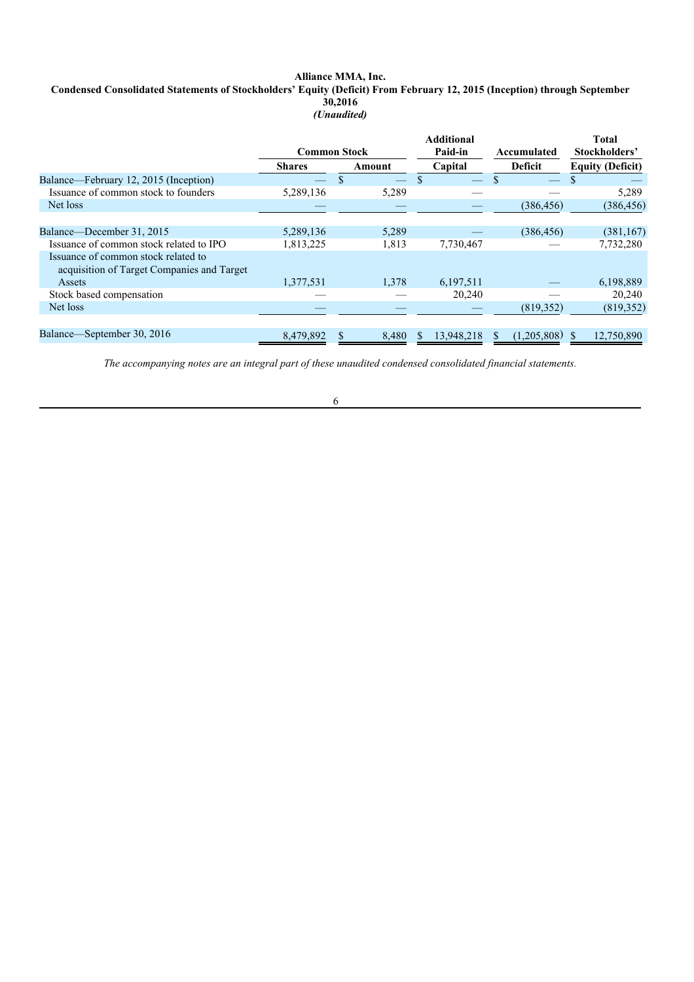### **Alliance MMA, Inc. Condensed Consolidated Statements of Stockholders' Equity (Deficit) From February 12, 2015 (Inception) through September 30,2016** *(Unaudited)*

|                                                                                   |               | <b>Common Stock</b> | <b>Additional</b><br>Paid-in | Accumulated      | Total<br>Stockholders'  |
|-----------------------------------------------------------------------------------|---------------|---------------------|------------------------------|------------------|-------------------------|
|                                                                                   | <b>Shares</b> | Amount              | Capital                      | <b>Deficit</b>   | <b>Equity (Deficit)</b> |
| Balance—February 12, 2015 (Inception)                                             |               |                     |                              |                  |                         |
| Issuance of common stock to founders                                              | 5,289,136     | 5,289               |                              |                  | 5,289                   |
| Net loss                                                                          |               |                     |                              | (386, 456)       | (386, 456)              |
|                                                                                   |               |                     |                              |                  |                         |
| Balance—December 31, 2015                                                         | 5,289,136     | 5,289               |                              | (386, 456)       | (381, 167)              |
| Issuance of common stock related to IPO                                           | 1,813,225     | 1,813               | 7,730,467                    |                  | 7,732,280               |
| Issuance of common stock related to<br>acquisition of Target Companies and Target |               |                     |                              |                  |                         |
| Assets                                                                            | 1,377,531     | 1.378               | 6,197,511                    |                  | 6,198,889               |
| Stock based compensation                                                          |               |                     | 20,240                       |                  | 20,240                  |
| Net loss                                                                          |               |                     |                              | (819, 352)       | (819,352)               |
|                                                                                   |               |                     |                              |                  |                         |
| Balance—September 30, 2016                                                        | 8,479,892     | 8,480               | 13,948,218<br>S.             | $(1,205,808)$ \$ | 12,750,890              |

*The accompanying notes are an integral part of these unaudited condensed consolidated financial statements.*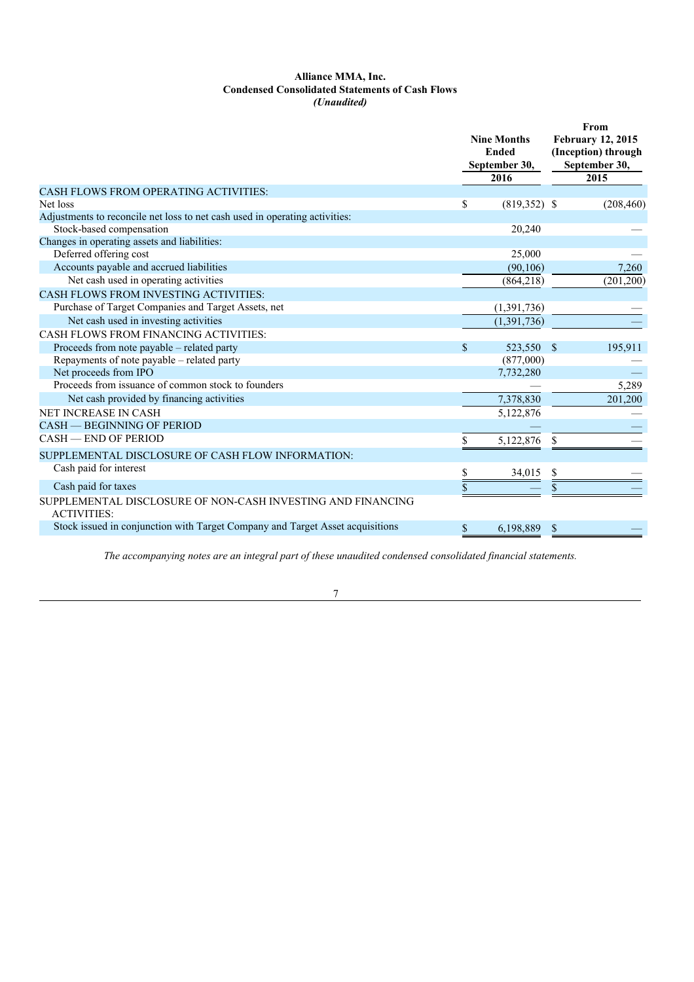### **Alliance MMA, Inc. Condensed Consolidated Statements of Cash Flows** *(Unaudited)*

|                                                                                   |    | <b>Nine Months</b><br><b>Ended</b><br>September 30,<br>2016 | From<br><b>February 12, 2015</b><br>(Inception) through<br>September 30,<br>2015 |            |  |
|-----------------------------------------------------------------------------------|----|-------------------------------------------------------------|----------------------------------------------------------------------------------|------------|--|
| <b>CASH FLOWS FROM OPERATING ACTIVITIES:</b>                                      |    |                                                             |                                                                                  |            |  |
| Net loss                                                                          | \$ | $(819, 352)$ \$                                             |                                                                                  | (208, 460) |  |
| Adjustments to reconcile net loss to net cash used in operating activities:       |    |                                                             |                                                                                  |            |  |
| Stock-based compensation                                                          |    | 20,240                                                      |                                                                                  |            |  |
| Changes in operating assets and liabilities:                                      |    |                                                             |                                                                                  |            |  |
| Deferred offering cost                                                            |    | 25,000                                                      |                                                                                  |            |  |
| Accounts payable and accrued liabilities                                          |    | (90, 106)                                                   |                                                                                  | 7,260      |  |
| Net cash used in operating activities                                             |    | (864, 218)                                                  |                                                                                  | (201, 200) |  |
| <b>CASH FLOWS FROM INVESTING ACTIVITIES:</b>                                      |    |                                                             |                                                                                  |            |  |
| Purchase of Target Companies and Target Assets, net                               |    | (1,391,736)                                                 |                                                                                  |            |  |
| Net cash used in investing activities                                             |    | (1,391,736)                                                 |                                                                                  |            |  |
| CASH FLOWS FROM FINANCING ACTIVITIES:                                             |    |                                                             |                                                                                  |            |  |
| Proceeds from note payable – related party                                        | \$ | 523,550                                                     | -\$                                                                              | 195,911    |  |
| Repayments of note payable - related party                                        |    | (877,000)                                                   |                                                                                  |            |  |
| Net proceeds from IPO                                                             |    | 7,732,280                                                   |                                                                                  |            |  |
| Proceeds from issuance of common stock to founders                                |    |                                                             |                                                                                  | 5,289      |  |
| Net cash provided by financing activities                                         |    | 7,378,830                                                   |                                                                                  | 201,200    |  |
| <b>NET INCREASE IN CASH</b>                                                       |    | 5,122,876                                                   |                                                                                  |            |  |
| <b>CASH — BEGINNING OF PERIOD</b>                                                 |    |                                                             |                                                                                  |            |  |
| CASH - END OF PERIOD                                                              | S  | 5,122,876                                                   | \$                                                                               |            |  |
| SUPPLEMENTAL DISCLOSURE OF CASH FLOW INFORMATION:                                 |    |                                                             |                                                                                  |            |  |
| Cash paid for interest                                                            | \$ | 34,015                                                      | \$                                                                               |            |  |
| Cash paid for taxes                                                               | \$ |                                                             | \$                                                                               |            |  |
| SUPPLEMENTAL DISCLOSURE OF NON-CASH INVESTING AND FINANCING<br><b>ACTIVITIES:</b> |    |                                                             |                                                                                  |            |  |
| Stock issued in conjunction with Target Company and Target Asset acquisitions     | \$ | 6,198,889                                                   | \$                                                                               |            |  |

*The accompanying notes are an integral part of these unaudited condensed consolidated financial statements.*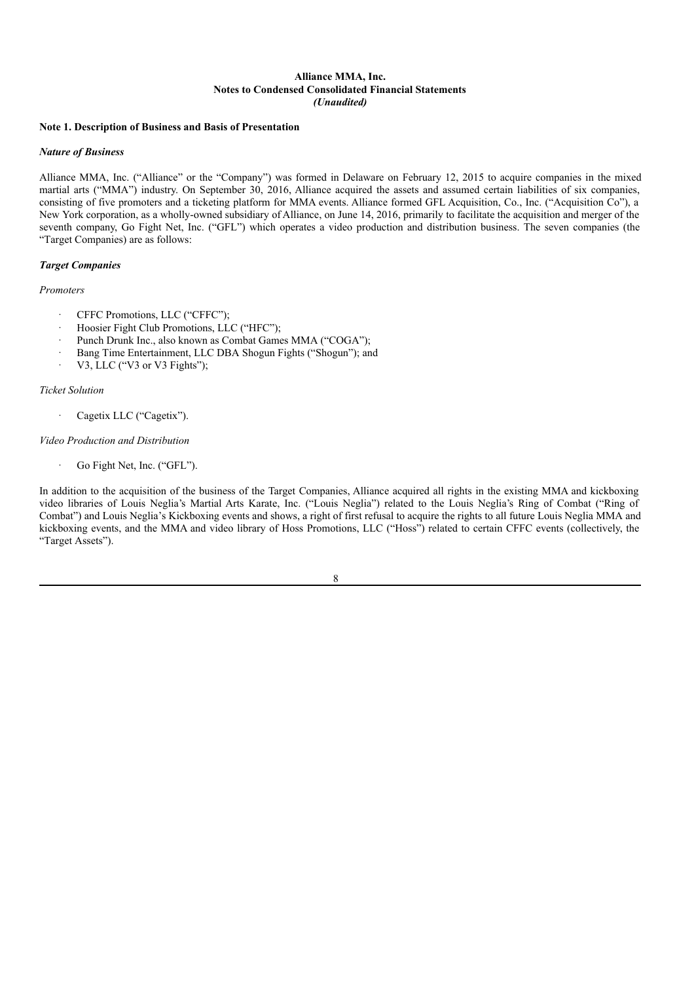### **Alliance MMA, Inc. Notes to Condensed Consolidated Financial Statements** *(Unaudited)*

### **Note 1. Description of Business and Basis of Presentation**

### *Nature of Business*

Alliance MMA, Inc. ("Alliance" or the "Company") was formed in Delaware on February 12, 2015 to acquire companies in the mixed martial arts ("MMA") industry. On September 30, 2016, Alliance acquired the assets and assumed certain liabilities of six companies, consisting of five promoters and a ticketing platform for MMA events. Alliance formed GFL Acquisition, Co., Inc. ("Acquisition Co"), a New York corporation, as a wholly-owned subsidiary of Alliance, on June 14, 2016, primarily to facilitate the acquisition and merger of the seventh company, Go Fight Net, Inc. ("GFL") which operates a video production and distribution business. The seven companies (the "Target Companies) are as follows:

### *Target Companies*

### *Promoters*

- CFFC Promotions, LLC ("CFFC");
- · Hoosier Fight Club Promotions, LLC ("HFC");
- · Punch Drunk Inc., also known as Combat Games MMA ("COGA");
- Bang Time Entertainment, LLC DBA Shogun Fights ("Shogun"); and
- V3, LLC ("V3 or V3 Fights");

### *Ticket Solution*

· Cagetix LLC ("Cagetix").

### *Video Production and Distribution*

· Go Fight Net, Inc. ("GFL").

In addition to the acquisition of the business of the Target Companies, Alliance acquired all rights in the existing MMA and kickboxing video libraries of Louis Neglia's Martial Arts Karate, Inc. ("Louis Neglia") related to the Louis Neglia's Ring of Combat ("Ring of Combat") and Louis Neglia's Kickboxing events and shows, a right of first refusal to acquire the rights to all future Louis Neglia MMA and kickboxing events, and the MMA and video library of Hoss Promotions, LLC ("Hoss") related to certain CFFC events (collectively, the "Target Assets").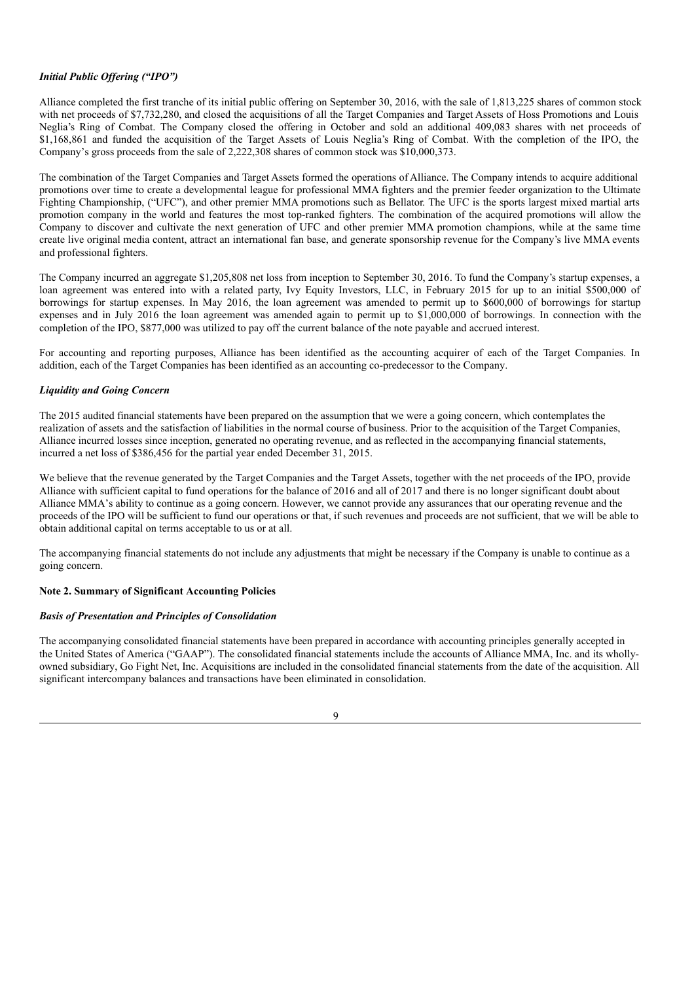### *Initial Public Of ering ("IPO")*

Alliance completed the first tranche of its initial public offering on September 30, 2016, with the sale of 1,813,225 shares of common stock with net proceeds of \$7,732,280, and closed the acquisitions of all the Target Companies and Target Assets of Hoss Promotions and Louis Neglia's Ring of Combat. The Company closed the offering in October and sold an additional 409,083 shares with net proceeds of \$1,168,861 and funded the acquisition of the Target Assets of Louis Neglia's Ring of Combat. With the completion of the IPO, the Company's gross proceeds from the sale of 2,222,308 shares of common stock was \$10,000,373.

The combination of the Target Companies and Target Assets formed the operations of Alliance. The Company intends to acquire additional promotions over time to create a developmental league for professional MMA fighters and the premier feeder organization to the Ultimate Fighting Championship, ("UFC"), and other premier MMA promotions such as Bellator. The UFC is the sports largest mixed martial arts promotion company in the world and features the most top-ranked fighters. The combination of the acquired promotions will allow the Company to discover and cultivate the next generation of UFC and other premier MMA promotion champions, while at the same time create live original media content, attract an international fan base, and generate sponsorship revenue for the Company's live MMA events and professional fighters.

The Company incurred an aggregate \$1,205,808 net loss from inception to September 30, 2016. To fund the Company's startup expenses, a loan agreement was entered into with a related party, Ivy Equity Investors, LLC, in February 2015 for up to an initial \$500,000 of borrowings for startup expenses. In May 2016, the loan agreement was amended to permit up to \$600,000 of borrowings for startup expenses and in July 2016 the loan agreement was amended again to permit up to \$1,000,000 of borrowings. In connection with the completion of the IPO, \$877,000 was utilized to pay off the current balance of the note payable and accrued interest.

For accounting and reporting purposes, Alliance has been identified as the accounting acquirer of each of the Target Companies. In addition, each of the Target Companies has been identified as an accounting co-predecessor to the Company.

### *Liquidity and Going Concern*

The 2015 audited financial statements have been prepared on the assumption that we were a going concern, which contemplates the realization of assets and the satisfaction of liabilities in the normal course of business. Prior to the acquisition of the Target Companies, Alliance incurred losses since inception, generated no operating revenue, and as reflected in the accompanying financial statements, incurred a net loss of \$386,456 for the partial year ended December 31, 2015.

We believe that the revenue generated by the Target Companies and the Target Assets, together with the net proceeds of the IPO, provide Alliance with sufficient capital to fund operations for the balance of 2016 and all of 2017 and there is no longer significant doubt about Alliance MMA's ability to continue as a going concern. However, we cannot provide any assurances that our operating revenue and the proceeds of the IPO will be sufficient to fund our operations or that, if such revenues and proceeds are not sufficient, that we will be able to obtain additional capital on terms acceptable to us or at all.

The accompanying financial statements do not include any adjustments that might be necessary if the Company is unable to continue as a going concern.

### **Note 2. Summary of Significant Accounting Policies**

### *Basis of Presentation and Principles of Consolidation*

The accompanying consolidated financial statements have been prepared in accordance with accounting principles generally accepted in the United States of America ("GAAP"). The consolidated financial statements include the accounts of Alliance MMA, Inc. and its whollyowned subsidiary, Go Fight Net, Inc. Acquisitions are included in the consolidated financial statements from the date of the acquisition. All significant intercompany balances and transactions have been eliminated in consolidation.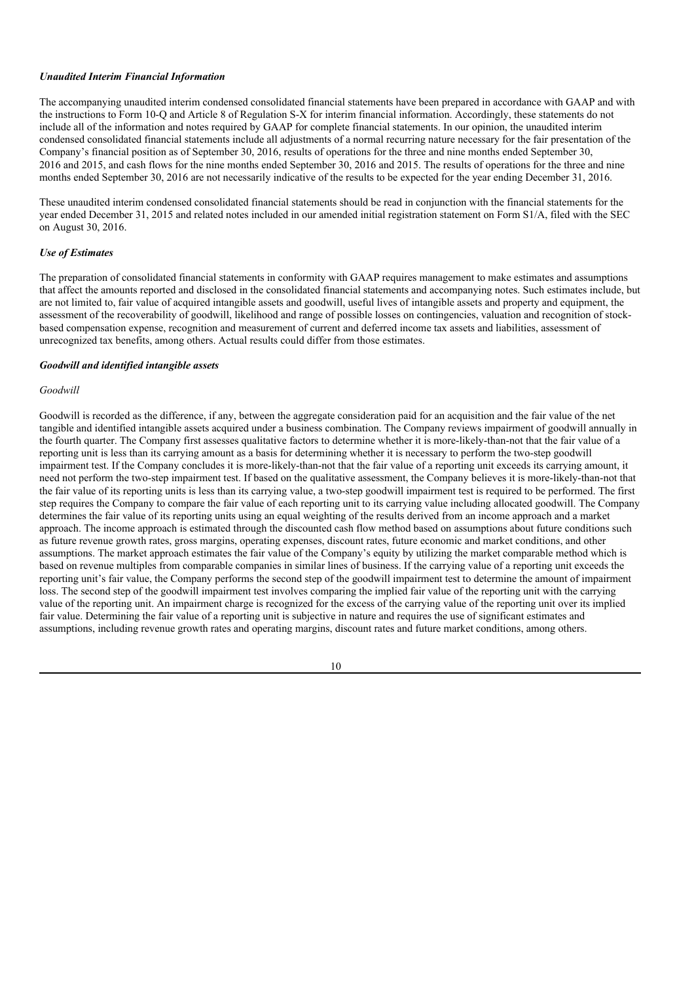### *Unaudited Interim Financial Information*

The accompanying unaudited interim condensed consolidated financial statements have been prepared in accordance with GAAP and with the instructions to Form 10-Q and Article 8 of Regulation S-X for interim financial information. Accordingly, these statements do not include all of the information and notes required by GAAP for complete financial statements. In our opinion, the unaudited interim condensed consolidated financial statements include all adjustments of a normal recurring nature necessary for the fair presentation of the Company's financial position as of September 30, 2016, results of operations for the three and nine months ended September 30, 2016 and 2015, and cash flows for the nine months ended September 30, 2016 and 2015. The results of operations for the three and nine months ended September 30, 2016 are not necessarily indicative of the results to be expected for the year ending December 31, 2016.

These unaudited interim condensed consolidated financial statements should be read in conjunction with the financial statements for the year ended December 31, 2015 and related notes included in our amended initial registration statement on Form S1/A, filed with the SEC on August 30, 2016.

### *Use of Estimates*

The preparation of consolidated financial statements in conformity with GAAP requires management to make estimates and assumptions that affect the amounts reported and disclosed in the consolidated financial statements and accompanying notes. Such estimates include, but are not limited to, fair value of acquired intangible assets and goodwill, useful lives of intangible assets and property and equipment, the assessment of the recoverability of goodwill, likelihood and range of possible losses on contingencies, valuation and recognition of stockbased compensation expense, recognition and measurement of current and deferred income tax assets and liabilities, assessment of unrecognized tax benefits, among others. Actual results could differ from those estimates.

### *Goodwill and identified intangible assets*

### *Goodwill*

Goodwill is recorded as the difference, if any, between the aggregate consideration paid for an acquisition and the fair value of the net tangible and identified intangible assets acquired under a business combination. The Company reviews impairment of goodwill annually in the fourth quarter. The Company first assesses qualitative factors to determine whether it is more-likely-than-not that the fair value of a reporting unit is less than its carrying amount as a basis for determining whether it is necessary to perform the two-step goodwill impairment test. If the Company concludes it is more-likely-than-not that the fair value of a reporting unit exceeds its carrying amount, it need not perform the two-step impairment test. If based on the qualitative assessment, the Company believes it is more-likely-than-not that the fair value of its reporting units is less than its carrying value, a two-step goodwill impairment test is required to be performed. The first step requires the Company to compare the fair value of each reporting unit to its carrying value including allocated goodwill. The Company determines the fair value of its reporting units using an equal weighting of the results derived from an income approach and a market approach. The income approach is estimated through the discounted cash flow method based on assumptions about future conditions such as future revenue growth rates, gross margins, operating expenses, discount rates, future economic and market conditions, and other assumptions. The market approach estimates the fair value of the Company's equity by utilizing the market comparable method which is based on revenue multiples from comparable companies in similar lines of business. If the carrying value of a reporting unit exceeds the reporting unit's fair value, the Company performs the second step of the goodwill impairment test to determine the amount of impairment loss. The second step of the goodwill impairment test involves comparing the implied fair value of the reporting unit with the carrying value of the reporting unit. An impairment charge is recognized for the excess of the carrying value of the reporting unit over its implied fair value. Determining the fair value of a reporting unit is subjective in nature and requires the use of significant estimates and assumptions, including revenue growth rates and operating margins, discount rates and future market conditions, among others.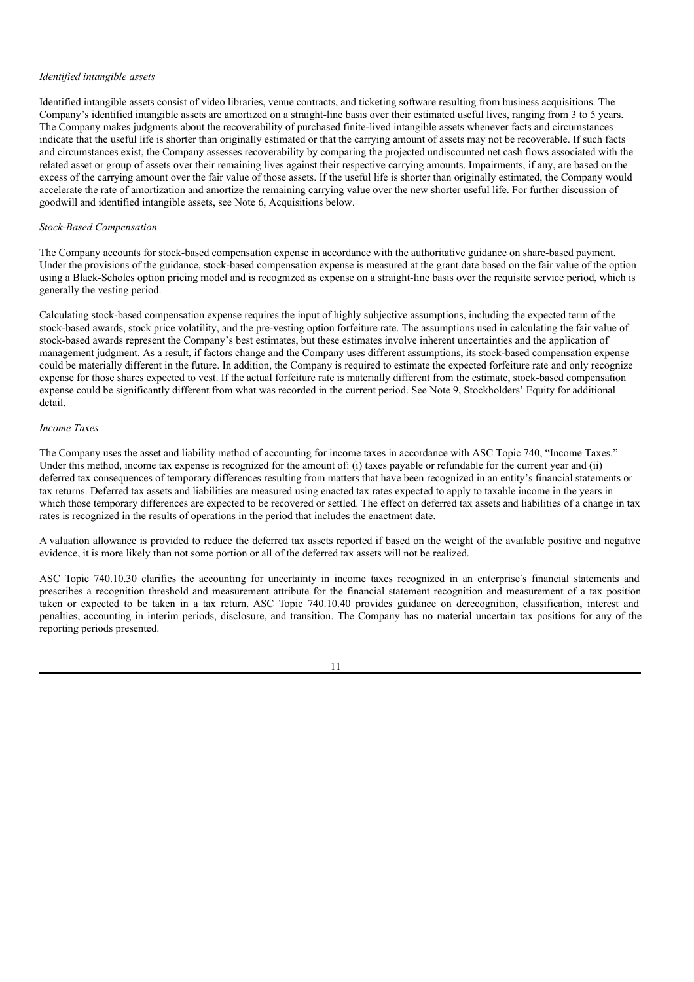### *Identified intangible assets*

Identified intangible assets consist of video libraries, venue contracts, and ticketing software resulting from business acquisitions. The Company's identified intangible assets are amortized on a straight-line basis over their estimated useful lives, ranging from 3 to 5 years. The Company makes judgments about the recoverability of purchased finite-lived intangible assets whenever facts and circumstances indicate that the useful life is shorter than originally estimated or that the carrying amount of assets may not be recoverable. If such facts and circumstances exist, the Company assesses recoverability by comparing the projected undiscounted net cash flows associated with the related asset or group of assets over their remaining lives against their respective carrying amounts. Impairments, if any, are based on the excess of the carrying amount over the fair value of those assets. If the useful life is shorter than originally estimated, the Company would accelerate the rate of amortization and amortize the remaining carrying value over the new shorter useful life. For further discussion of goodwill and identified intangible assets, see Note 6, Acquisitions below.

### *Stock-Based Compensation*

The Company accounts for stock-based compensation expense in accordance with the authoritative guidance on share-based payment. Under the provisions of the guidance, stock-based compensation expense is measured at the grant date based on the fair value of the option using a Black-Scholes option pricing model and is recognized as expense on a straight-line basis over the requisite service period, which is generally the vesting period.

Calculating stock-based compensation expense requires the input of highly subjective assumptions, including the expected term of the stock-based awards, stock price volatility, and the pre-vesting option forfeiture rate. The assumptions used in calculating the fair value of stock-based awards represent the Company's best estimates, but these estimates involve inherent uncertainties and the application of management judgment. As a result, if factors change and the Company uses different assumptions, its stock-based compensation expense could be materially different in the future. In addition, the Company is required to estimate the expected forfeiture rate and only recognize expense for those shares expected to vest. If the actual forfeiture rate is materially different from the estimate, stock-based compensation expense could be significantly different from what was recorded in the current period. See Note 9, Stockholders' Equity for additional detail.

### *Income Taxes*

The Company uses the asset and liability method of accounting for income taxes in accordance with ASC Topic 740, "Income Taxes." Under this method, income tax expense is recognized for the amount of: (i) taxes payable or refundable for the current year and (ii) deferred tax consequences of temporary differences resulting from matters that have been recognized in an entity's financial statements or tax returns. Deferred tax assets and liabilities are measured using enacted tax rates expected to apply to taxable income in the years in which those temporary differences are expected to be recovered or settled. The effect on deferred tax assets and liabilities of a change in tax rates is recognized in the results of operations in the period that includes the enactment date.

A valuation allowance is provided to reduce the deferred tax assets reported if based on the weight of the available positive and negative evidence, it is more likely than not some portion or all of the deferred tax assets will not be realized.

ASC Topic 740.10.30 clarifies the accounting for uncertainty in income taxes recognized in an enterprise's financial statements and prescribes a recognition threshold and measurement attribute for the financial statement recognition and measurement of a tax position taken or expected to be taken in a tax return. ASC Topic 740.10.40 provides guidance on derecognition, classification, interest and penalties, accounting in interim periods, disclosure, and transition. The Company has no material uncertain tax positions for any of the reporting periods presented.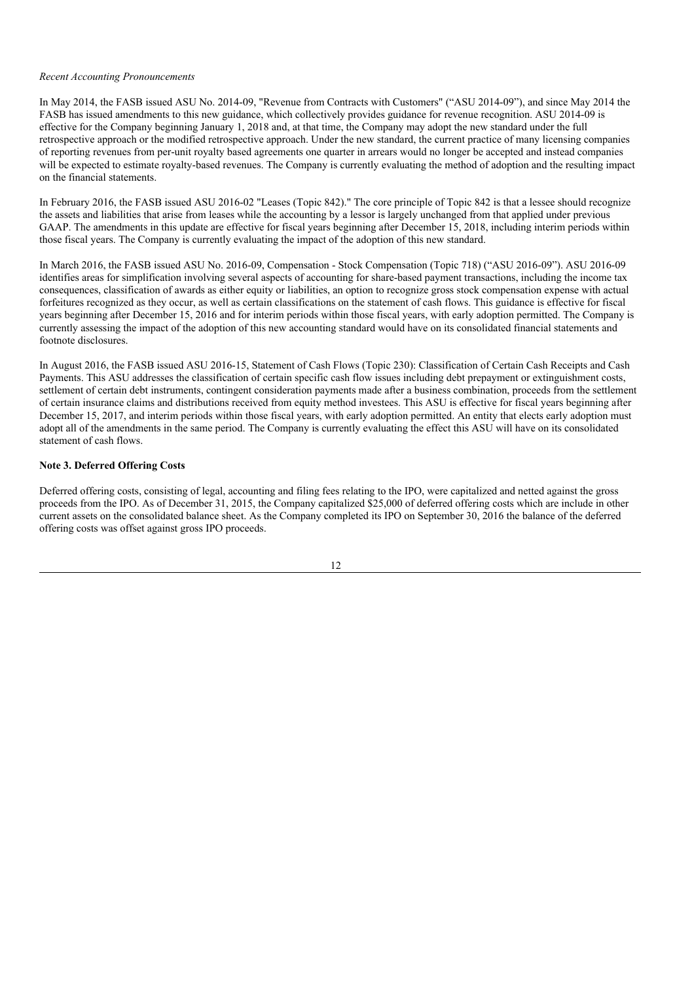### *Recent Accounting Pronouncements*

In May 2014, the FASB issued ASU No. 2014-09, "Revenue from Contracts with Customers" ("ASU 2014-09"), and since May 2014 the FASB has issued amendments to this new guidance, which collectively provides guidance for revenue recognition. ASU 2014-09 is effective for the Company beginning January 1, 2018 and, at that time, the Company may adopt the new standard under the full retrospective approach or the modified retrospective approach. Under the new standard, the current practice of many licensing companies of reporting revenues from per-unit royalty based agreements one quarter in arrears would no longer be accepted and instead companies will be expected to estimate royalty-based revenues. The Company is currently evaluating the method of adoption and the resulting impact on the financial statements.

In February 2016, the FASB issued ASU 2016-02 "Leases (Topic 842)." The core principle of Topic 842 is that a lessee should recognize the assets and liabilities that arise from leases while the accounting by a lessor is largely unchanged from that applied under previous GAAP. The amendments in this update are effective for fiscal years beginning after December 15, 2018, including interim periods within those fiscal years. The Company is currently evaluating the impact of the adoption of this new standard.

In March 2016, the FASB issued ASU No. 2016-09, Compensation - Stock Compensation (Topic 718) ("ASU 2016-09"). ASU 2016-09 identifies areas for simplification involving several aspects of accounting for share-based payment transactions, including the income tax consequences, classification of awards as either equity or liabilities, an option to recognize gross stock compensation expense with actual forfeitures recognized as they occur, as well as certain classifications on the statement of cash flows. This guidance is effective for fiscal years beginning after December 15, 2016 and for interim periods within those fiscal years, with early adoption permitted. The Company is currently assessing the impact of the adoption of this new accounting standard would have on its consolidated financial statements and footnote disclosures.

In August 2016, the FASB issued ASU 2016-15, Statement of Cash Flows (Topic 230): Classification of Certain Cash Receipts and Cash Payments. This ASU addresses the classification of certain specific cash flow issues including debt prepayment or extinguishment costs, settlement of certain debt instruments, contingent consideration payments made after a business combination, proceeds from the settlement of certain insurance claims and distributions received from equity method investees. This ASU is effective for fiscal years beginning after December 15, 2017, and interim periods within those fiscal years, with early adoption permitted. An entity that elects early adoption must adopt all of the amendments in the same period. The Company is currently evaluating the effect this ASU will have on its consolidated statement of cash flows.

### **Note 3. Deferred Offering Costs**

Deferred offering costs, consisting of legal, accounting and filing fees relating to the IPO, were capitalized and netted against the gross proceeds from the IPO. As of December 31, 2015, the Company capitalized \$25,000 of deferred offering costs which are include in other current assets on the consolidated balance sheet. As the Company completed its IPO on September 30, 2016 the balance of the deferred offering costs was offset against gross IPO proceeds.

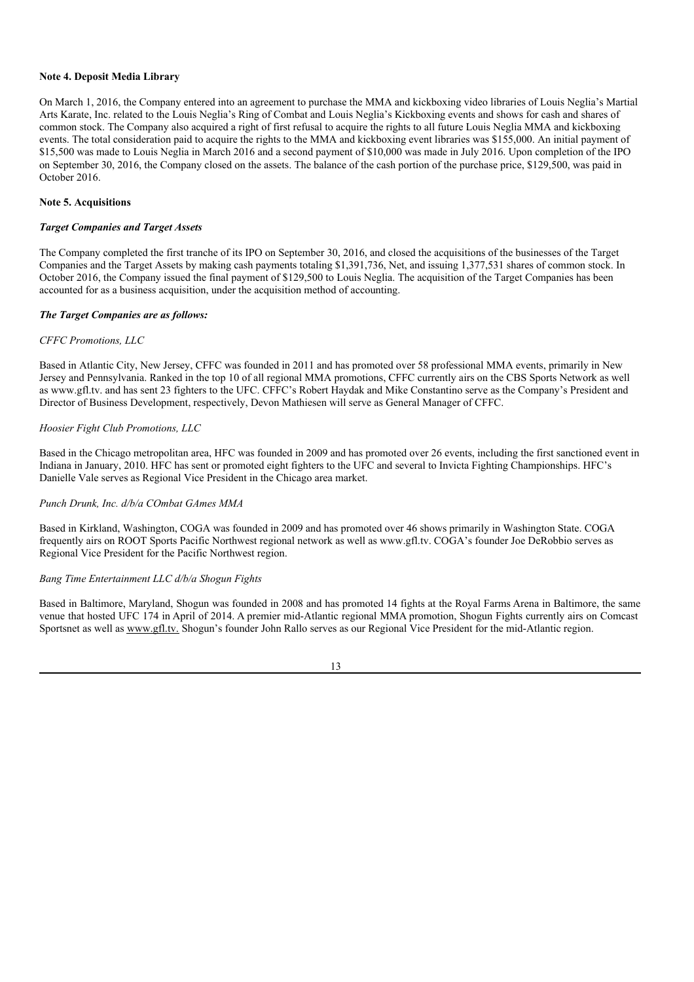### **Note 4. Deposit Media Library**

On March 1, 2016, the Company entered into an agreement to purchase the MMA and kickboxing video libraries of Louis Neglia's Martial Arts Karate, Inc. related to the Louis Neglia's Ring of Combat and Louis Neglia's Kickboxing events and shows for cash and shares of common stock. The Company also acquired a right of first refusal to acquire the rights to all future Louis Neglia MMA and kickboxing events. The total consideration paid to acquire the rights to the MMA and kickboxing event libraries was \$155,000. An initial payment of \$15,500 was made to Louis Neglia in March 2016 and a second payment of \$10,000 was made in July 2016. Upon completion of the IPO on September 30, 2016, the Company closed on the assets. The balance of the cash portion of the purchase price, \$129,500, was paid in October 2016.

### **Note 5. Acquisitions**

### *Target Companies and Target Assets*

The Company completed the first tranche of its IPO on September 30, 2016, and closed the acquisitions of the businesses of the Target Companies and the Target Assets by making cash payments totaling \$1,391,736, Net, and issuing 1,377,531 shares of common stock. In October 2016, the Company issued the final payment of \$129,500 to Louis Neglia. The acquisition of the Target Companies has been accounted for as a business acquisition, under the acquisition method of accounting.

### *The Target Companies are as follows:*

### *CFFC Promotions, LLC*

Based in Atlantic City, New Jersey, CFFC was founded in 2011 and has promoted over 58 professional MMA events, primarily in New Jersey and Pennsylvania. Ranked in the top 10 of all regional MMA promotions, CFFC currently airs on the CBS Sports Network as well as www.gfl.tv. and has sent 23 fighters to the UFC. CFFC's Robert Haydak and Mike Constantino serve as the Company's President and Director of Business Development, respectively, Devon Mathiesen will serve as General Manager of CFFC.

### *Hoosier Fight Club Promotions, LLC*

Based in the Chicago metropolitan area, HFC was founded in 2009 and has promoted over 26 events, including the first sanctioned event in Indiana in January, 2010. HFC has sent or promoted eight fighters to the UFC and several to Invicta Fighting Championships. HFC's Danielle Vale serves as Regional Vice President in the Chicago area market.

### *Punch Drunk, Inc. d/b/a COmbat GAmes MMA*

Based in Kirkland, Washington, COGA was founded in 2009 and has promoted over 46 shows primarily in Washington State. COGA frequently airs on ROOT Sports Pacific Northwest regional network as well as www.gfl.tv. COGA's founder Joe DeRobbio serves as Regional Vice President for the Pacific Northwest region.

### *Bang Time Entertainment LLC d/b/a Shogun Fights*

Based in Baltimore, Maryland, Shogun was founded in 2008 and has promoted 14 fights at the Royal Farms Arena in Baltimore, the same venue that hosted UFC 174 in April of 2014. A premier mid-Atlantic regional MMA promotion, Shogun Fights currently airs on Comcast Sportsnet as well as www.gfl.tv. Shogun's founder John Rallo serves as our Regional Vice President for the mid-Atlantic region.

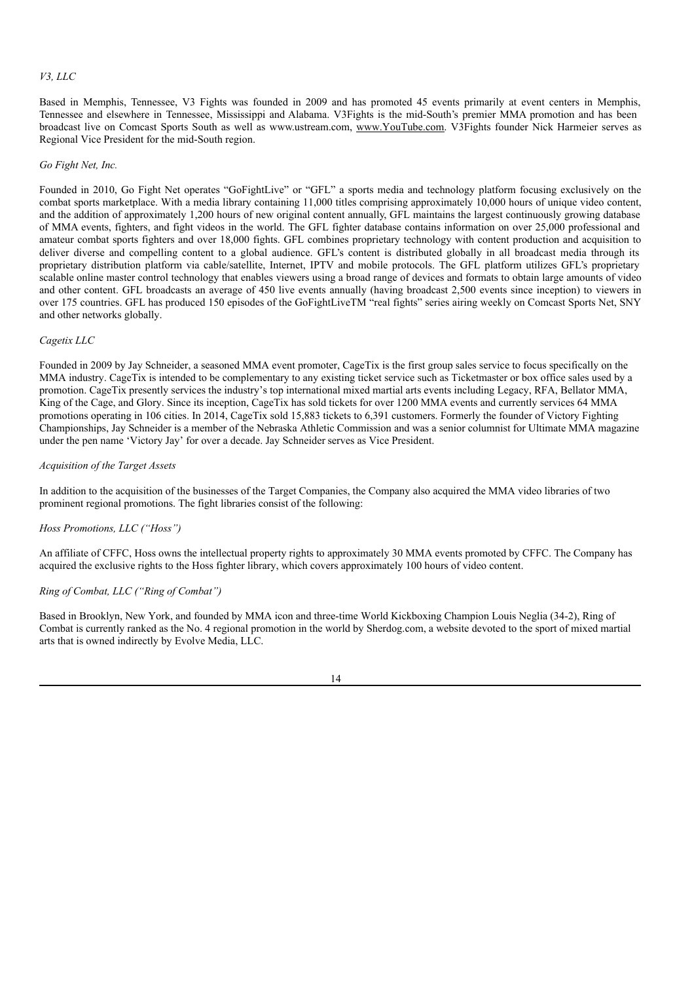### *V3, LLC*

Based in Memphis, Tennessee, V3 Fights was founded in 2009 and has promoted 45 events primarily at event centers in Memphis, Tennessee and elsewhere in Tennessee, Mississippi and Alabama. V3Fights is the mid-South's premier MMA promotion and has been broadcast live on Comcast Sports South as well as www.ustream.com, www.YouTube.com. V3Fights founder Nick Harmeier serves as Regional Vice President for the mid-South region.

### *Go Fight Net, Inc.*

Founded in 2010, Go Fight Net operates "GoFightLive" or "GFL" a sports media and technology platform focusing exclusively on the combat sports marketplace. With a media library containing 11,000 titles comprising approximately 10,000 hours of unique video content, and the addition of approximately 1,200 hours of new original content annually, GFL maintains the largest continuously growing database of MMA events, fighters, and fight videos in the world. The GFL fighter database contains information on over 25,000 professional and amateur combat sports fighters and over 18,000 fights. GFL combines proprietary technology with content production and acquisition to deliver diverse and compelling content to a global audience. GFL's content is distributed globally in all broadcast media through its proprietary distribution platform via cable/satellite, Internet, IPTV and mobile protocols. The GFL platform utilizes GFL's proprietary scalable online master control technology that enables viewers using a broad range of devices and formats to obtain large amounts of video and other content. GFL broadcasts an average of 450 live events annually (having broadcast 2,500 events since inception) to viewers in over 175 countries. GFL has produced 150 episodes of the GoFightLiveTM "real fights" series airing weekly on Comcast Sports Net, SNY and other networks globally.

### *Cagetix LLC*

Founded in 2009 by Jay Schneider, a seasoned MMA event promoter, CageTix is the first group sales service to focus specifically on the MMA industry. CageTix is intended to be complementary to any existing ticket service such as Ticketmaster or box office sales used by a promotion. CageTix presently services the industry's top international mixed martial arts events including Legacy, RFA, Bellator MMA, King of the Cage, and Glory. Since its inception, CageTix has sold tickets for over 1200 MMA events and currently services 64 MMA promotions operating in 106 cities. In 2014, CageTix sold 15,883 tickets to 6,391 customers. Formerly the founder of Victory Fighting Championships, Jay Schneider is a member of the Nebraska Athletic Commission and was a senior columnist for Ultimate MMA magazine under the pen name 'Victory Jay' for over a decade. Jay Schneider serves as Vice President.

### *Acquisition of the Target Assets*

In addition to the acquisition of the businesses of the Target Companies, the Company also acquired the MMA video libraries of two prominent regional promotions. The fight libraries consist of the following:

### *Hoss Promotions, LLC ("Hoss")*

An affiliate of CFFC, Hoss owns the intellectual property rights to approximately 30 MMA events promoted by CFFC. The Company has acquired the exclusive rights to the Hoss fighter library, which covers approximately 100 hours of video content.

### *Ring of Combat, LLC ("Ring of Combat")*

Based in Brooklyn, New York, and founded by MMA icon and three-time World Kickboxing Champion Louis Neglia (34-2), Ring of Combat is currently ranked as the No. 4 regional promotion in the world by Sherdog.com, a website devoted to the sport of mixed martial arts that is owned indirectly by Evolve Media, LLC.

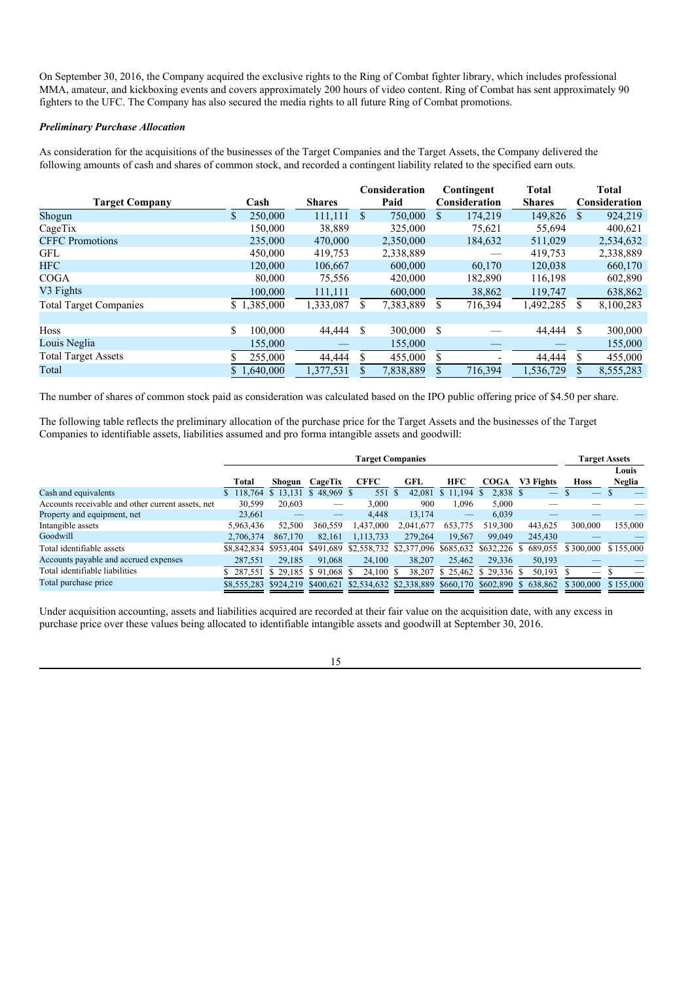On September 30, 2016, the Company acquired the exclusive rights to the Ring of Combat fighter library, which includes professional MMA, amateur, and kickboxing events and covers approximately 200 hours of video content. Ring of Combat has sent approximately 90 fighters to the UFC. The Company has also secured the media rights to all future Ring of Combat promotions.

### *Preliminary Purchase Allocation*

As consideration for the acquisitions of the businesses of the Target Companies and the Target Assets, the Company delivered the following amounts of cash and shares of common stock, and recorded a contingent liability related to the specified earn outs.

|                               |               |               |    | Consideration |    | Contingent    | <b>Total</b>  |   | <b>Total</b>  |
|-------------------------------|---------------|---------------|----|---------------|----|---------------|---------------|---|---------------|
| <b>Target Company</b>         | Cash          | <b>Shares</b> |    | Paid          |    | Consideration | <b>Shares</b> |   | Consideration |
| Shogun                        | 250,000<br>S  | 111.111       | \$ | 750,000       | S. | 174.219       | 149,826       |   | 924,219       |
| CageTix                       | 150,000       | 38,889        |    | 325,000       |    | 75,621        | 55,694        |   | 400,621       |
| <b>CFFC</b> Promotions        | 235,000       | 470,000       |    | 2,350,000     |    | 184,632       | 511,029       |   | 2,534,632     |
| <b>GFL</b>                    | 450,000       | 419,753       |    | 2,338,889     |    |               | 419.753       |   | 2,338,889     |
| HFC .                         | 120,000       | 106,667       |    | 600,000       |    | 60,170        | 120,038       |   | 660,170       |
| <b>COGA</b>                   | 80,000        | 75,556        |    | 420,000       |    | 182,890       | 116,198       |   | 602,890       |
| V3 Fights                     | 100,000       | 111,111       |    | 600,000       |    | 38,862        | 119,747       |   | 638,862       |
| <b>Total Target Companies</b> | \$1,385,000   | 1,333,087     | S. | 7,383,889     | S. | 716,394       | 1,492,285     | S | 8,100,283     |
|                               |               |               |    |               |    |               |               |   |               |
| Hoss                          | \$<br>100,000 | 44,444        | \$ | 300,000       | S  |               | 44,444        | S | 300,000       |
| Louis Neglia                  | 155,000       |               |    | 155,000       |    |               |               |   | 155,000       |
| <b>Total Target Assets</b>    | 255,000       | 44,444        |    | 455,000       | \$ |               | 44,444        |   | 455,000       |
| Total                         | \$1.640,000   | 1,377,531     | \$ | 7.838.889     | \$ | 716,394       | 1,536,729     |   | 8,555,283     |

The number of shares of common stock paid as consideration was calculated based on the IPO public offering price of \$4.50 per share.

The following table reflects the preliminary allocation of the purchase price for the Target Assets and the businesses of the Target Companies to identifiable assets, liabilities assumed and pro forma intangible assets and goodwill:

|                                                   |                                   | <b>Target Companies</b> |                           |                                                                 |           |                               |              |           |             |                        |  |
|---------------------------------------------------|-----------------------------------|-------------------------|---------------------------|-----------------------------------------------------------------|-----------|-------------------------------|--------------|-----------|-------------|------------------------|--|
|                                                   | <b>Total</b>                      | Shogun                  | CageTix                   | <b>CFFC</b>                                                     | GFL       | <b>HFC</b>                    | <b>COGA</b>  | V3 Fights | <b>Hoss</b> | Louis<br><b>Neglia</b> |  |
| Cash and equivalents                              | 18,764                            | 13,131<br>S.            | <sup>S</sup><br>48,969 \$ | 551                                                             | 42,081    | 11,194<br>$\mathbf{S}$        | 2,838 \$     |           | $-$         |                        |  |
| Accounts receivable and other current assets, net | 30.599                            | 20,603                  |                           | 3.000                                                           | 900       | 1.096                         | 5,000        |           |             |                        |  |
| Property and equipment, net                       | 23,661                            |                         |                           | 4.448                                                           | 13.174    |                               | 6.039        |           |             |                        |  |
| Intangible assets                                 | 5,963,436                         | 52,500                  | 360,559                   | 1,437,000                                                       | 2,041,677 | 653,775                       | 519,300      | 443,625   | 300,000     | 155,000                |  |
| Goodwill                                          | 2.706.374                         | 867,170                 | 82.161                    | 1,113,733                                                       | 279,264   | 19.567                        | 99,049       | 245,430   |             |                        |  |
| Total identifiable assets                         | \$8,842,834                       | \$953,404               | \$491.689                 | \$2,558,732 \$2,377,096                                         |           | \$685,632                     | \$632,226 \$ | 689,055   | \$300,000   | \$155,000              |  |
| Accounts payable and accrued expenses             | 287,551                           | 29,185                  | 91,068                    | 24,100                                                          | 38,207    | 25,462                        | 29,336       | 50,193    |             |                        |  |
| Total identifiable liabilities                    | \$ 287,551 \$ 29,185 \$ 91,068 \$ |                         |                           | 24.100 \$                                                       |           | 38,207 \$ 25,462 \$ 29,336 \$ |              | 50.193    |             |                        |  |
| Total purchase price                              | \$8,555,283                       | \$924,219               |                           | \$400,621 \$2,534,632 \$2,338,889 \$660,170 \$602,890 \$638,862 |           |                               |              |           | \$300,000   | \$155,000              |  |

Under acquisition accounting, assets and liabilities acquired are recorded at their fair value on the acquisition date, with any excess in purchase price over these values being allocated to identifiable intangible assets and goodwill at September 30, 2016.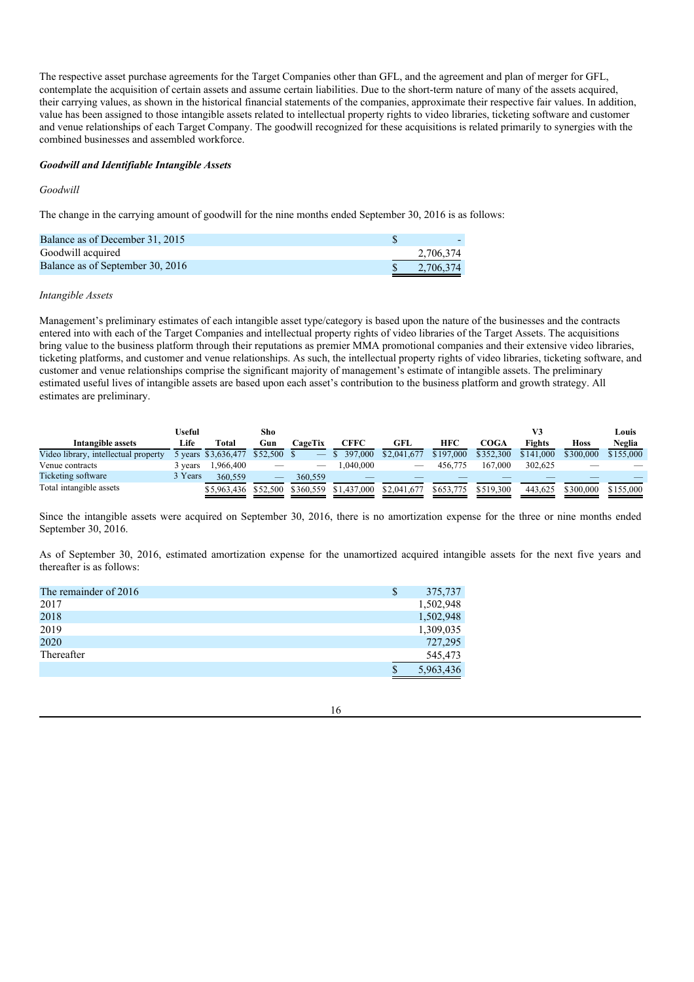The respective asset purchase agreements for the Target Companies other than GFL, and the agreement and plan of merger for GFL, contemplate the acquisition of certain assets and assume certain liabilities. Due to the short-term nature of many of the assets acquired, their carrying values, as shown in the historical financial statements of the companies, approximate their respective fair values. In addition, value has been assigned to those intangible assets related to intellectual property rights to video libraries, ticketing software and customer and venue relationships of each Target Company. The goodwill recognized for these acquisitions is related primarily to synergies with the combined businesses and assembled workforce.

### *Goodwill and Identifiable Intangible Assets*

#### *Goodwill*

The change in the carrying amount of goodwill for the nine months ended September 30, 2016 is as follows:

| Balance as of December 31, 2015  |           |
|----------------------------------|-----------|
| Goodwill acquired                | 2,706,374 |
| Balance as of September 30, 2016 | 2.706.374 |

#### *Intangible Assets*

Management's preliminary estimates of each intangible asset type/category is based upon the nature of the businesses and the contracts entered into with each of the Target Companies and intellectual property rights of video libraries of the Target Assets. The acquisitions bring value to the business platform through their reputations as premier MMA promotional companies and their extensive video libraries, ticketing platforms, and customer and venue relationships. As such, the intellectual property rights of video libraries, ticketing software, and customer and venue relationships comprise the significant majority of management's estimate of intangible assets. The preliminary estimated useful lives of intangible assets are based upon each asset's contribution to the business platform and growth strategy. All estimates are preliminary.

|                                      | Useful  |                     | Sho      |                          |                          |             |           |           |               |             | Louis     |
|--------------------------------------|---------|---------------------|----------|--------------------------|--------------------------|-------------|-----------|-----------|---------------|-------------|-----------|
| Intangible assets                    | Life    | Total               | Gun      | CageTix                  | CFFC                     | GFL         | HFC       | COGA      | <b>Fights</b> | <b>Hoss</b> | Neglia    |
| Video library, intellectual property |         | 5 years \$3,636,477 | \$52,500 |                          | 397,000                  | \$2,041,677 | \$197,000 | \$352,300 | \$141,000     | \$300,000   | \$155,000 |
| Venue contracts                      | vears   | .966.400            |          | $\overline{\phantom{a}}$ | .040.000                 |             | 456,775   | 167.000   | 302.625       |             |           |
| Ticketing software                   | 3 Years | 360,559             |          | 360,559                  | $\overline{\phantom{a}}$ |             |           |           |               |             |           |
| Total intangible assets              |         | \$5,963,436         | \$52,500 | \$360,559                | \$1,437,000              | \$2,041,677 | \$653,775 | \$519,300 | 443.625       | \$300,000   | \$155,000 |

Since the intangible assets were acquired on September 30, 2016, there is no amortization expense for the three or nine months ended September 30, 2016.

As of September 30, 2016, estimated amortization expense for the unamortized acquired intangible assets for the next five years and thereafter is as follows:

| The remainder of 2016 | \$<br>375,737 |
|-----------------------|---------------|
| 2017                  | 1,502,948     |
| 2018                  | 1,502,948     |
| 2019                  | 1,309,035     |
| 2020                  | 727,295       |
| Thereafter            | 545,473       |
|                       | 5,963,436     |

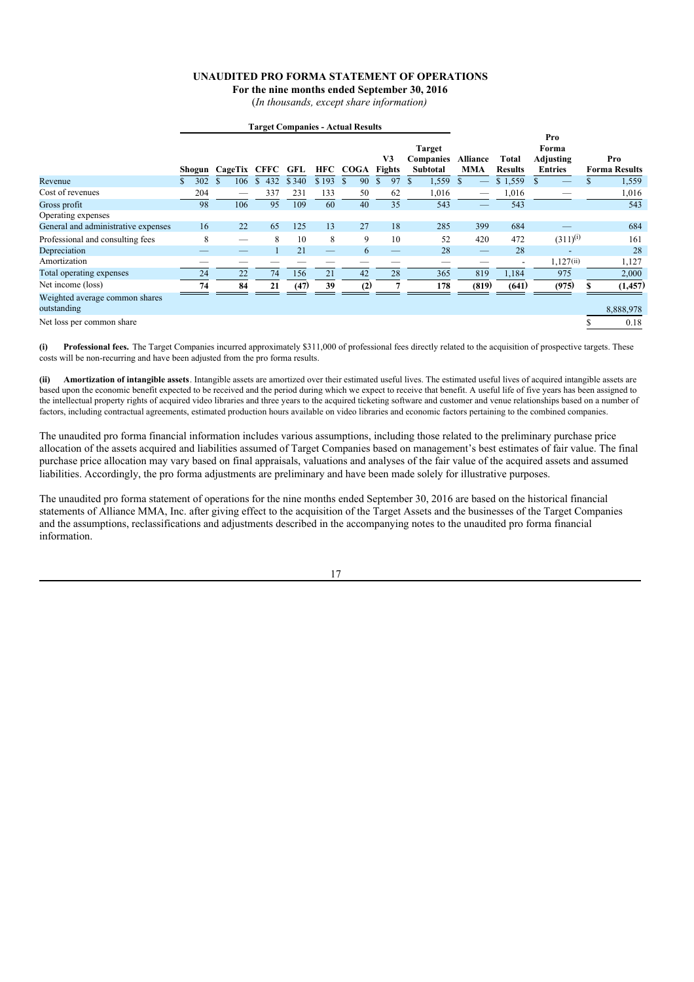### **UNAUDITED PRO FORMA STATEMENT OF OPERATIONS**

**For the nine months ended September 30, 2016**

(*In thousands, except share information)*

|                                               | <b>Target Companies - Actual Results</b> |                     |           |       |                          |          |                                 |                                        |                        |                                |                                             |                             |
|-----------------------------------------------|------------------------------------------|---------------------|-----------|-------|--------------------------|----------|---------------------------------|----------------------------------------|------------------------|--------------------------------|---------------------------------------------|-----------------------------|
|                                               |                                          | Shogun CageTix CFFC |           | GFL   | <b>HFC</b>               | COGA     | V <sub>3</sub><br><b>Fights</b> | Target<br>Companies<br><b>Subtotal</b> | Alliance<br><b>MMA</b> | <b>Total</b><br><b>Results</b> | Pro<br>Forma<br>Adjusting<br><b>Entries</b> | Pro<br><b>Forma Results</b> |
| Revenue                                       | 302                                      | \$<br>106           | \$<br>432 | \$340 | \$193                    | 90<br>-S | 97                              | 1,559<br><sup>\$</sup>                 | S.                     | \$1,559                        | S                                           | 1,559                       |
| Cost of revenues                              | 204                                      |                     | 337       | 231   | 133                      | 50       | 62                              | 1,016                                  |                        | 1,016                          |                                             | 1,016                       |
| Gross profit                                  | 98                                       | 106                 | 95        | 109   | 60                       | 40       | 35                              | 543                                    |                        | 543                            |                                             | 543                         |
| Operating expenses                            |                                          |                     |           |       |                          |          |                                 |                                        |                        |                                |                                             |                             |
| General and administrative expenses           | 16                                       | 22                  | 65        | 125   | 13                       | 27       | 18                              | 285                                    | 399                    | 684                            |                                             | 684                         |
| Professional and consulting fees              | 8                                        |                     | 8         | 10    | 8                        | 9        | 10                              | 52                                     | 420                    | 472                            | $(311)^{(1)}$                               | 161                         |
| Depreciation                                  |                                          |                     |           | 21    | $\overline{\phantom{m}}$ | 6        |                                 | 28                                     |                        | 28                             | $\overline{\phantom{0}}$                    | 28                          |
| Amortization                                  |                                          |                     |           |       |                          |          |                                 |                                        |                        |                                | 1,127(ii)                                   | 1,127                       |
| Total operating expenses                      | 24                                       | 22                  | 74        | 156   | 21                       | 42       | 28                              | 365                                    | 819                    | 1,184                          | 975                                         | 2,000                       |
| Net income (loss)                             | 74                                       | 84                  | 21        | (47)  | 39                       | (2)      |                                 | 178                                    | (819)                  | (641)                          | (975)                                       | (1, 457)                    |
| Weighted average common shares<br>outstanding |                                          |                     |           |       |                          |          |                                 |                                        |                        |                                |                                             | 8,888,978                   |
| Net loss per common share                     |                                          |                     |           |       |                          |          |                                 |                                        |                        |                                |                                             | 0.18                        |

**(i) Professional fees.** The Target Companies incurred approximately \$311,000 of professional fees directly related to the acquisition of prospective targets. These costs will be non-recurring and have been adjusted from the pro forma results.

**(ii) Amortization of intangible assets**. Intangible assets are amortized over their estimated useful lives. The estimated useful lives of acquired intangible assets are based upon the economic benefit expected to be received and the period during which we expect to receive that benefit. A useful life of five years has been assigned to the intellectual property rights of acquired video libraries and three years to the acquired ticketing software and customer and venue relationships based on a number of factors, including contractual agreements, estimated production hours available on video libraries and economic factors pertaining to the combined companies.

The unaudited pro forma financial information includes various assumptions, including those related to the preliminary purchase price allocation of the assets acquired and liabilities assumed of Target Companies based on management's best estimates of fair value. The final purchase price allocation may vary based on final appraisals, valuations and analyses of the fair value of the acquired assets and assumed liabilities. Accordingly, the pro forma adjustments are preliminary and have been made solely for illustrative purposes.

The unaudited pro forma statement of operations for the nine months ended September 30, 2016 are based on the historical financial statements of Alliance MMA, Inc. after giving effect to the acquisition of the Target Assets and the businesses of the Target Companies and the assumptions, reclassifications and adjustments described in the accompanying notes to the unaudited pro forma financial information.

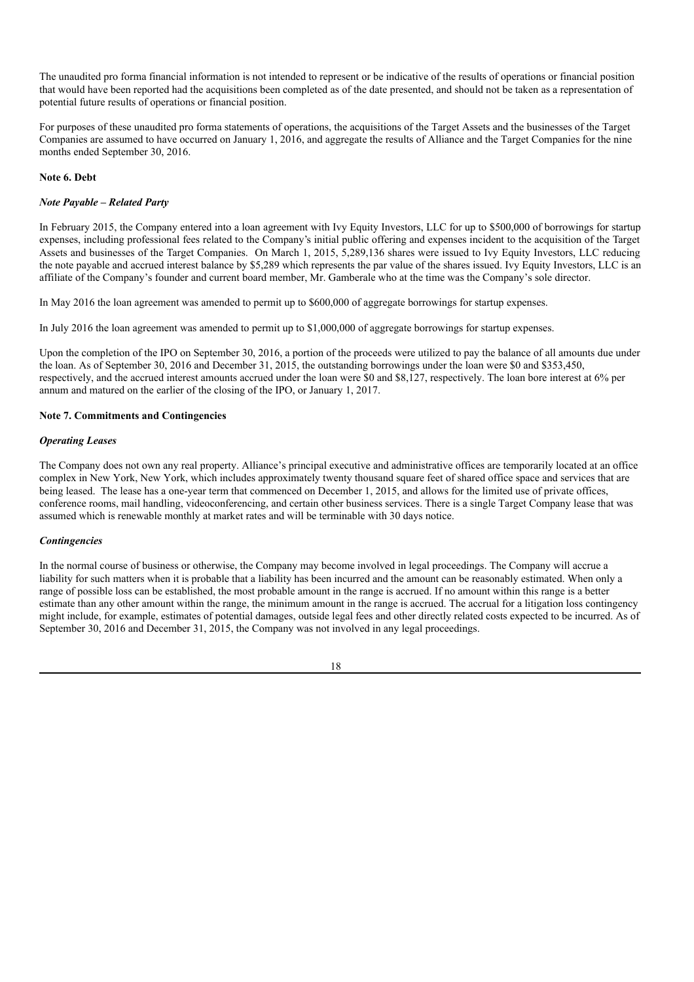The unaudited pro forma financial information is not intended to represent or be indicative of the results of operations or financial position that would have been reported had the acquisitions been completed as of the date presented, and should not be taken as a representation of potential future results of operations or financial position.

For purposes of these unaudited pro forma statements of operations, the acquisitions of the Target Assets and the businesses of the Target Companies are assumed to have occurred on January 1, 2016, and aggregate the results of Alliance and the Target Companies for the nine months ended September 30, 2016.

### **Note 6. Debt**

### *Note Payable – Related Party*

In February 2015, the Company entered into a loan agreement with Ivy Equity Investors, LLC for up to \$500,000 of borrowings for startup expenses, including professional fees related to the Company's initial public offering and expenses incident to the acquisition of the Target Assets and businesses of the Target Companies. On March 1, 2015, 5,289,136 shares were issued to Ivy Equity Investors, LLC reducing the note payable and accrued interest balance by \$5,289 which represents the par value of the shares issued. Ivy Equity Investors, LLC is an affiliate of the Company's founder and current board member, Mr. Gamberale who at the time was the Company's sole director.

In May 2016 the loan agreement was amended to permit up to \$600,000 of aggregate borrowings for startup expenses.

In July 2016 the loan agreement was amended to permit up to \$1,000,000 of aggregate borrowings for startup expenses.

Upon the completion of the IPO on September 30, 2016, a portion of the proceeds were utilized to pay the balance of all amounts due under the loan. As of September 30, 2016 and December 31, 2015, the outstanding borrowings under the loan were \$0 and \$353,450, respectively, and the accrued interest amounts accrued under the loan were \$0 and \$8,127, respectively. The loan bore interest at 6% per annum and matured on the earlier of the closing of the IPO, or January 1, 2017.

### **Note 7. Commitments and Contingencies**

### *Operating Leases*

The Company does not own any real property. Alliance's principal executive and administrative offices are temporarily located at an office complex in New York, New York, which includes approximately twenty thousand square feet of shared office space and services that are being leased. The lease has a one-year term that commenced on December 1, 2015, and allows for the limited use of private offices, conference rooms, mail handling, videoconferencing, and certain other business services. There is a single Target Company lease that was assumed which is renewable monthly at market rates and will be terminable with 30 days notice.

### *Contingencies*

In the normal course of business or otherwise, the Company may become involved in legal proceedings. The Company will accrue a liability for such matters when it is probable that a liability has been incurred and the amount can be reasonably estimated. When only a range of possible loss can be established, the most probable amount in the range is accrued. If no amount within this range is a better estimate than any other amount within the range, the minimum amount in the range is accrued. The accrual for a litigation loss contingency might include, for example, estimates of potential damages, outside legal fees and other directly related costs expected to be incurred. As of September 30, 2016 and December 31, 2015, the Company was not involved in any legal proceedings.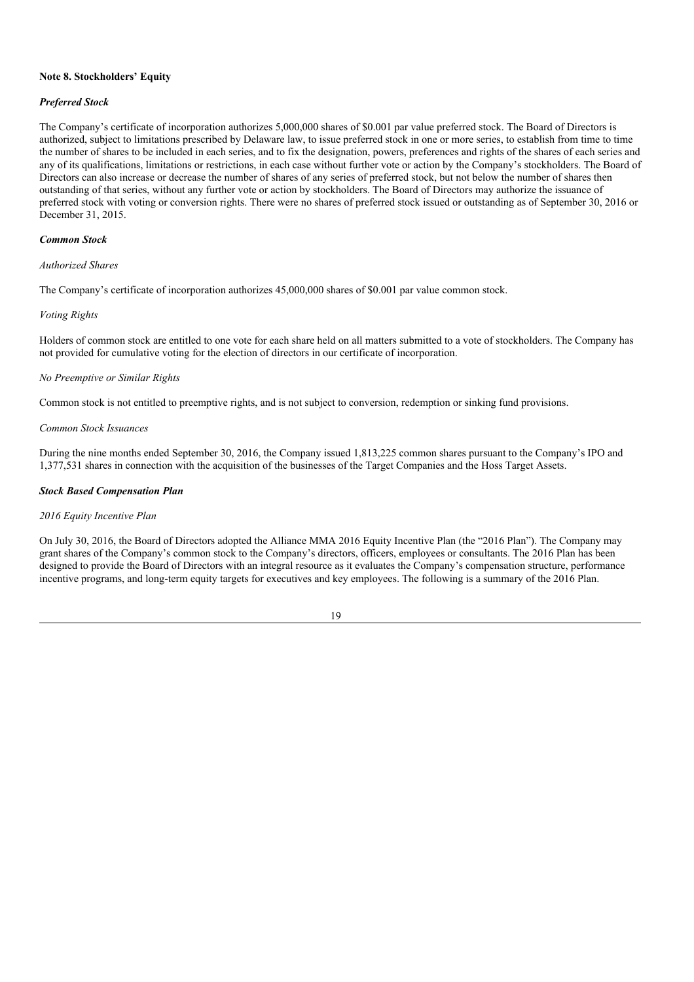### **Note 8. Stockholders' Equity**

### *Preferred Stock*

The Company's certificate of incorporation authorizes 5,000,000 shares of \$0.001 par value preferred stock. The Board of Directors is authorized, subject to limitations prescribed by Delaware law, to issue preferred stock in one or more series, to establish from time to time the number of shares to be included in each series, and to fix the designation, powers, preferences and rights of the shares of each series and any of its qualifications, limitations or restrictions, in each case without further vote or action by the Company's stockholders. The Board of Directors can also increase or decrease the number of shares of any series of preferred stock, but not below the number of shares then outstanding of that series, without any further vote or action by stockholders. The Board of Directors may authorize the issuance of preferred stock with voting or conversion rights. There were no shares of preferred stock issued or outstanding as of September 30, 2016 or December 31, 2015.

### *Common Stock*

### *Authorized Shares*

The Company's certificate of incorporation authorizes 45,000,000 shares of \$0.001 par value common stock.

### *Voting Rights*

Holders of common stock are entitled to one vote for each share held on all matters submitted to a vote of stockholders. The Company has not provided for cumulative voting for the election of directors in our certificate of incorporation.

### *No Preemptive or Similar Rights*

Common stock is not entitled to preemptive rights, and is not subject to conversion, redemption or sinking fund provisions.

#### *Common Stock Issuances*

During the nine months ended September 30, 2016, the Company issued 1,813,225 common shares pursuant to the Company's IPO and 1,377,531 shares in connection with the acquisition of the businesses of the Target Companies and the Hoss Target Assets.

### *Stock Based Compensation Plan*

### *2016 Equity Incentive Plan*

On July 30, 2016, the Board of Directors adopted the Alliance MMA 2016 Equity Incentive Plan (the "2016 Plan"). The Company may grant shares of the Company's common stock to the Company's directors, officers, employees or consultants. The 2016 Plan has been designed to provide the Board of Directors with an integral resource as it evaluates the Company's compensation structure, performance incentive programs, and long-term equity targets for executives and key employees. The following is a summary of the 2016 Plan.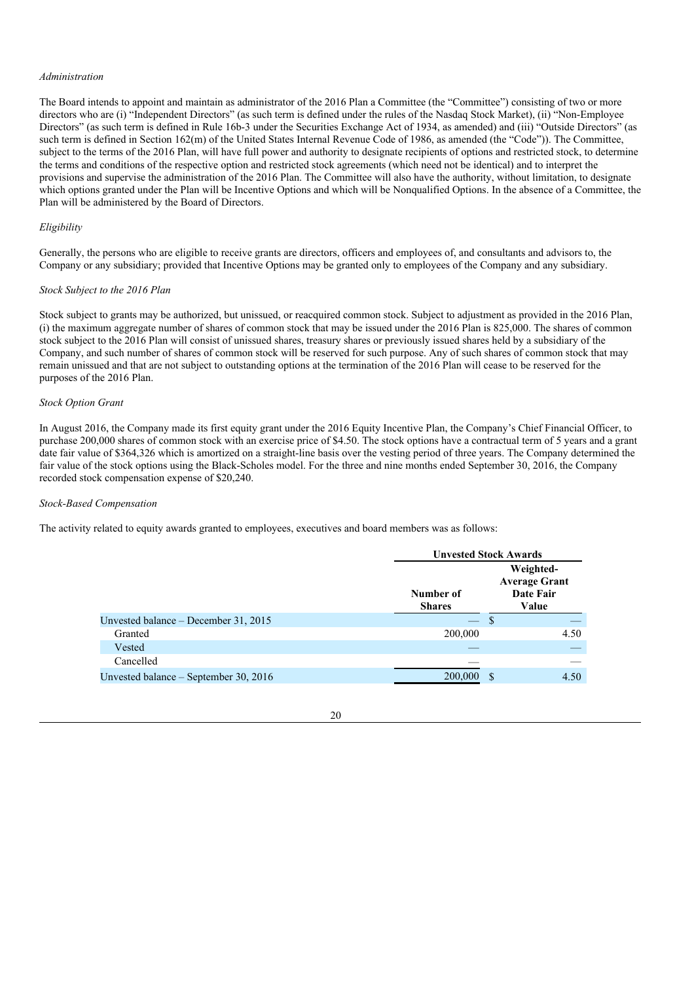#### *Administration*

The Board intends to appoint and maintain as administrator of the 2016 Plan a Committee (the "Committee") consisting of two or more directors who are (i) "Independent Directors" (as such term is defined under the rules of the Nasdaq Stock Market), (ii) "Non-Employee Directors" (as such term is defined in Rule 16b-3 under the Securities Exchange Act of 1934, as amended) and (iii) "Outside Directors" (as such term is defined in Section 162(m) of the United States Internal Revenue Code of 1986, as amended (the "Code")). The Committee, subject to the terms of the 2016 Plan, will have full power and authority to designate recipients of options and restricted stock, to determine the terms and conditions of the respective option and restricted stock agreements (which need not be identical) and to interpret the provisions and supervise the administration of the 2016 Plan. The Committee will also have the authority, without limitation, to designate which options granted under the Plan will be Incentive Options and which will be Nonqualified Options. In the absence of a Committee, the Plan will be administered by the Board of Directors.

### *Eligibility*

Generally, the persons who are eligible to receive grants are directors, officers and employees of, and consultants and advisors to, the Company or any subsidiary; provided that Incentive Options may be granted only to employees of the Company and any subsidiary.

### *Stock Subject to the 2016 Plan*

Stock subject to grants may be authorized, but unissued, or reacquired common stock. Subject to adjustment as provided in the 2016 Plan, (i) the maximum aggregate number of shares of common stock that may be issued under the 2016 Plan is 825,000. The shares of common stock subject to the 2016 Plan will consist of unissued shares, treasury shares or previously issued shares held by a subsidiary of the Company, and such number of shares of common stock will be reserved for such purpose. Any of such shares of common stock that may remain unissued and that are not subject to outstanding options at the termination of the 2016 Plan will cease to be reserved for the purposes of the 2016 Plan.

### *Stock Option Grant*

In August 2016, the Company made its first equity grant under the 2016 Equity Incentive Plan, the Company's Chief Financial Officer, to purchase 200,000 shares of common stock with an exercise price of \$4.50. The stock options have a contractual term of 5 years and a grant date fair value of \$364,326 which is amortized on a straight-line basis over the vesting period of three years. The Company determined the fair value of the stock options using the Black-Scholes model. For the three and nine months ended September 30, 2016, the Company recorded stock compensation expense of \$20,240.

### *Stock-Based Compensation*

The activity related to equity awards granted to employees, executives and board members was as follows:

|                                       | <b>Unvested Stock Awards</b> |                                                         |  |  |  |
|---------------------------------------|------------------------------|---------------------------------------------------------|--|--|--|
|                                       | Number of<br><b>Shares</b>   | Weighted-<br><b>Average Grant</b><br>Date Fair<br>Value |  |  |  |
| Unvested balance – December 31, 2015  |                              | S                                                       |  |  |  |
| Granted                               | 200,000                      | 4.50                                                    |  |  |  |
| Vested                                |                              |                                                         |  |  |  |
| Cancelled                             |                              |                                                         |  |  |  |
| Unvested balance – September 30, 2016 | 200,000                      | S<br>4.50                                               |  |  |  |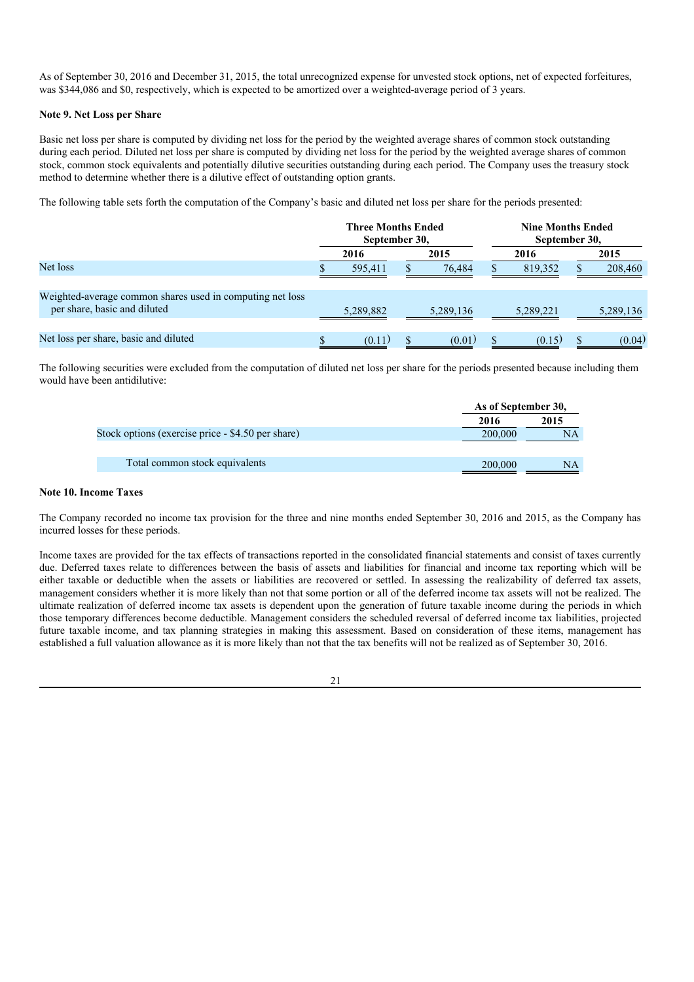As of September 30, 2016 and December 31, 2015, the total unrecognized expense for unvested stock options, net of expected forfeitures, was \$344,086 and \$0, respectively, which is expected to be amortized over a weighted-average period of 3 years.

### **Note 9. Net Loss per Share**

Basic net loss per share is computed by dividing net loss for the period by the weighted average shares of common stock outstanding during each period. Diluted net loss per share is computed by dividing net loss for the period by the weighted average shares of common stock, common stock equivalents and potentially dilutive securities outstanding during each period. The Company uses the treasury stock method to determine whether there is a dilutive effect of outstanding option grants.

The following table sets forth the computation of the Company's basic and diluted net loss per share for the periods presented:

|                                                                                           | <b>Three Months Ended</b><br>September 30, |           |  | <b>Nine Months Ended</b><br>September 30, |   |           |  |           |
|-------------------------------------------------------------------------------------------|--------------------------------------------|-----------|--|-------------------------------------------|---|-----------|--|-----------|
|                                                                                           |                                            | 2016      |  | 2015                                      |   | 2016      |  | 2015      |
| Net loss                                                                                  |                                            | 595,411   |  | 76,484                                    |   | 819,352   |  | 208,460   |
|                                                                                           |                                            |           |  |                                           |   |           |  |           |
| Weighted-average common shares used in computing net loss<br>per share, basic and diluted |                                            | 5,289,882 |  | 5,289,136                                 |   | 5,289,221 |  | 5,289,136 |
|                                                                                           |                                            |           |  |                                           |   |           |  |           |
| Net loss per share, basic and diluted                                                     |                                            | (0.11)    |  | (0.01)                                    | S | (0.15)    |  | (0.04)    |

The following securities were excluded from the computation of diluted net loss per share for the periods presented because including them would have been antidilutive:

|                                                   | As of September 30, |      |
|---------------------------------------------------|---------------------|------|
|                                                   | 2016                | 2015 |
| Stock options (exercise price - \$4.50 per share) | 200,000             | NA   |
| Total common stock equivalents                    | 200,000             | NA   |

### **Note 10. Income Taxes**

The Company recorded no income tax provision for the three and nine months ended September 30, 2016 and 2015, as the Company has incurred losses for these periods.

Income taxes are provided for the tax effects of transactions reported in the consolidated financial statements and consist of taxes currently due. Deferred taxes relate to differences between the basis of assets and liabilities for financial and income tax reporting which will be either taxable or deductible when the assets or liabilities are recovered or settled. In assessing the realizability of deferred tax assets, management considers whether it is more likely than not that some portion or all of the deferred income tax assets will not be realized. The ultimate realization of deferred income tax assets is dependent upon the generation of future taxable income during the periods in which those temporary differences become deductible. Management considers the scheduled reversal of deferred income tax liabilities, projected future taxable income, and tax planning strategies in making this assessment. Based on consideration of these items, management has established a full valuation allowance as it is more likely than not that the tax benefits will not be realized as of September 30, 2016.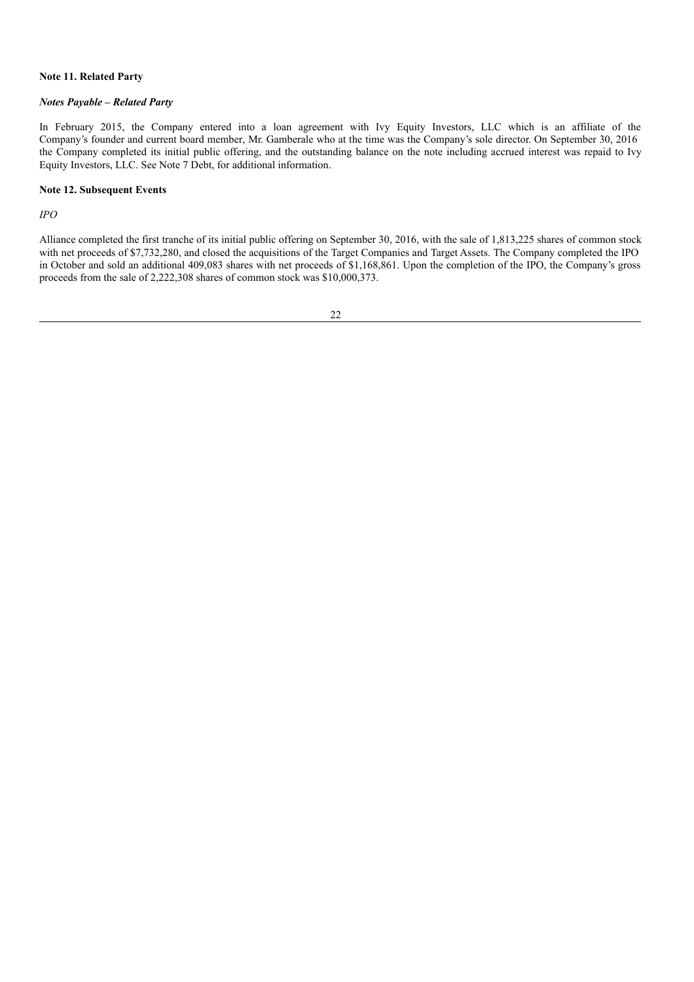### **Note 11. Related Party**

#### *Notes Payable – Related Party*

In February 2015, the Company entered into a loan agreement with Ivy Equity Investors, LLC which is an affiliate of the Company's founder and current board member, Mr. Gamberale who at the time was the Company's sole director. On September 30, 2016 the Company completed its initial public offering, and the outstanding balance on the note including accrued interest was repaid to Ivy Equity Investors, LLC. See Note 7 Debt, for additional information.

### **Note 12. Subsequent Events**

*IPO*

Alliance completed the first tranche of its initial public offering on September 30, 2016, with the sale of 1,813,225 shares of common stock with net proceeds of \$7,732,280, and closed the acquisitions of the Target Companies and Target Assets. The Company completed the IPO in October and sold an additional 409,083 shares with net proceeds of \$1,168,861. Upon the completion of the IPO, the Company's gross proceeds from the sale of 2,222,308 shares of common stock was \$10,000,373.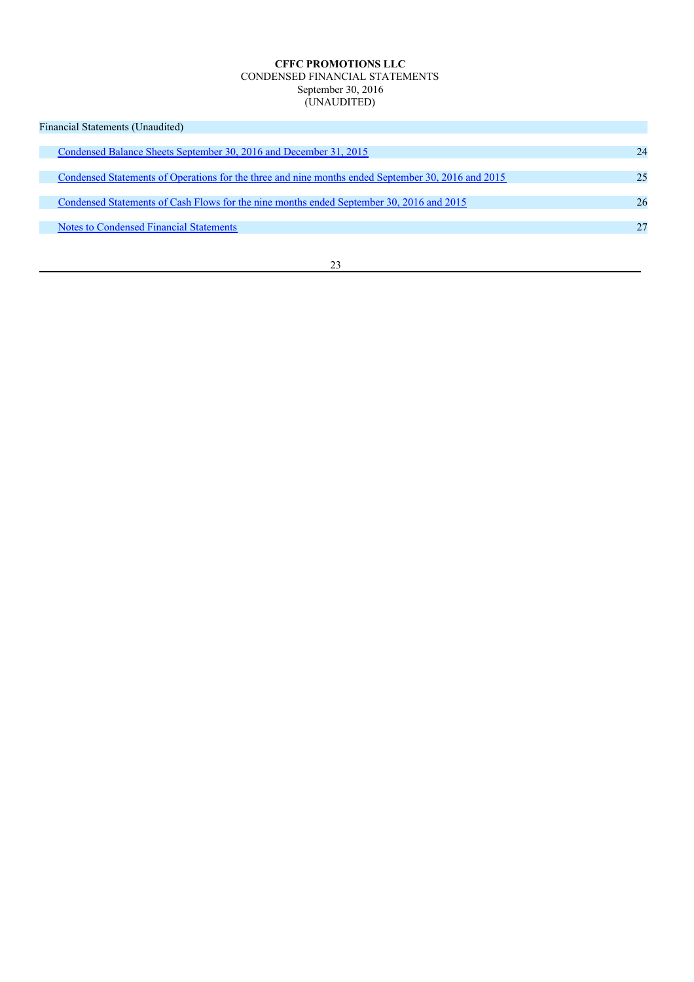### **CFFC PROMOTIONS LLC** CONDENSED FINANCIAL STATEMENTS September 30, 2016 (UNAUDITED)

| Financial Statements (Unaudited)                                                                   |    |
|----------------------------------------------------------------------------------------------------|----|
|                                                                                                    |    |
| Condensed Balance Sheets September 30, 2016 and December 31, 2015                                  | 24 |
|                                                                                                    |    |
| Condensed Statements of Operations for the three and nine months ended September 30, 2016 and 2015 | 25 |
|                                                                                                    |    |
| Condensed Statements of Cash Flows for the nine months ended September 30, 2016 and 2015           | 26 |
|                                                                                                    |    |
| <b>Notes to Condensed Financial Statements</b>                                                     | 27 |
|                                                                                                    |    |
|                                                                                                    |    |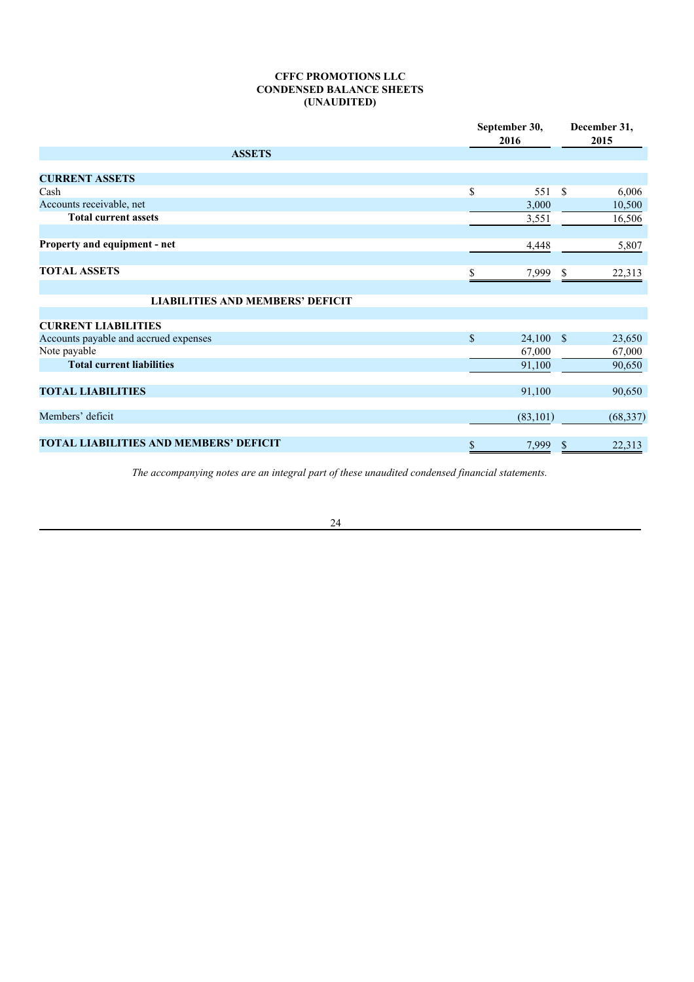### **CFFC PROMOTIONS LLC CONDENSED BALANCE SHEETS (UNAUDITED)**

|                                               |                           | September 30,<br>2016 |                    | December 31,<br>2015 |  |
|-----------------------------------------------|---------------------------|-----------------------|--------------------|----------------------|--|
| <b>ASSETS</b>                                 |                           |                       |                    |                      |  |
|                                               |                           |                       |                    |                      |  |
| <b>CURRENT ASSETS</b>                         |                           |                       |                    |                      |  |
| Cash                                          | \$                        | 551                   | $\mathbf{\hat{S}}$ | 6,006                |  |
| Accounts receivable, net                      |                           | 3,000                 |                    | 10,500               |  |
| <b>Total current assets</b>                   |                           | 3,551                 |                    | 16,506               |  |
| Property and equipment - net                  |                           | 4,448                 |                    | 5,807                |  |
| <b>TOTAL ASSETS</b>                           | S                         | 7,999                 | S                  | 22,313               |  |
| <b>LIABILITIES AND MEMBERS' DEFICIT</b>       |                           |                       |                    |                      |  |
| <b>CURRENT LIABILITIES</b>                    |                           |                       |                    |                      |  |
| Accounts payable and accrued expenses         | $\boldsymbol{\mathsf{S}}$ | 24,100 \$             |                    | 23,650               |  |
| Note payable                                  |                           | 67,000                |                    | 67,000               |  |
| <b>Total current liabilities</b>              |                           | 91,100                |                    | 90,650               |  |
| <b>TOTAL LIABILITIES</b>                      |                           | 91,100                |                    | 90,650               |  |
| Members' deficit                              |                           | (83,101)              |                    | (68, 337)            |  |
| <b>TOTAL LIABILITIES AND MEMBERS' DEFICIT</b> | $\$$                      | 7,999                 | -S                 | 22,313               |  |

*The accompanying notes are an integral part of these unaudited condensed financial statements.*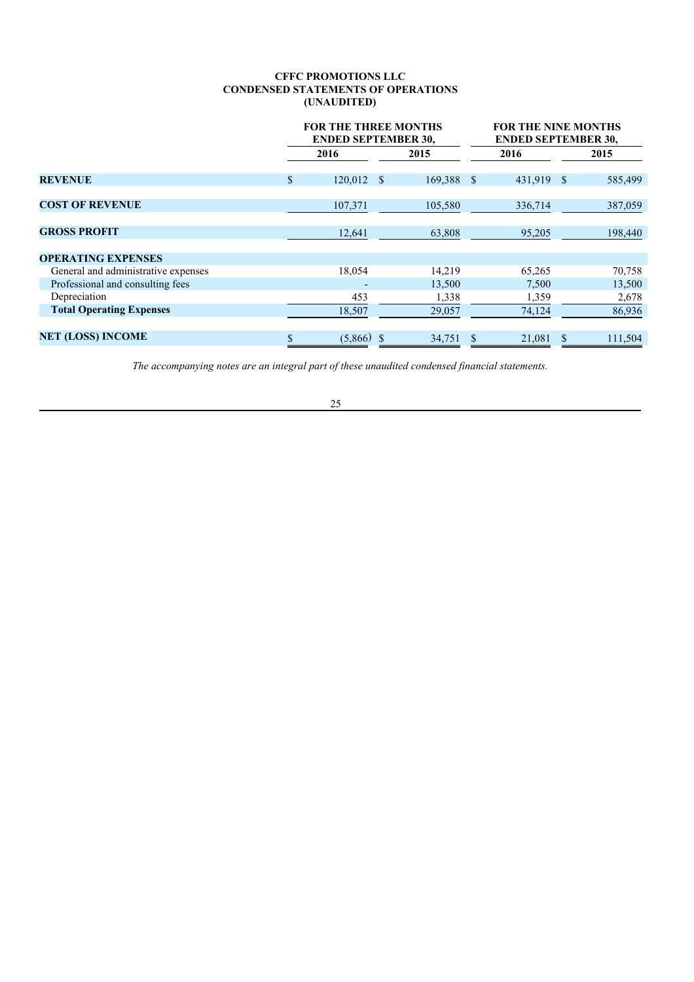### **CFFC PROMOTIONS LLC CONDENSED STATEMENTS OF OPERATIONS (UNAUDITED)**

|                                     | <b>FOR THE THREE MONTHS</b><br><b>ENDED SEPTEMBER 30,</b> |              |  |         |      | <b>FOR THE NINE MONTHS</b><br><b>ENDED SEPTEMBER 30,</b> |  |         |  |
|-------------------------------------|-----------------------------------------------------------|--------------|--|---------|------|----------------------------------------------------------|--|---------|--|
|                                     |                                                           | 2016         |  | 2015    | 2016 |                                                          |  | 2015    |  |
| <b>REVENUE</b>                      | \$                                                        | $120,012$ \$ |  | 169,388 | - \$ | 431,919 \$                                               |  | 585,499 |  |
| <b>COST OF REVENUE</b>              |                                                           | 107,371      |  | 105,580 |      | 336,714                                                  |  | 387,059 |  |
| <b>GROSS PROFIT</b>                 |                                                           | 12,641       |  | 63,808  |      | 95,205                                                   |  | 198,440 |  |
| <b>OPERATING EXPENSES</b>           |                                                           |              |  |         |      |                                                          |  |         |  |
| General and administrative expenses |                                                           | 18,054       |  | 14,219  |      | 65,265                                                   |  | 70,758  |  |
| Professional and consulting fees    |                                                           |              |  | 13,500  |      | 7,500                                                    |  | 13,500  |  |
| Depreciation                        |                                                           | 453          |  | 1,338   |      | 1,359                                                    |  | 2,678   |  |
| <b>Total Operating Expenses</b>     |                                                           | 18,507       |  | 29,057  |      | 74,124                                                   |  | 86,936  |  |
| <b>NET (LOSS) INCOME</b>            |                                                           | $(5,866)$ \$ |  | 34,751  |      | 21,081                                                   |  | 111,504 |  |

*The accompanying notes are an integral part of these unaudited condensed financial statements.*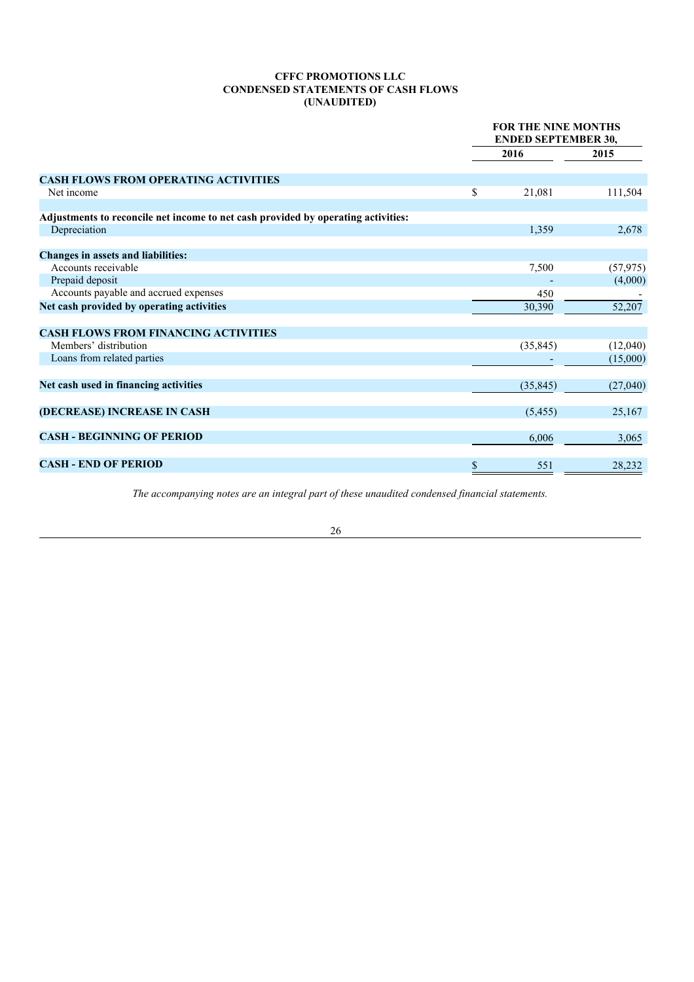### **CFFC PROMOTIONS LLC CONDENSED STATEMENTS OF CASH FLOWS (UNAUDITED)**

|                                                                                   | <b>FOR THE NINE MONTHS</b><br><b>ENDED SEPTEMBER 30,</b> |           |           |  |
|-----------------------------------------------------------------------------------|----------------------------------------------------------|-----------|-----------|--|
|                                                                                   |                                                          | 2016      | 2015      |  |
| <b>CASH FLOWS FROM OPERATING ACTIVITIES</b>                                       |                                                          |           |           |  |
| Net income                                                                        | \$                                                       | 21,081    | 111,504   |  |
| Adjustments to reconcile net income to net cash provided by operating activities: |                                                          |           |           |  |
| Depreciation                                                                      |                                                          | 1,359     | 2,678     |  |
| <b>Changes in assets and liabilities:</b>                                         |                                                          |           |           |  |
| Accounts receivable                                                               |                                                          | 7,500     | (57, 975) |  |
| Prepaid deposit                                                                   |                                                          |           | (4,000)   |  |
| Accounts payable and accrued expenses                                             |                                                          | 450       |           |  |
| Net cash provided by operating activities                                         |                                                          | 30,390    | 52,207    |  |
| <b>CASH FLOWS FROM FINANCING ACTIVITIES</b>                                       |                                                          |           |           |  |
| Members' distribution                                                             |                                                          | (35, 845) | (12,040)  |  |
| Loans from related parties                                                        |                                                          |           | (15,000)  |  |
| Net cash used in financing activities                                             |                                                          | (35, 845) | (27,040)  |  |
| (DECREASE) INCREASE IN CASH                                                       |                                                          | (5,455)   | 25,167    |  |
| <b>CASH - BEGINNING OF PERIOD</b>                                                 |                                                          | 6,006     | 3,065     |  |
| <b>CASH - END OF PERIOD</b>                                                       | \$                                                       | 551       | 28,232    |  |

*The accompanying notes are an integral part of these unaudited condensed financial statements.*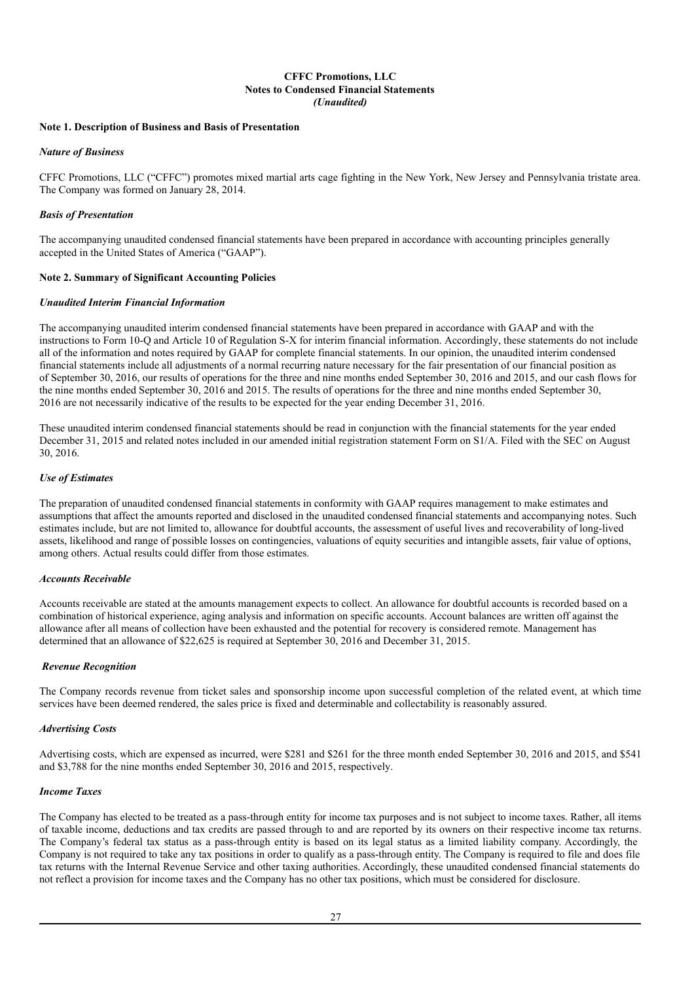### **CFFC Promotions, LLC Notes to Condensed Financial Statements** *(Unaudited)*

### **Note 1. Description of Business and Basis of Presentation**

### *Nature of Business*

CFFC Promotions, LLC ("CFFC") promotes mixed martial arts cage fighting in the New York, New Jersey and Pennsylvania tristate area. The Company was formed on January 28, 2014.

### *Basis of Presentation*

The accompanying unaudited condensed financial statements have been prepared in accordance with accounting principles generally accepted in the United States of America ("GAAP").

### **Note 2. Summary of Significant Accounting Policies**

### *Unaudited Interim Financial Information*

The accompanying unaudited interim condensed financial statements have been prepared in accordance with GAAP and with the instructions to Form 10-Q and Article 10 of Regulation S-X for interim financial information. Accordingly, these statements do not include all of the information and notes required by GAAP for complete financial statements. In our opinion, the unaudited interim condensed financial statements include all adjustments of a normal recurring nature necessary for the fair presentation of our financial position as of September 30, 2016, our results of operations for the three and nine months ended September 30, 2016 and 2015, and our cash flows for the nine months ended September 30, 2016 and 2015. The results of operations for the three and nine months ended September 30, 2016 are not necessarily indicative of the results to be expected for the year ending December 31, 2016.

These unaudited interim condensed financial statements should be read in conjunction with the financial statements for the year ended December 31, 2015 and related notes included in our amended initial registration statement Form on S1/A. Filed with the SEC on August 30, 2016.

### *Use of Estimates*

The preparation of unaudited condensed financial statements in conformity with GAAP requires management to make estimates and assumptions that affect the amounts reported and disclosed in the unaudited condensed financial statements and accompanying notes. Such estimates include, but are not limited to, allowance for doubtful accounts, the assessment of useful lives and recoverability of long-lived assets, likelihood and range of possible losses on contingencies, valuations of equity securities and intangible assets, fair value of options, among others. Actual results could differ from those estimates.

#### *Accounts Receivable*

Accounts receivable are stated at the amounts management expects to collect. An allowance for doubtful accounts is recorded based on a combination of historical experience, aging analysis and information on specific accounts. Account balances are written off against the allowance after all means of collection have been exhausted and the potential for recovery is considered remote. Management has determined that an allowance of \$22,625 is required at September 30, 2016 and December 31, 2015.

#### *Revenue Recognition*

The Company records revenue from ticket sales and sponsorship income upon successful completion of the related event, at which time services have been deemed rendered, the sales price is fixed and determinable and collectability is reasonably assured.

#### *Advertising Costs*

Advertising costs, which are expensed as incurred, were \$281 and \$261 for the three month ended September 30, 2016 and 2015, and \$541 and \$3,788 for the nine months ended September 30, 2016 and 2015, respectively.

#### *Income Taxes*

The Company has elected to be treated as a pass-through entity for income tax purposes and is not subject to income taxes. Rather, all items of taxable income, deductions and tax credits are passed through to and are reported by its owners on their respective income tax returns. The Company's federal tax status as a pass-through entity is based on its legal status as a limited liability company. Accordingly, the Company is not required to take any tax positions in order to qualify as a pass-through entity. The Company is required to file and does file tax returns with the Internal Revenue Service and other taxing authorities. Accordingly, these unaudited condensed financial statements do not reflect a provision for income taxes and the Company has no other tax positions, which must be considered for disclosure.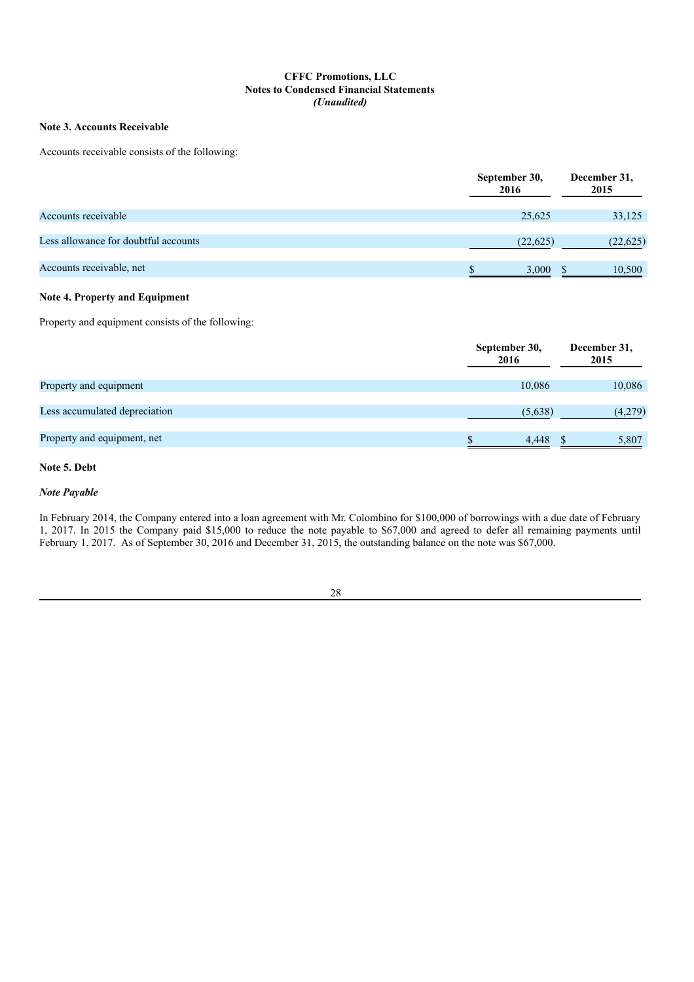### **CFFC Promotions, LLC Notes to Condensed Financial Statements** *(Unaudited)*

### **Note 3. Accounts Receivable**

Accounts receivable consists of the following:

|                                      | September 30,<br>2016 | December 31,<br>2015 |
|--------------------------------------|-----------------------|----------------------|
| Accounts receivable                  | 25,625                | 33,125               |
| Less allowance for doubtful accounts | (22,625)              | (22, 625)            |
| Accounts receivable, net             | 3.000                 | 10,500               |

### **Note 4. Property and Equipment**

Property and equipment consists of the following:

|                               | September 30,<br>2016 | December 31,<br>2015 |
|-------------------------------|-----------------------|----------------------|
| Property and equipment        | 10,086                | 10,086               |
| Less accumulated depreciation | (5,638)               | (4,279)              |
| Property and equipment, net   | 4.448                 | 5,807                |

### **Note 5. Debt**

### *Note Payable*

In February 2014, the Company entered into a loan agreement with Mr. Colombino for \$100,000 of borrowings with a due date of February 1, 2017. In 2015 the Company paid \$15,000 to reduce the note payable to \$67,000 and agreed to defer all remaining payments until February 1, 2017. As of September 30, 2016 and December 31, 2015, the outstanding balance on the note was \$67,000.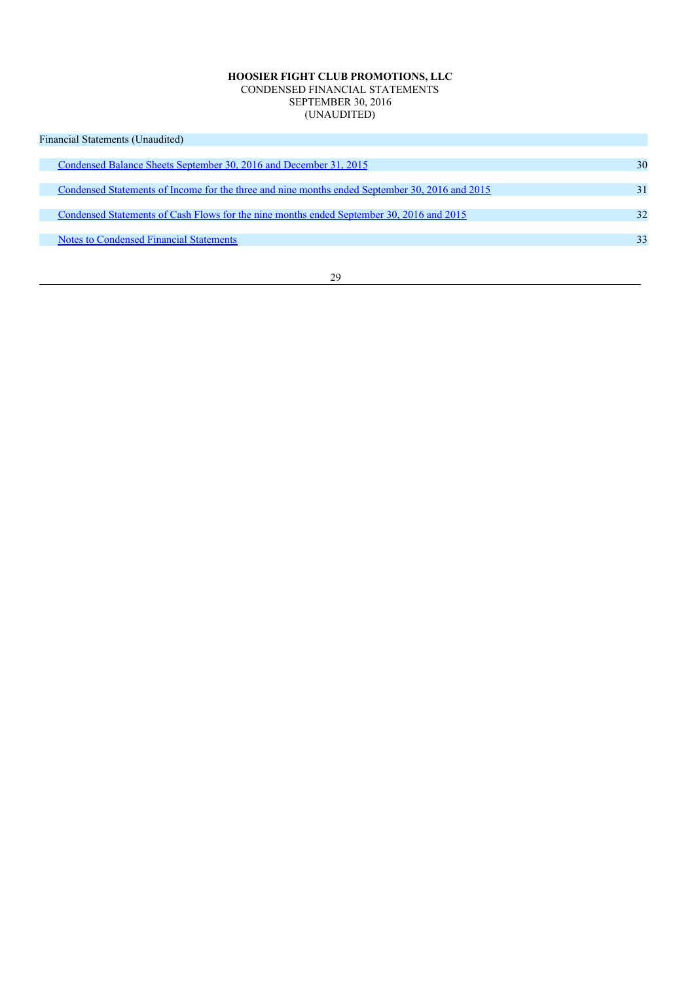## **HOOSIER FIGHT CLUB PROMOTIONS, LLC**

### CONDENSED FINANCIAL STATEMENTS SEPTEMBER 30, 2016 (UNAUDITED)

| Financial Statements (Unaudited)                                                               |    |
|------------------------------------------------------------------------------------------------|----|
|                                                                                                |    |
| Condensed Balance Sheets September 30, 2016 and December 31, 2015                              | 30 |
|                                                                                                |    |
| Condensed Statements of Income for the three and nine months ended September 30, 2016 and 2015 | 31 |
|                                                                                                |    |
| Condensed Statements of Cash Flows for the nine months ended September 30, 2016 and 2015       | 32 |
|                                                                                                |    |
| <b>Notes to Condensed Financial Statements</b>                                                 | 33 |
|                                                                                                |    |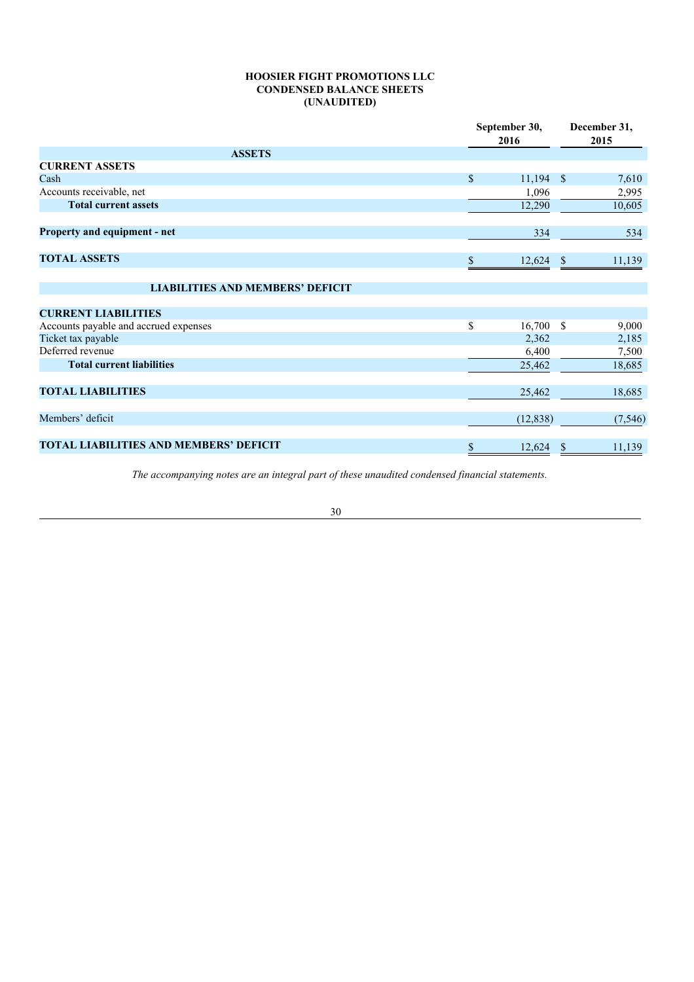### **HOOSIER FIGHT PROMOTIONS LLC CONDENSED BALANCE SHEETS (UNAUDITED)**

|                                               | September 30,<br>2016 |               | December 31,<br>2015 |  |
|-----------------------------------------------|-----------------------|---------------|----------------------|--|
| <b>ASSETS</b>                                 |                       |               |                      |  |
| <b>CURRENT ASSETS</b>                         |                       |               |                      |  |
| Cash                                          | \$<br>11,194          | <b>S</b>      | 7,610                |  |
| Accounts receivable, net                      | 1,096                 |               | 2,995                |  |
| <b>Total current assets</b>                   | 12,290                |               | 10,605               |  |
| Property and equipment - net                  | 334                   |               | 534                  |  |
| <b>TOTAL ASSETS</b>                           | \$<br>12,624          | <sup>S</sup>  | 11,139               |  |
| <b>LIABILITIES AND MEMBERS' DEFICIT</b>       |                       |               |                      |  |
| <b>CURRENT LIABILITIES</b>                    |                       |               |                      |  |
| Accounts payable and accrued expenses         | \$<br>16,700 \$       |               | 9,000                |  |
| Ticket tax payable                            | 2,362                 |               | 2,185                |  |
| Deferred revenue                              | 6,400                 |               | 7,500                |  |
| <b>Total current liabilities</b>              | 25,462                |               | 18,685               |  |
| <b>TOTAL LIABILITIES</b>                      | 25,462                |               | 18,685               |  |
| Members' deficit                              | (12, 838)             |               | (7, 546)             |  |
| <b>TOTAL LIABILITIES AND MEMBERS' DEFICIT</b> | \$<br>12,624          | <sup>\$</sup> | 11,139               |  |

*The accompanying notes are an integral part of these unaudited condensed financial statements.*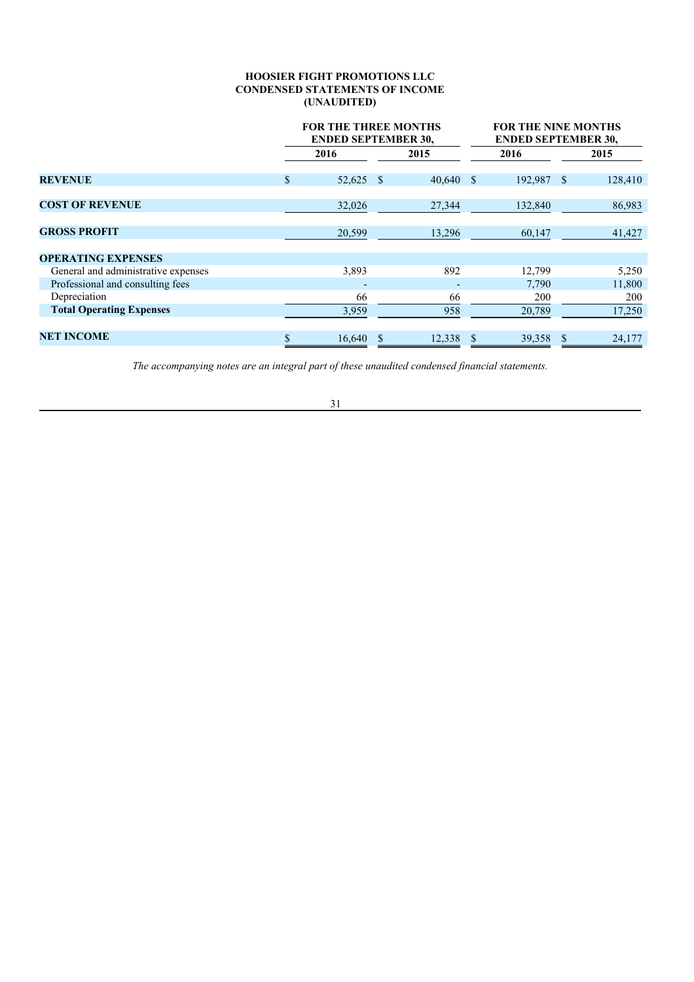### **HOOSIER FIGHT PROMOTIONS LLC CONDENSED STATEMENTS OF INCOME (UNAUDITED)**

|                                     | <b>FOR THE THREE MONTHS</b><br><b>ENDED SEPTEMBER 30,</b> |           |  |             |  | <b>FOR THE NINE MONTHS</b><br><b>ENDED SEPTEMBER 30,</b> |  |         |  |
|-------------------------------------|-----------------------------------------------------------|-----------|--|-------------|--|----------------------------------------------------------|--|---------|--|
|                                     | 2016                                                      |           |  | 2015        |  | 2016                                                     |  | 2015    |  |
| <b>REVENUE</b>                      | \$                                                        | 52,625 \$ |  | $40,640$ \$ |  | 192,987 \$                                               |  | 128,410 |  |
| <b>COST OF REVENUE</b>              |                                                           | 32,026    |  | 27,344      |  | 132,840                                                  |  | 86,983  |  |
| <b>GROSS PROFIT</b>                 |                                                           | 20,599    |  | 13,296      |  | 60,147                                                   |  | 41,427  |  |
| <b>OPERATING EXPENSES</b>           |                                                           |           |  |             |  |                                                          |  |         |  |
| General and administrative expenses |                                                           | 3,893     |  | 892         |  | 12,799                                                   |  | 5,250   |  |
| Professional and consulting fees    |                                                           |           |  |             |  | 7,790                                                    |  | 11,800  |  |
| Depreciation                        |                                                           | 66        |  | 66          |  | 200                                                      |  | 200     |  |
| <b>Total Operating Expenses</b>     |                                                           | 3,959     |  | 958         |  | 20,789                                                   |  | 17,250  |  |
| <b>NET INCOME</b>                   |                                                           | 16,640    |  | 12,338      |  | 39,358                                                   |  | 24,177  |  |

*The accompanying notes are an integral part of these unaudited condensed financial statements.*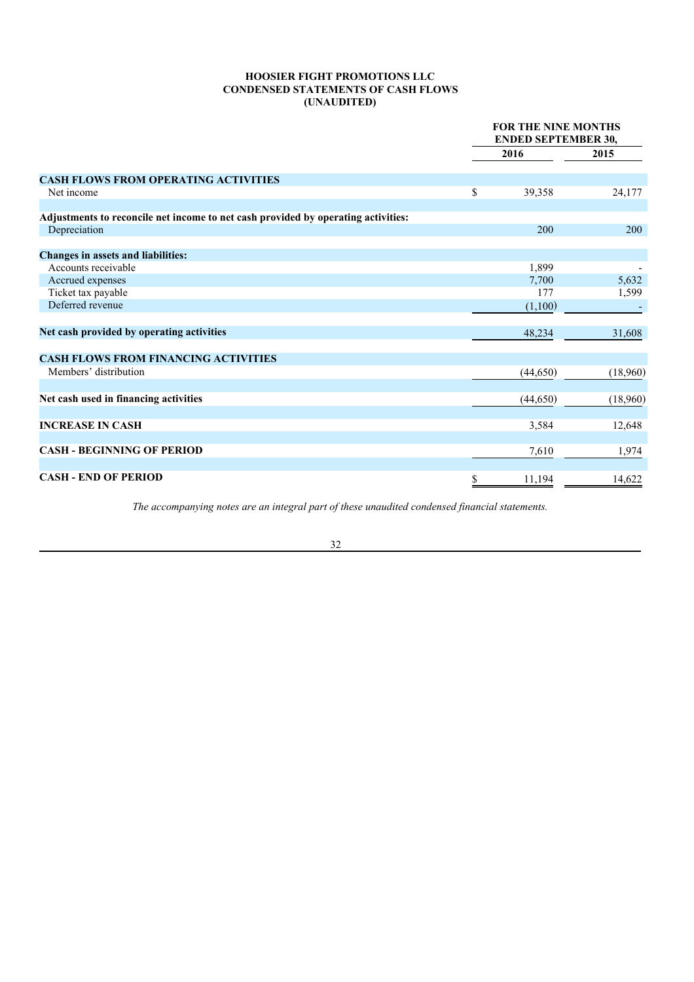### **HOOSIER FIGHT PROMOTIONS LLC CONDENSED STATEMENTS OF CASH FLOWS (UNAUDITED)**

|                                                                                   | <b>FOR THE NINE MONTHS</b><br><b>ENDED SEPTEMBER 30,</b> |           |          |  |
|-----------------------------------------------------------------------------------|----------------------------------------------------------|-----------|----------|--|
|                                                                                   |                                                          | 2016      | 2015     |  |
| <b>CASH FLOWS FROM OPERATING ACTIVITIES</b>                                       |                                                          |           |          |  |
| Net income                                                                        | \$                                                       | 39,358    | 24,177   |  |
|                                                                                   |                                                          |           |          |  |
| Adjustments to reconcile net income to net cash provided by operating activities: |                                                          |           |          |  |
| Depreciation                                                                      |                                                          | 200       | 200      |  |
| <b>Changes in assets and liabilities:</b>                                         |                                                          |           |          |  |
| Accounts receivable                                                               |                                                          | 1,899     |          |  |
| Accrued expenses                                                                  |                                                          | 7,700     | 5,632    |  |
| Ticket tax payable                                                                |                                                          | 177       | 1,599    |  |
| Deferred revenue                                                                  |                                                          | (1,100)   |          |  |
| Net cash provided by operating activities                                         |                                                          | 48,234    | 31,608   |  |
| <b>CASH FLOWS FROM FINANCING ACTIVITIES</b>                                       |                                                          |           |          |  |
| Members' distribution                                                             |                                                          | (44, 650) | (18,960) |  |
| Net cash used in financing activities                                             |                                                          | (44, 650) | (18,960) |  |
| <b>INCREASE IN CASH</b>                                                           |                                                          | 3,584     | 12,648   |  |
| <b>CASH - BEGINNING OF PERIOD</b>                                                 |                                                          | 7,610     | 1,974    |  |
| <b>CASH - END OF PERIOD</b>                                                       | S                                                        | 11,194    | 14,622   |  |

*The accompanying notes are an integral part of these unaudited condensed financial statements.*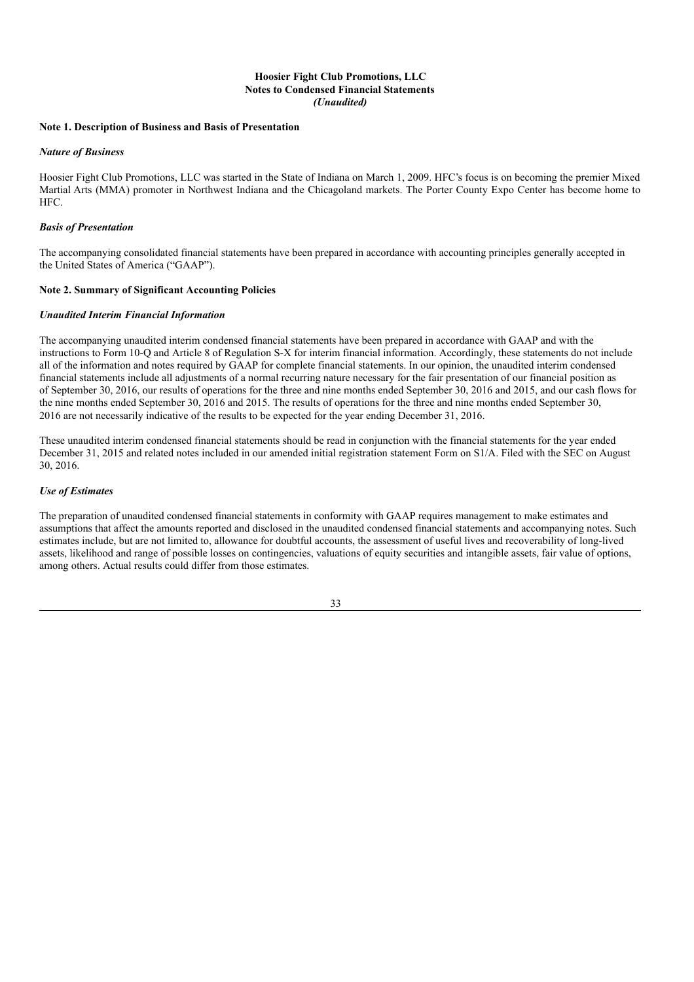### **Hoosier Fight Club Promotions, LLC Notes to Condensed Financial Statements** *(Unaudited)*

#### **Note 1. Description of Business and Basis of Presentation**

### *Nature of Business*

Hoosier Fight Club Promotions, LLC was started in the State of Indiana on March 1, 2009. HFC's focus is on becoming the premier Mixed Martial Arts (MMA) promoter in Northwest Indiana and the Chicagoland markets. The Porter County Expo Center has become home to HFC.

### *Basis of Presentation*

The accompanying consolidated financial statements have been prepared in accordance with accounting principles generally accepted in the United States of America ("GAAP").

### **Note 2. Summary of Significant Accounting Policies**

### *Unaudited Interim Financial Information*

The accompanying unaudited interim condensed financial statements have been prepared in accordance with GAAP and with the instructions to Form 10-Q and Article 8 of Regulation S-X for interim financial information. Accordingly, these statements do not include all of the information and notes required by GAAP for complete financial statements. In our opinion, the unaudited interim condensed financial statements include all adjustments of a normal recurring nature necessary for the fair presentation of our financial position as of September 30, 2016, our results of operations for the three and nine months ended September 30, 2016 and 2015, and our cash flows for the nine months ended September 30, 2016 and 2015. The results of operations for the three and nine months ended September 30, 2016 are not necessarily indicative of the results to be expected for the year ending December 31, 2016.

These unaudited interim condensed financial statements should be read in conjunction with the financial statements for the year ended December 31, 2015 and related notes included in our amended initial registration statement Form on S1/A. Filed with the SEC on August 30, 2016.

### *Use of Estimates*

The preparation of unaudited condensed financial statements in conformity with GAAP requires management to make estimates and assumptions that affect the amounts reported and disclosed in the unaudited condensed financial statements and accompanying notes. Such estimates include, but are not limited to, allowance for doubtful accounts, the assessment of useful lives and recoverability of long-lived assets, likelihood and range of possible losses on contingencies, valuations of equity securities and intangible assets, fair value of options, among others. Actual results could differ from those estimates.

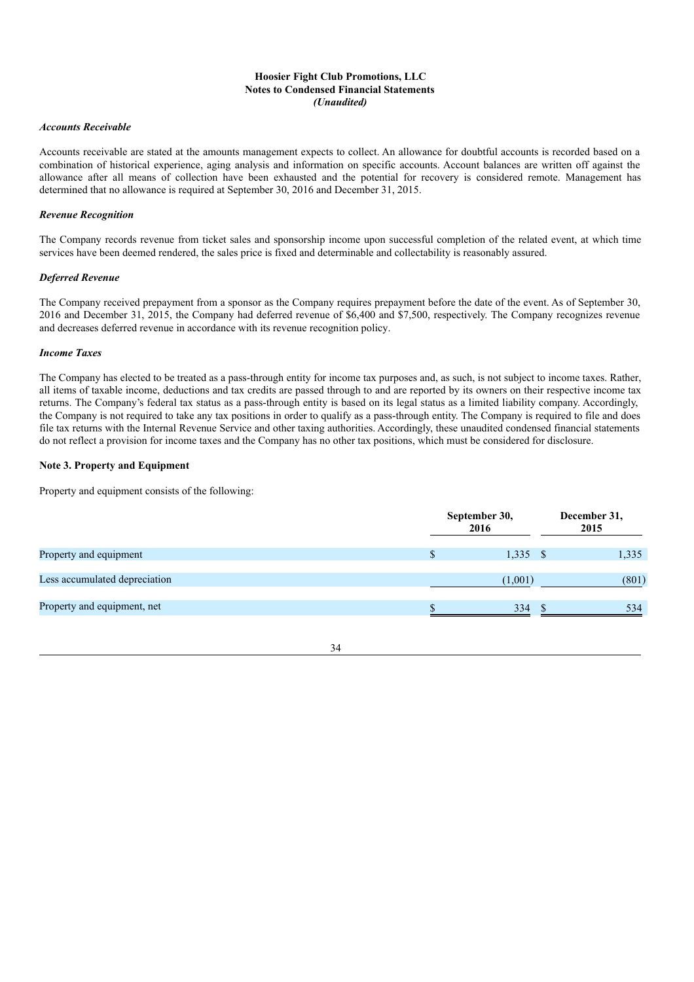### **Hoosier Fight Club Promotions, LLC Notes to Condensed Financial Statements** *(Unaudited)*

### *Accounts Receivable*

Accounts receivable are stated at the amounts management expects to collect. An allowance for doubtful accounts is recorded based on a combination of historical experience, aging analysis and information on specific accounts. Account balances are written off against the allowance after all means of collection have been exhausted and the potential for recovery is considered remote. Management has determined that no allowance is required at September 30, 2016 and December 31, 2015.

### *Revenue Recognition*

The Company records revenue from ticket sales and sponsorship income upon successful completion of the related event, at which time services have been deemed rendered, the sales price is fixed and determinable and collectability is reasonably assured.

### *Deferred Revenue*

The Company received prepayment from a sponsor as the Company requires prepayment before the date of the event. As of September 30, 2016 and December 31, 2015, the Company had deferred revenue of \$6,400 and \$7,500, respectively. The Company recognizes revenue and decreases deferred revenue in accordance with its revenue recognition policy.

### *Income Taxes*

The Company has elected to be treated as a pass-through entity for income tax purposes and, as such, is not subject to income taxes. Rather, all items of taxable income, deductions and tax credits are passed through to and are reported by its owners on their respective income tax returns. The Company's federal tax status as a pass-through entity is based on its legal status as a limited liability company. Accordingly, the Company is not required to take any tax positions in order to qualify as a pass-through entity. The Company is required to file and does file tax returns with the Internal Revenue Service and other taxing authorities. Accordingly, these unaudited condensed financial statements do not reflect a provision for income taxes and the Company has no other tax positions, which must be considered for disclosure.

### **Note 3. Property and Equipment**

Property and equipment consists of the following:

|                               |   | September 30,<br>2016 |  | December 31,<br>2015 |  |
|-------------------------------|---|-----------------------|--|----------------------|--|
| Property and equipment        | S | $1,335$ \$            |  | 1,335                |  |
| Less accumulated depreciation |   | (1,001)               |  | (801)                |  |
| Property and equipment, net   |   | 334                   |  | 534                  |  |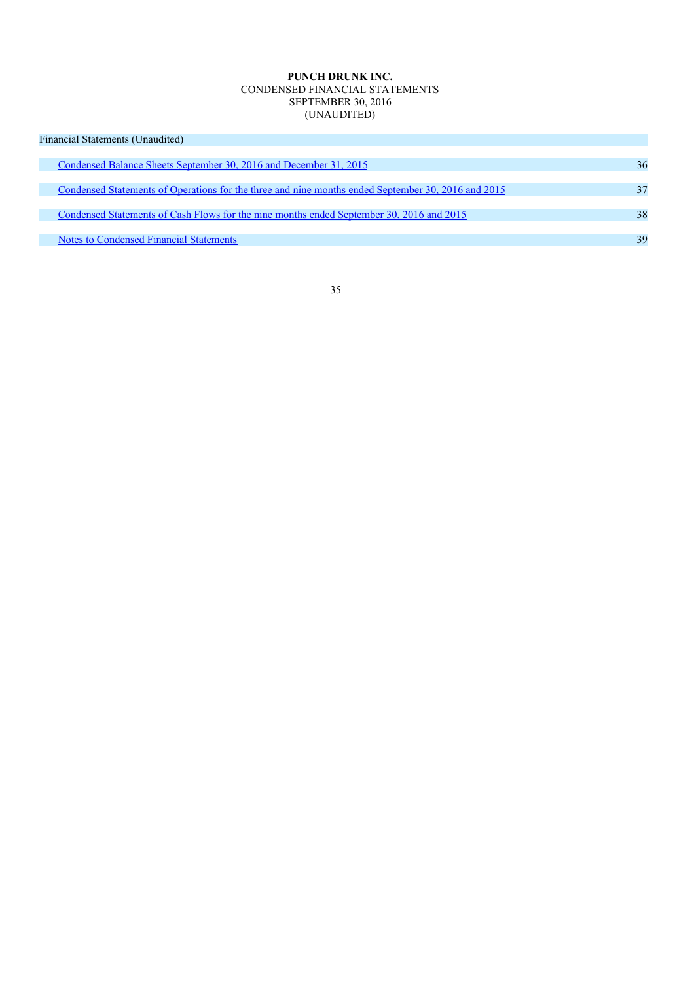### **PUNCH DRUNK INC.** CONDENSED FINANCIAL STATEMENTS SEPTEMBER 30, 2016 (UNAUDITED)

| Financial Statements (Unaudited)                                                                   |    |
|----------------------------------------------------------------------------------------------------|----|
|                                                                                                    |    |
| Condensed Balance Sheets September 30, 2016 and December 31, 2015                                  | 36 |
|                                                                                                    |    |
| Condensed Statements of Operations for the three and nine months ended September 30, 2016 and 2015 | 37 |
|                                                                                                    |    |
| Condensed Statements of Cash Flows for the nine months ended September 30, 2016 and 2015           | 38 |
|                                                                                                    |    |
| <b>Notes to Condensed Financial Statements</b>                                                     | 39 |
|                                                                                                    |    |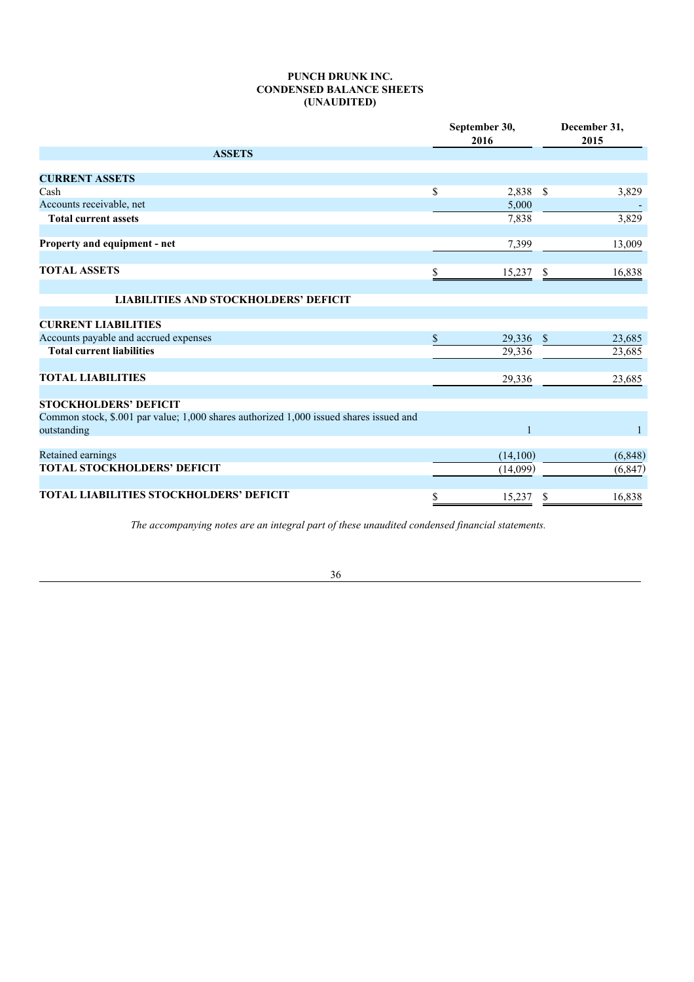### **PUNCH DRUNK INC. CONDENSED BALANCE SHEETS (UNAUDITED)**

|                                                                                                       |    | September 30,<br>2016 |                    | December 31,<br>2015 |  |
|-------------------------------------------------------------------------------------------------------|----|-----------------------|--------------------|----------------------|--|
| <b>ASSETS</b>                                                                                         |    |                       |                    |                      |  |
| <b>CURRENT ASSETS</b>                                                                                 |    |                       |                    |                      |  |
| Cash                                                                                                  | \$ | 2,838                 | $\mathbf{\hat{S}}$ | 3,829                |  |
| Accounts receivable, net                                                                              |    | 5,000                 |                    |                      |  |
| <b>Total current assets</b>                                                                           |    | 7,838                 |                    | 3,829                |  |
| Property and equipment - net                                                                          |    | 7,399                 |                    | 13,009               |  |
| <b>TOTAL ASSETS</b>                                                                                   |    | 15,237                |                    | 16,838               |  |
| <b>LIABILITIES AND STOCKHOLDERS' DEFICIT</b>                                                          |    |                       |                    |                      |  |
| <b>CURRENT LIABILITIES</b>                                                                            |    |                       |                    |                      |  |
| Accounts payable and accrued expenses                                                                 | \$ | 29,336                | <sup>\$</sup>      | 23,685               |  |
| <b>Total current liabilities</b>                                                                      |    | 29,336                |                    | 23,685               |  |
| <b>TOTAL LIABILITIES</b>                                                                              |    | 29,336                |                    | 23,685               |  |
| <b>STOCKHOLDERS' DEFICIT</b>                                                                          |    |                       |                    |                      |  |
| Common stock, \$.001 par value; 1,000 shares authorized 1,000 issued shares issued and<br>outstanding |    |                       |                    |                      |  |
| Retained earnings                                                                                     |    | (14,100)              |                    | (6,848)              |  |
| <b>TOTAL STOCKHOLDERS' DEFICIT</b>                                                                    |    | (14,099)              |                    | (6, 847)             |  |
| <b>TOTAL LIABILITIES STOCKHOLDERS' DEFICIT</b>                                                        | S  | 15,237                | S                  | 16,838               |  |

*The accompanying notes are an integral part of these unaudited condensed financial statements.*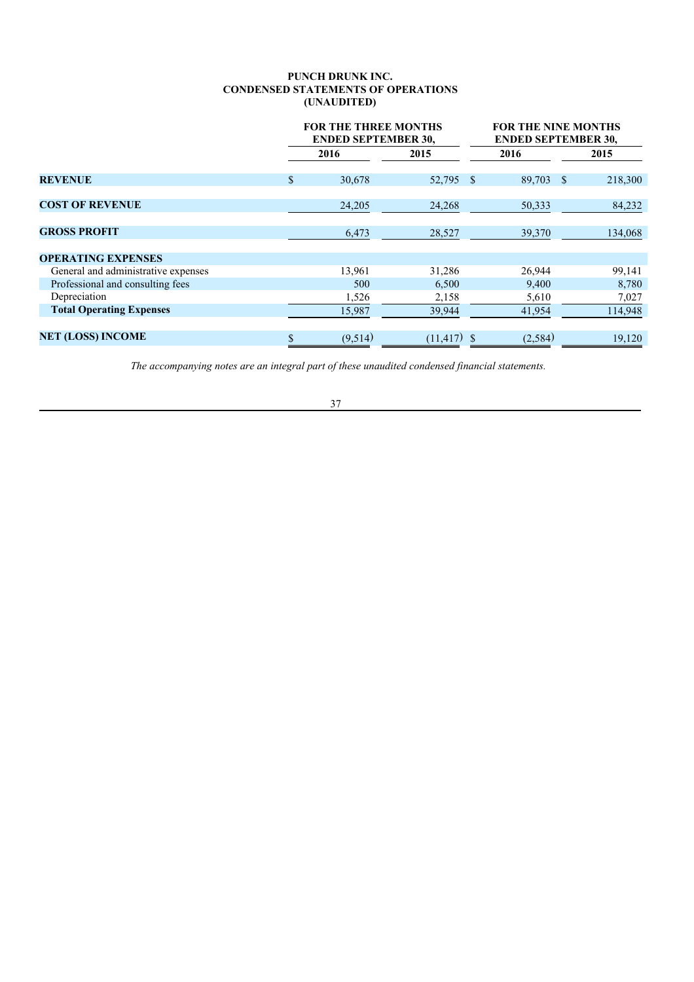### **PUNCH DRUNK INC. CONDENSED STATEMENTS OF OPERATIONS (UNAUDITED)**

|                                     | <b>FOR THE THREE MONTHS</b><br><b>ENDED SEPTEMBER 30,</b> |         |                | <b>FOR THE NINE MONTHS</b><br><b>ENDED SEPTEMBER 30,</b> |           |  |         |
|-------------------------------------|-----------------------------------------------------------|---------|----------------|----------------------------------------------------------|-----------|--|---------|
|                                     |                                                           | 2016    | 2015           |                                                          | 2016      |  | 2015    |
| <b>REVENUE</b>                      | \$                                                        | 30,678  | 52,795         | - \$                                                     | 89,703 \$ |  | 218,300 |
| <b>COST OF REVENUE</b>              |                                                           | 24,205  | 24,268         |                                                          | 50,333    |  | 84,232  |
| <b>GROSS PROFIT</b>                 |                                                           | 6,473   | 28,527         |                                                          | 39,370    |  | 134,068 |
| <b>OPERATING EXPENSES</b>           |                                                           |         |                |                                                          |           |  |         |
| General and administrative expenses |                                                           | 13,961  | 31,286         |                                                          | 26,944    |  | 99,141  |
| Professional and consulting fees    |                                                           | 500     | 6,500          |                                                          | 9,400     |  | 8,780   |
| Depreciation                        |                                                           | 1,526   | 2,158          |                                                          | 5,610     |  | 7,027   |
| <b>Total Operating Expenses</b>     |                                                           | 15,987  | 39,944         |                                                          | 41,954    |  | 114,948 |
| <b>NET (LOSS) INCOME</b>            | \$                                                        | (9,514) | $(11, 417)$ \$ |                                                          | (2,584)   |  | 19,120  |

*The accompanying notes are an integral part of these unaudited condensed financial statements.*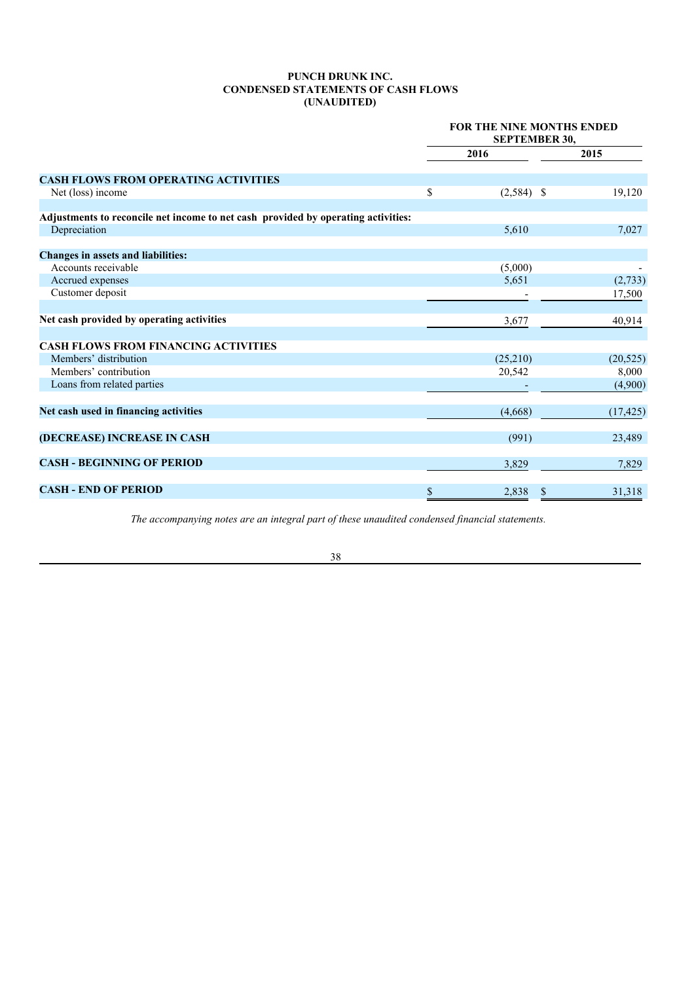# **PUNCH DRUNK INC. CONDENSED STATEMENTS OF CASH FLOWS (UNAUDITED)**

|                                                                                   | FOR THE NINE MONTHS ENDED<br><b>SEPTEMBER 30,</b> |              |   |           |
|-----------------------------------------------------------------------------------|---------------------------------------------------|--------------|---|-----------|
|                                                                                   |                                                   | 2016         |   | 2015      |
| <b>CASH FLOWS FROM OPERATING ACTIVITIES</b>                                       |                                                   |              |   |           |
| Net (loss) income                                                                 | \$                                                | $(2,584)$ \$ |   | 19,120    |
| Adjustments to reconcile net income to net cash provided by operating activities: |                                                   |              |   |           |
| Depreciation                                                                      |                                                   | 5,610        |   | 7,027     |
| Changes in assets and liabilities:                                                |                                                   |              |   |           |
| Accounts receivable                                                               |                                                   | (5,000)      |   |           |
| Accrued expenses                                                                  |                                                   | 5,651        |   | (2,733)   |
| Customer deposit                                                                  |                                                   |              |   | 17,500    |
| Net cash provided by operating activities                                         |                                                   | 3,677        |   | 40,914    |
| <b>CASH FLOWS FROM FINANCING ACTIVITIES</b>                                       |                                                   |              |   |           |
| Members' distribution                                                             |                                                   | (25,210)     |   | (20, 525) |
| Members' contribution                                                             |                                                   | 20,542       |   | 8,000     |
| Loans from related parties                                                        |                                                   |              |   | (4,900)   |
| Net cash used in financing activities                                             |                                                   | (4,668)      |   | (17, 425) |
| (DECREASE) INCREASE IN CASH                                                       |                                                   | (991)        |   | 23,489    |
| <b>CASH - BEGINNING OF PERIOD</b>                                                 |                                                   | 3,829        |   | 7,829     |
| <b>CASH - END OF PERIOD</b>                                                       | \$                                                | 2,838        | S | 31,318    |
|                                                                                   |                                                   |              |   |           |

*The accompanying notes are an integral part of these unaudited condensed financial statements.*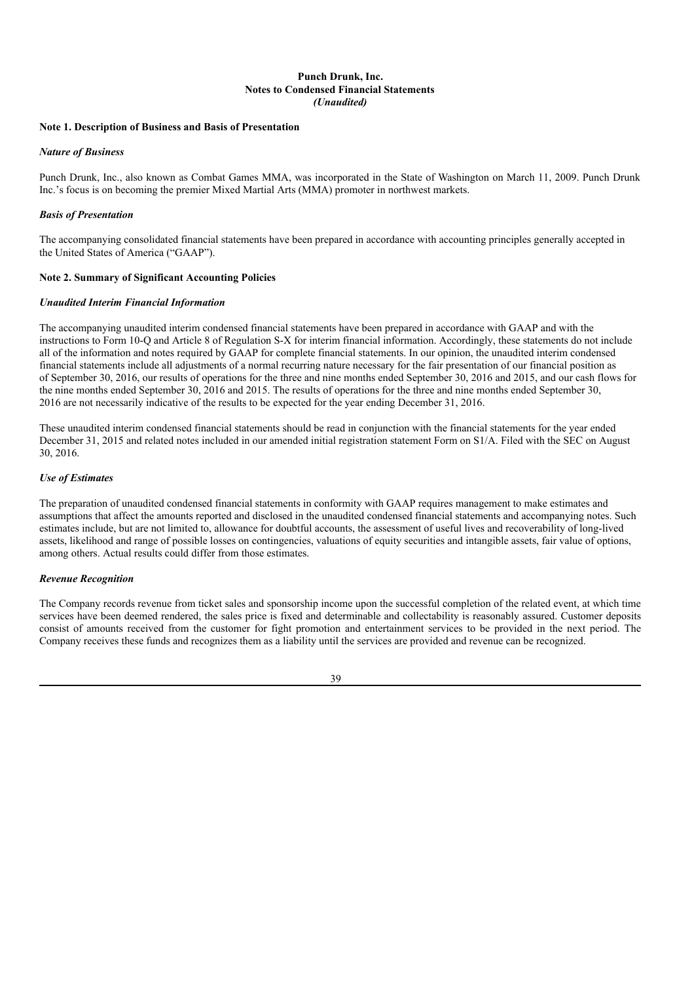#### **Punch Drunk, Inc. Notes to Condensed Financial Statements** *(Unaudited)*

#### **Note 1. Description of Business and Basis of Presentation**

#### *Nature of Business*

Punch Drunk, Inc., also known as Combat Games MMA, was incorporated in the State of Washington on March 11, 2009. Punch Drunk Inc.'s focus is on becoming the premier Mixed Martial Arts (MMA) promoter in northwest markets.

### *Basis of Presentation*

The accompanying consolidated financial statements have been prepared in accordance with accounting principles generally accepted in the United States of America ("GAAP").

#### **Note 2. Summary of Significant Accounting Policies**

#### *Unaudited Interim Financial Information*

The accompanying unaudited interim condensed financial statements have been prepared in accordance with GAAP and with the instructions to Form 10-Q and Article 8 of Regulation S-X for interim financial information. Accordingly, these statements do not include all of the information and notes required by GAAP for complete financial statements. In our opinion, the unaudited interim condensed financial statements include all adjustments of a normal recurring nature necessary for the fair presentation of our financial position as of September 30, 2016, our results of operations for the three and nine months ended September 30, 2016 and 2015, and our cash flows for the nine months ended September 30, 2016 and 2015. The results of operations for the three and nine months ended September 30, 2016 are not necessarily indicative of the results to be expected for the year ending December 31, 2016.

These unaudited interim condensed financial statements should be read in conjunction with the financial statements for the year ended December 31, 2015 and related notes included in our amended initial registration statement Form on S1/A. Filed with the SEC on August 30, 2016.

### *Use of Estimates*

The preparation of unaudited condensed financial statements in conformity with GAAP requires management to make estimates and assumptions that affect the amounts reported and disclosed in the unaudited condensed financial statements and accompanying notes. Such estimates include, but are not limited to, allowance for doubtful accounts, the assessment of useful lives and recoverability of long-lived assets, likelihood and range of possible losses on contingencies, valuations of equity securities and intangible assets, fair value of options, among others. Actual results could differ from those estimates.

#### *Revenue Recognition*

The Company records revenue from ticket sales and sponsorship income upon the successful completion of the related event, at which time services have been deemed rendered, the sales price is fixed and determinable and collectability is reasonably assured. Customer deposits consist of amounts received from the customer for fight promotion and entertainment services to be provided in the next period. The Company receives these funds and recognizes them as a liability until the services are provided and revenue can be recognized.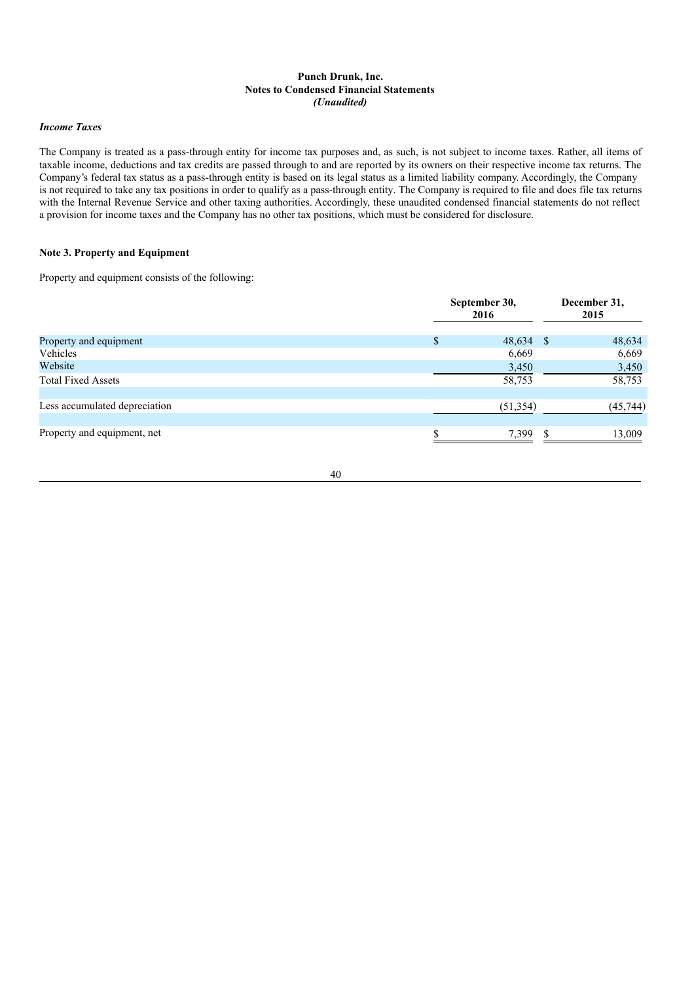### **Punch Drunk, Inc. Notes to Condensed Financial Statements** *(Unaudited)*

#### *Income Taxes*

The Company is treated as a pass-through entity for income tax purposes and, as such, is not subject to income taxes. Rather, all items of taxable income, deductions and tax credits are passed through to and are reported by its owners on their respective income tax returns. The Company's federal tax status as a pass-through entity is based on its legal status as a limited liability company. Accordingly, the Company is not required to take any tax positions in order to qualify as a pass-through entity. The Company is required to file and does file tax returns with the Internal Revenue Service and other taxing authorities. Accordingly, these unaudited condensed financial statements do not reflect a provision for income taxes and the Company has no other tax positions, which must be considered for disclosure.

# **Note 3. Property and Equipment**

Property and equipment consists of the following:

|                               | September 30,<br>2016 |           |     | December 31,<br>2015 |  |  |
|-------------------------------|-----------------------|-----------|-----|----------------------|--|--|
| Property and equipment        | \$                    | 48,634    | - S | 48,634               |  |  |
| Vehicles                      |                       | 6,669     |     | 6,669                |  |  |
| Website                       |                       | 3,450     |     | 3,450                |  |  |
| Total Fixed Assets            |                       | 58,753    |     | 58,753               |  |  |
| Less accumulated depreciation |                       | (51, 354) |     | (45, 744)            |  |  |
| Property and equipment, net   |                       | 7.399     |     | 13,009               |  |  |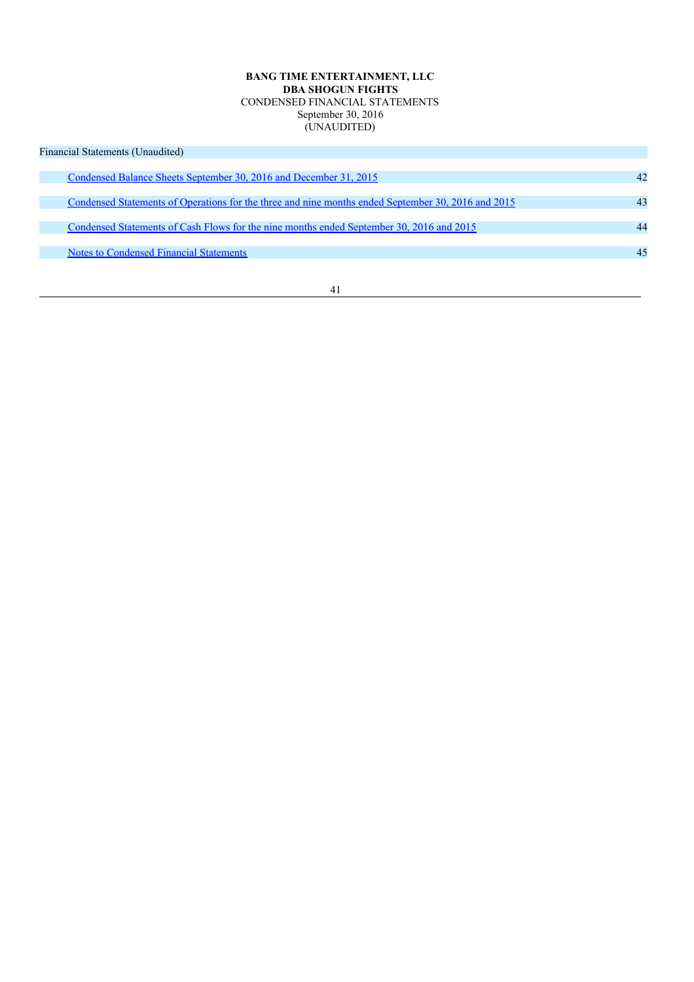# **BANG TIME ENTERTAINMENT, LLC DBA SHOGUN FIGHTS** CONDENSED FINANCIAL STATEMENTS September 30, 2016 (UNAUDITED)

| Financial Statements (Unaudited)                                                                   |     |
|----------------------------------------------------------------------------------------------------|-----|
| Condensed Balance Sheets September 30, 2016 and December 31, 2015                                  | 42. |
| Condensed Statements of Operations for the three and nine months ended September 30, 2016 and 2015 | 43  |
| Condensed Statements of Cash Flows for the nine months ended September 30, 2016 and 2015           | 44  |
| Notes to Condensed Financial Statements                                                            | 45  |
|                                                                                                    |     |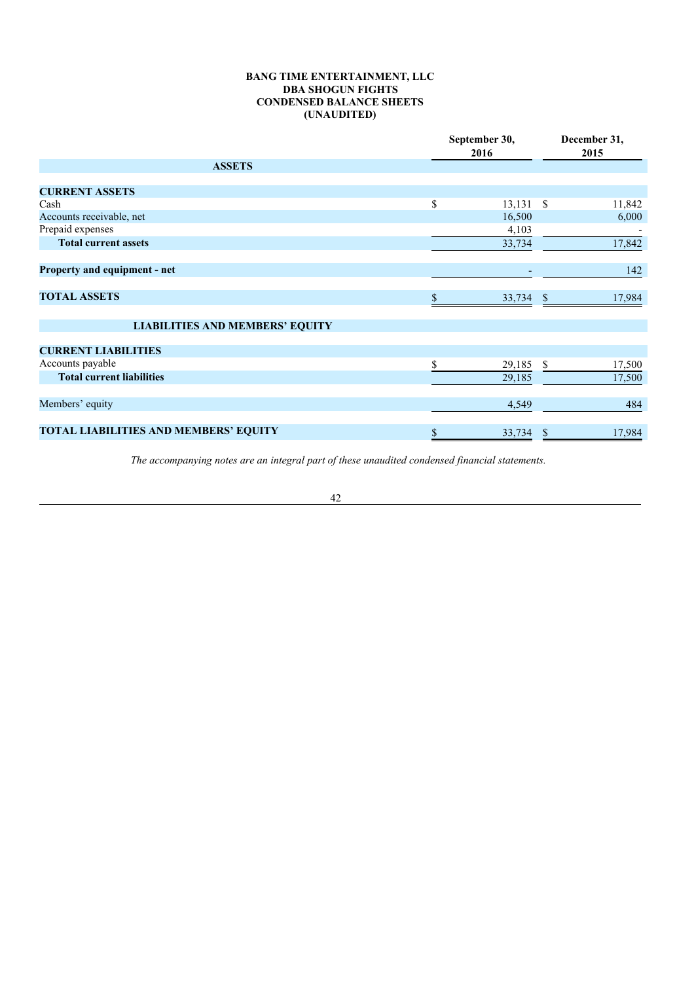# **BANG TIME ENTERTAINMENT, LLC DBA SHOGUN FIGHTS CONDENSED BALANCE SHEETS (UNAUDITED)**

|                                        | September 30,<br>2016 |        |               | December 31,<br>2015 |  |  |
|----------------------------------------|-----------------------|--------|---------------|----------------------|--|--|
| <b>ASSETS</b>                          |                       |        |               |                      |  |  |
| <b>CURRENT ASSETS</b>                  |                       |        |               |                      |  |  |
| Cash                                   | <sup>\$</sup>         | 13,131 | - \$          | 11,842               |  |  |
| Accounts receivable, net               |                       | 16,500 |               | 6,000                |  |  |
| Prepaid expenses                       |                       | 4,103  |               |                      |  |  |
| <b>Total current assets</b>            |                       | 33,734 |               | 17,842               |  |  |
| Property and equipment - net           |                       |        |               | 142                  |  |  |
| <b>TOTAL ASSETS</b>                    |                       | 33,734 |               | 17,984               |  |  |
| <b>LIABILITIES AND MEMBERS' EQUITY</b> |                       |        |               |                      |  |  |
| <b>CURRENT LIABILITIES</b>             |                       |        |               |                      |  |  |
| Accounts payable                       | \$                    | 29,185 | <sup>\$</sup> | 17,500               |  |  |
| <b>Total current liabilities</b>       |                       | 29,185 |               | 17,500               |  |  |
| Members' equity                        |                       | 4,549  |               | 484                  |  |  |
| TOTAL LIABILITIES AND MEMBERS' EQUITY  |                       | 33,734 | S             | 17,984               |  |  |

*The accompanying notes are an integral part of these unaudited condensed financial statements.*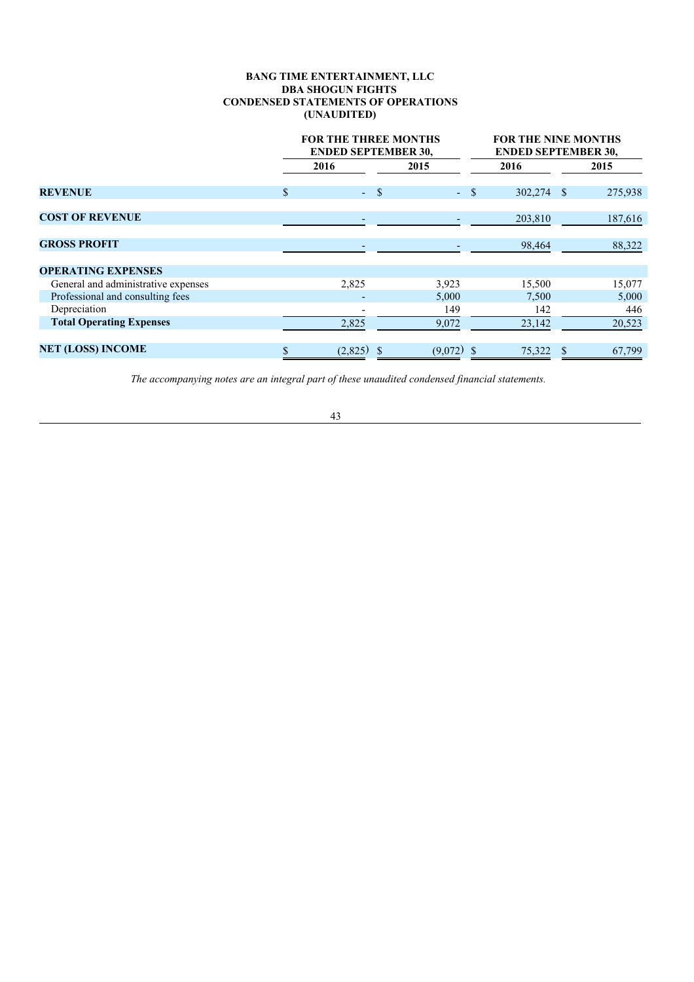# **BANG TIME ENTERTAINMENT, LLC DBA SHOGUN FIGHTS CONDENSED STATEMENTS OF OPERATIONS (UNAUDITED)**

|                                     | <b>FOR THE THREE MONTHS</b><br><b>ENDED SEPTEMBER 30,</b> |        |              |                    |            |  | <b>FOR THE NINE MONTHS</b><br><b>ENDED SEPTEMBER 30,</b> |  |
|-------------------------------------|-----------------------------------------------------------|--------|--------------|--------------------|------------|--|----------------------------------------------------------|--|
|                                     | 2016                                                      |        | 2015         |                    | 2016       |  | 2015                                                     |  |
| <b>REVENUE</b>                      | \$                                                        | $-$ \$ |              | $\mathbf{\hat{S}}$ | 302,274 \$ |  | 275,938                                                  |  |
| <b>COST OF REVENUE</b>              |                                                           |        |              |                    | 203,810    |  | 187,616                                                  |  |
| <b>GROSS PROFIT</b>                 |                                                           |        |              |                    | 98,464     |  | 88,322                                                   |  |
| <b>OPERATING EXPENSES</b>           |                                                           |        |              |                    |            |  |                                                          |  |
| General and administrative expenses | 2,825                                                     |        | 3,923        |                    | 15,500     |  | 15,077                                                   |  |
| Professional and consulting fees    |                                                           |        | 5,000        |                    | 7,500      |  | 5,000                                                    |  |
| Depreciation                        |                                                           |        | 149          |                    | 142        |  | 446                                                      |  |
| <b>Total Operating Expenses</b>     | 2,825                                                     |        | 9,072        |                    | 23,142     |  | 20,523                                                   |  |
| <b>NET (LOSS) INCOME</b>            | (2,825)                                                   | \$     | $(9,072)$ \$ |                    | 75,322     |  | 67,799                                                   |  |

*The accompanying notes are an integral part of these unaudited condensed financial statements.*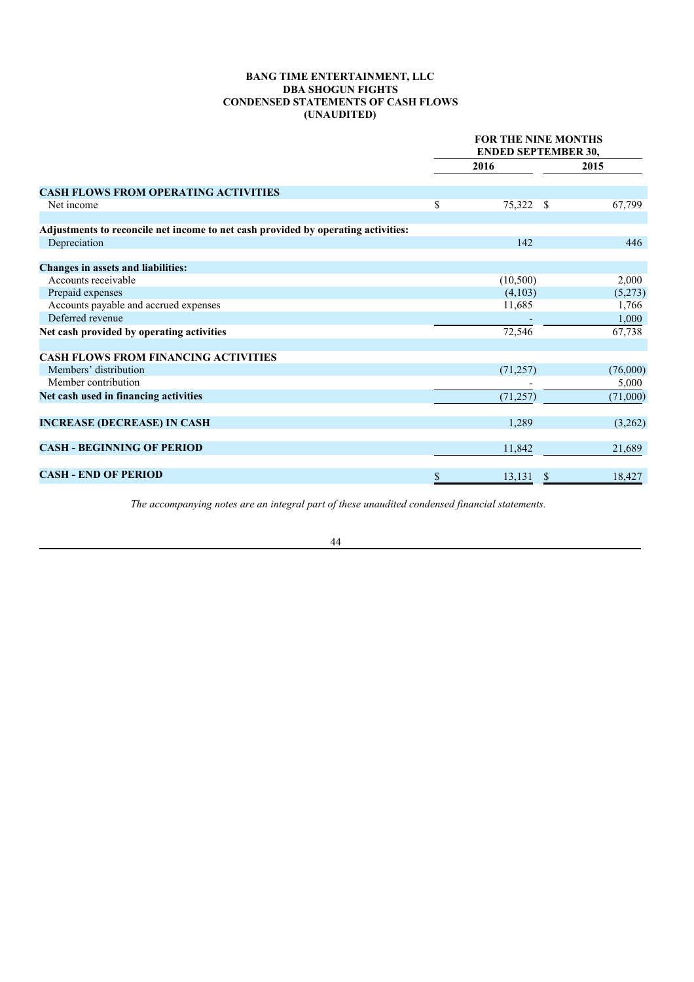# **BANG TIME ENTERTAINMENT, LLC DBA SHOGUN FIGHTS CONDENSED STATEMENTS OF CASH FLOWS (UNAUDITED)**

|                                                                                                   | <b>FOR THE NINE MONTHS</b><br><b>ENDED SEPTEMBER 30,</b> |           |      |          |  |
|---------------------------------------------------------------------------------------------------|----------------------------------------------------------|-----------|------|----------|--|
|                                                                                                   | 2016                                                     |           | 2015 |          |  |
| <b>CASH FLOWS FROM OPERATING ACTIVITIES</b>                                                       |                                                          |           |      |          |  |
| Net income                                                                                        | \$                                                       | 75,322 \$ |      | 67,799   |  |
| Adjustments to reconcile net income to net cash provided by operating activities:<br>Depreciation |                                                          | 142       |      | 446      |  |
| Changes in assets and liabilities:                                                                |                                                          |           |      |          |  |
| Accounts receivable                                                                               |                                                          | (10,500)  |      | 2,000    |  |
| Prepaid expenses                                                                                  |                                                          | (4,103)   |      | (5,273)  |  |
| Accounts payable and accrued expenses                                                             |                                                          | 11,685    |      | 1,766    |  |
| Deferred revenue                                                                                  |                                                          |           |      | 1,000    |  |
| Net cash provided by operating activities                                                         |                                                          | 72,546    |      | 67,738   |  |
| <b>CASH FLOWS FROM FINANCING ACTIVITIES</b>                                                       |                                                          |           |      |          |  |
| Members' distribution                                                                             |                                                          | (71, 257) |      | (76,000) |  |
| Member contribution                                                                               |                                                          |           |      | 5,000    |  |
| Net cash used in financing activities                                                             |                                                          | (71, 257) |      | (71,000) |  |
| <b>INCREASE (DECREASE) IN CASH</b>                                                                |                                                          | 1,289     |      | (3,262)  |  |
| <b>CASH - BEGINNING OF PERIOD</b>                                                                 |                                                          | 11,842    |      | 21,689   |  |
| <b>CASH - END OF PERIOD</b>                                                                       |                                                          | 13,131    | S    | 18,427   |  |

*The accompanying notes are an integral part of these unaudited condensed financial statements.*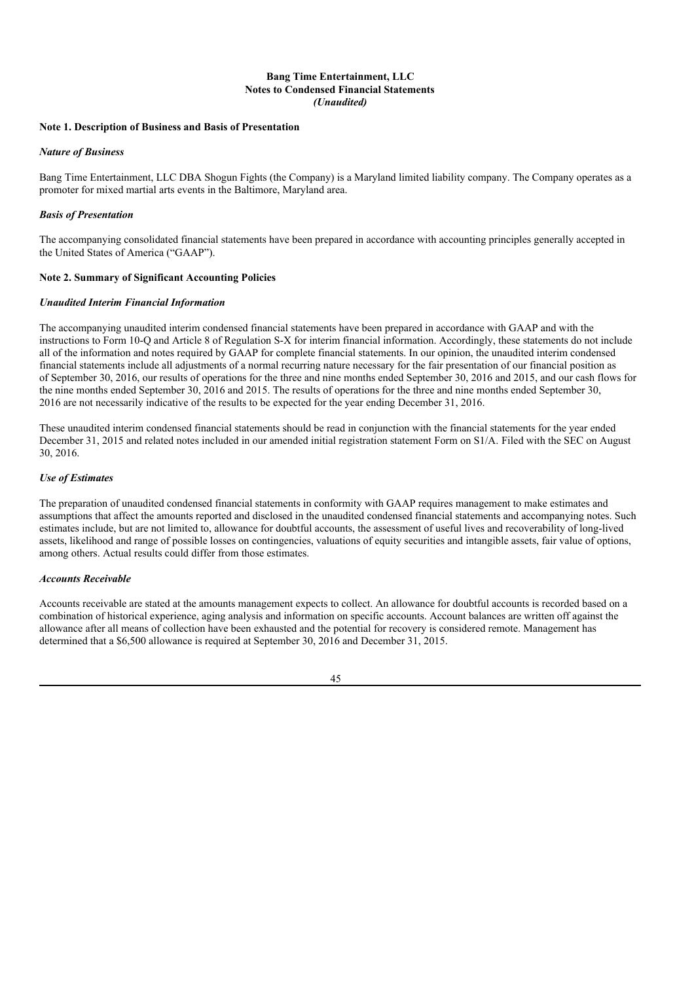#### **Bang Time Entertainment, LLC Notes to Condensed Financial Statements** *(Unaudited)*

#### **Note 1. Description of Business and Basis of Presentation**

#### *Nature of Business*

Bang Time Entertainment, LLC DBA Shogun Fights (the Company) is a Maryland limited liability company. The Company operates as a promoter for mixed martial arts events in the Baltimore, Maryland area.

#### *Basis of Presentation*

The accompanying consolidated financial statements have been prepared in accordance with accounting principles generally accepted in the United States of America ("GAAP").

#### **Note 2. Summary of Significant Accounting Policies**

#### *Unaudited Interim Financial Information*

The accompanying unaudited interim condensed financial statements have been prepared in accordance with GAAP and with the instructions to Form 10-Q and Article 8 of Regulation S-X for interim financial information. Accordingly, these statements do not include all of the information and notes required by GAAP for complete financial statements. In our opinion, the unaudited interim condensed financial statements include all adjustments of a normal recurring nature necessary for the fair presentation of our financial position as of September 30, 2016, our results of operations for the three and nine months ended September 30, 2016 and 2015, and our cash flows for the nine months ended September 30, 2016 and 2015. The results of operations for the three and nine months ended September 30, 2016 are not necessarily indicative of the results to be expected for the year ending December 31, 2016.

These unaudited interim condensed financial statements should be read in conjunction with the financial statements for the year ended December 31, 2015 and related notes included in our amended initial registration statement Form on S1/A. Filed with the SEC on August 30, 2016.

### *Use of Estimates*

The preparation of unaudited condensed financial statements in conformity with GAAP requires management to make estimates and assumptions that affect the amounts reported and disclosed in the unaudited condensed financial statements and accompanying notes. Such estimates include, but are not limited to, allowance for doubtful accounts, the assessment of useful lives and recoverability of long-lived assets, likelihood and range of possible losses on contingencies, valuations of equity securities and intangible assets, fair value of options, among others. Actual results could differ from those estimates.

#### *Accounts Receivable*

Accounts receivable are stated at the amounts management expects to collect. An allowance for doubtful accounts is recorded based on a combination of historical experience, aging analysis and information on specific accounts. Account balances are written off against the allowance after all means of collection have been exhausted and the potential for recovery is considered remote. Management has determined that a \$6,500 allowance is required at September 30, 2016 and December 31, 2015.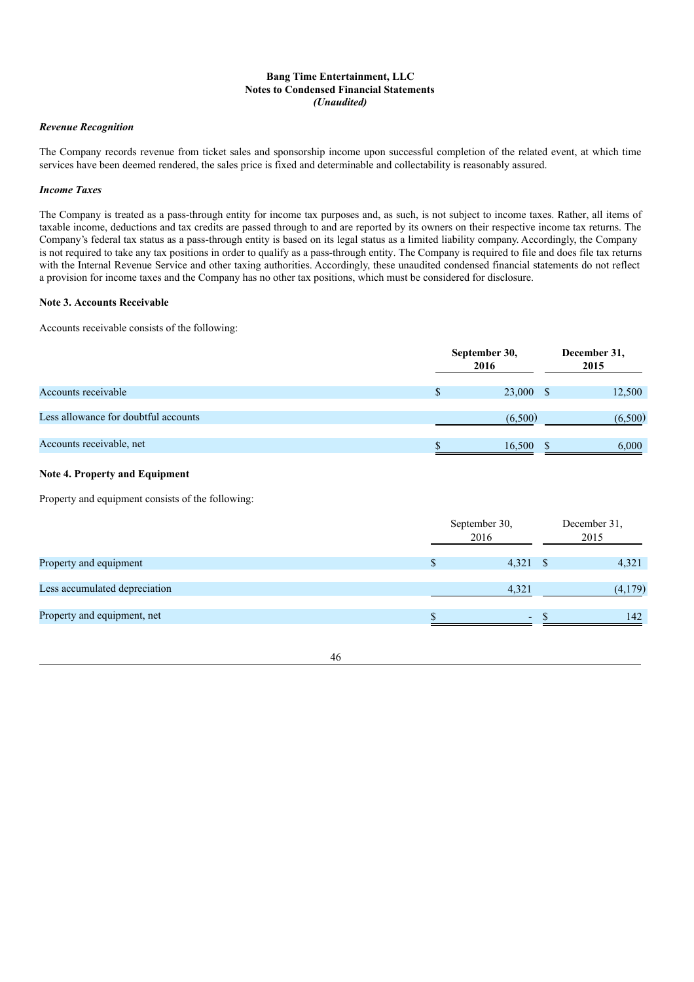### **Bang Time Entertainment, LLC Notes to Condensed Financial Statements** *(Unaudited)*

### *Revenue Recognition*

The Company records revenue from ticket sales and sponsorship income upon successful completion of the related event, at which time services have been deemed rendered, the sales price is fixed and determinable and collectability is reasonably assured.

#### *Income Taxes*

The Company is treated as a pass-through entity for income tax purposes and, as such, is not subject to income taxes. Rather, all items of taxable income, deductions and tax credits are passed through to and are reported by its owners on their respective income tax returns. The Company's federal tax status as a pass-through entity is based on its legal status as a limited liability company. Accordingly, the Company is not required to take any tax positions in order to qualify as a pass-through entity. The Company is required to file and does file tax returns with the Internal Revenue Service and other taxing authorities. Accordingly, these unaudited condensed financial statements do not reflect a provision for income taxes and the Company has no other tax positions, which must be considered for disclosure.

### **Note 3. Accounts Receivable**

Accounts receivable consists of the following:

| Accounts receivable                  | September 30,<br>2016 | December 31,<br>2015    |
|--------------------------------------|-----------------------|-------------------------|
|                                      |                       | 12,500<br>23,000<br>- 8 |
| Less allowance for doubtful accounts |                       | (6,500)<br>(6,500)      |
| Accounts receivable, net             |                       | 6,000<br>16,500         |

### **Note 4. Property and Equipment**

Property and equipment consists of the following:

|                               | September 30,<br>2016 |    | December 31,<br>2015 |  |  |
|-------------------------------|-----------------------|----|----------------------|--|--|
| Property and equipment        | 4,321                 | -8 | 4,321                |  |  |
| Less accumulated depreciation | 4,321                 |    | (4,179)              |  |  |
| Property and equipment, net   | $\sim$                | -S | 142                  |  |  |

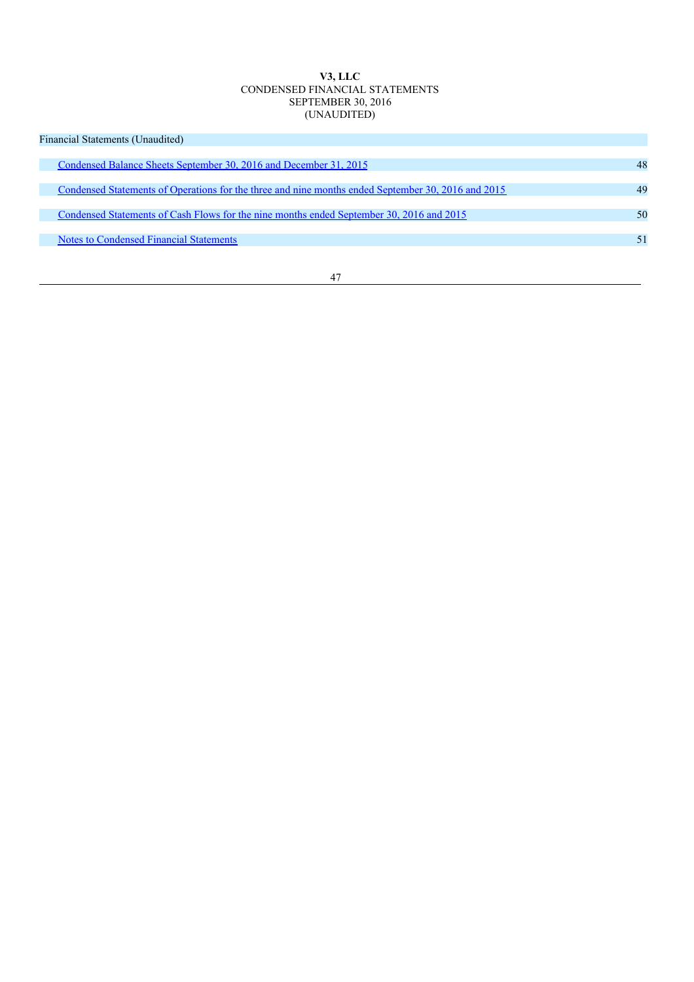# **V3, LLC** CONDENSED FINANCIAL STATEMENTS SEPTEMBER 30, 2016 (UNAUDITED)

| <b>Financial Statements (Unaudited)</b>                                                            |     |
|----------------------------------------------------------------------------------------------------|-----|
|                                                                                                    |     |
| Condensed Balance Sheets September 30, 2016 and December 31, 2015                                  | 48  |
|                                                                                                    |     |
| Condensed Statements of Operations for the three and nine months ended September 30, 2016 and 2015 | 49  |
|                                                                                                    |     |
| Condensed Statements of Cash Flows for the nine months ended September 30, 2016 and 2015           | 50  |
|                                                                                                    |     |
| <b>Notes to Condensed Financial Statements</b>                                                     | -51 |
|                                                                                                    |     |
|                                                                                                    |     |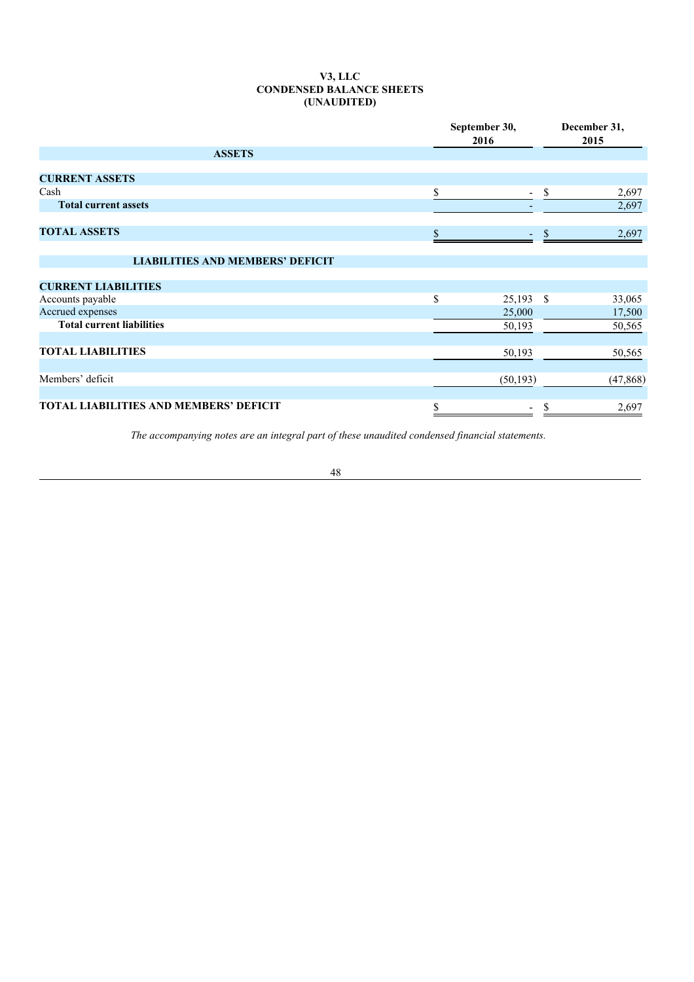# **V3, LLC CONDENSED BALANCE SHEETS (UNAUDITED)**

| September 30,<br>2016                         |    |                          | December 31,<br>2015 |
|-----------------------------------------------|----|--------------------------|----------------------|
| <b>ASSETS</b>                                 |    |                          |                      |
|                                               |    |                          |                      |
| <b>CURRENT ASSETS</b>                         |    |                          |                      |
| Cash                                          | \$ | $\overline{\phantom{a}}$ | \$<br>2,697          |
| <b>Total current assets</b>                   |    |                          | 2,697                |
| <b>TOTAL ASSETS</b>                           | \$ |                          | 2,697                |
|                                               |    |                          |                      |
| <b>LIABILITIES AND MEMBERS' DEFICIT</b>       |    |                          |                      |
| <b>CURRENT LIABILITIES</b>                    |    |                          |                      |
| Accounts payable                              | \$ | 25,193<br>- \$           | 33,065               |
| Accrued expenses                              |    | 25,000                   | 17,500               |
| <b>Total current liabilities</b>              |    | 50,193                   | 50,565               |
| <b>TOTAL LIABILITIES</b>                      |    | 50,193                   | 50,565               |
| Members' deficit                              |    | (50, 193)                | (47, 868)            |
| <b>TOTAL LIABILITIES AND MEMBERS' DEFICIT</b> | S  | $\overline{\phantom{a}}$ | \$<br>2,697          |

*The accompanying notes are an integral part of these unaudited condensed financial statements.*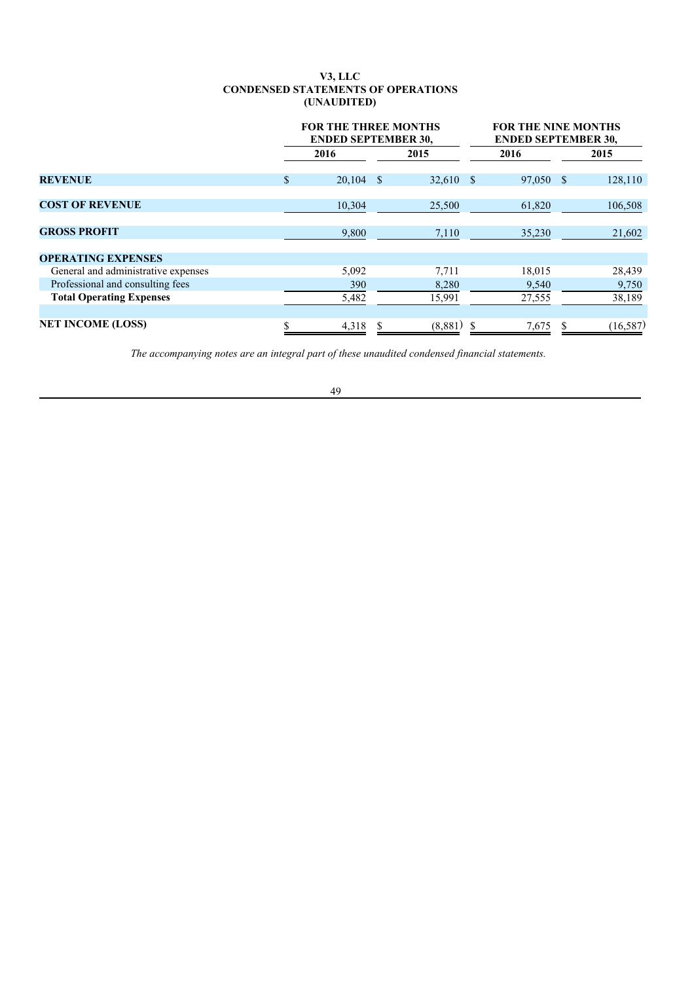# **V3, LLC CONDENSED STATEMENTS OF OPERATIONS (UNAUDITED)**

|                                     |    | <b>FOR THE THREE MONTHS</b><br><b>ENDED SEPTEMBER 30,</b> |  |         | <b>FOR THE NINE MONTHS</b><br><b>ENDED SEPTEMBER 30,</b> |           |  |           |
|-------------------------------------|----|-----------------------------------------------------------|--|---------|----------------------------------------------------------|-----------|--|-----------|
|                                     |    | 2016                                                      |  | 2015    |                                                          | 2016      |  | 2015      |
| <b>REVENUE</b>                      | \$ | $20,104$ \$                                               |  | 32,610  | -S                                                       | 97,050 \$ |  | 128,110   |
| <b>COST OF REVENUE</b>              |    | 10,304                                                    |  | 25,500  |                                                          | 61,820    |  | 106,508   |
| <b>GROSS PROFIT</b>                 |    | 9,800                                                     |  | 7,110   |                                                          | 35,230    |  | 21,602    |
| <b>OPERATING EXPENSES</b>           |    |                                                           |  |         |                                                          |           |  |           |
| General and administrative expenses |    | 5,092                                                     |  | 7,711   |                                                          | 18,015    |  | 28,439    |
| Professional and consulting fees    |    | 390                                                       |  | 8,280   |                                                          | 9,540     |  | 9,750     |
| <b>Total Operating Expenses</b>     |    | 5,482                                                     |  | 15,991  |                                                          | 27,555    |  | 38,189    |
| <b>NET INCOME (LOSS)</b>            | ¢  | 4,318                                                     |  | (8,881) |                                                          | 7,675     |  | (16, 587) |

*The accompanying notes are an integral part of these unaudited condensed financial statements.*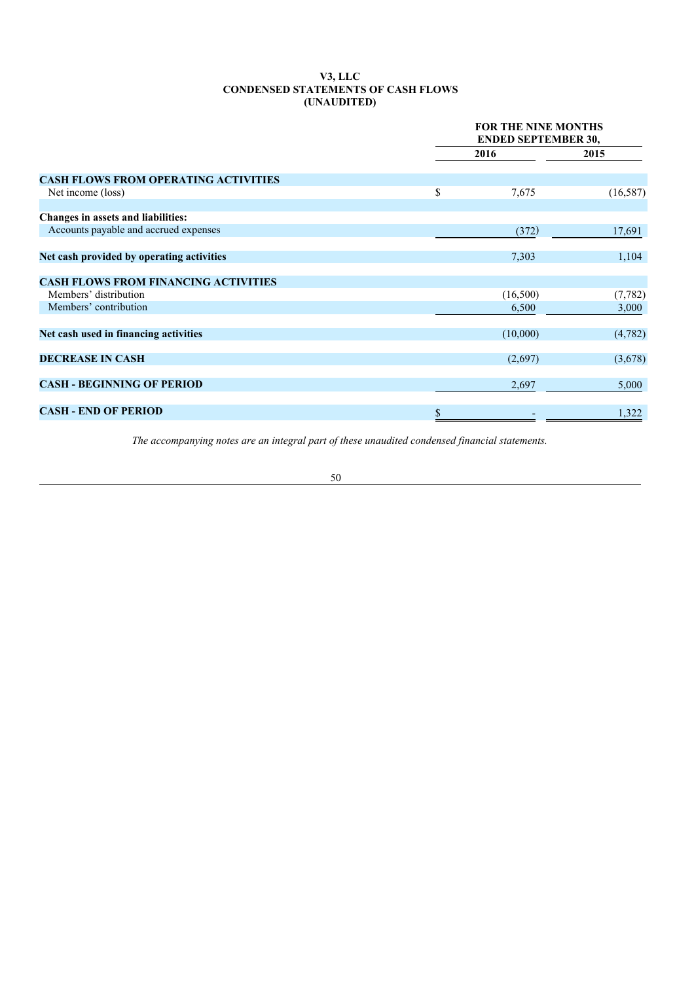# **V3, LLC CONDENSED STATEMENTS OF CASH FLOWS (UNAUDITED)**

|                                             | <b>FOR THE NINE MONTHS</b><br><b>ENDED SEPTEMBER 30,</b> |           |  |  |  |
|---------------------------------------------|----------------------------------------------------------|-----------|--|--|--|
|                                             | 2016                                                     | 2015      |  |  |  |
| <b>CASH FLOWS FROM OPERATING ACTIVITIES</b> |                                                          |           |  |  |  |
| Net income (loss)                           | \$<br>7,675                                              | (16, 587) |  |  |  |
| Changes in assets and liabilities:          |                                                          |           |  |  |  |
| Accounts payable and accrued expenses       | (372)                                                    | 17,691    |  |  |  |
| Net cash provided by operating activities   | 7,303                                                    | 1,104     |  |  |  |
| <b>CASH FLOWS FROM FINANCING ACTIVITIES</b> |                                                          |           |  |  |  |
| Members' distribution                       | (16,500)                                                 | (7, 782)  |  |  |  |
| Members' contribution                       | 6,500                                                    | 3,000     |  |  |  |
| Net cash used in financing activities       | (10,000)                                                 | (4,782)   |  |  |  |
| <b>DECREASE IN CASH</b>                     | (2,697)                                                  | (3,678)   |  |  |  |
| <b>CASH - BEGINNING OF PERIOD</b>           | 2,697                                                    | 5,000     |  |  |  |
| <b>CASH - END OF PERIOD</b>                 | \$                                                       | 1,322     |  |  |  |

*The accompanying notes are an integral part of these unaudited condensed financial statements.*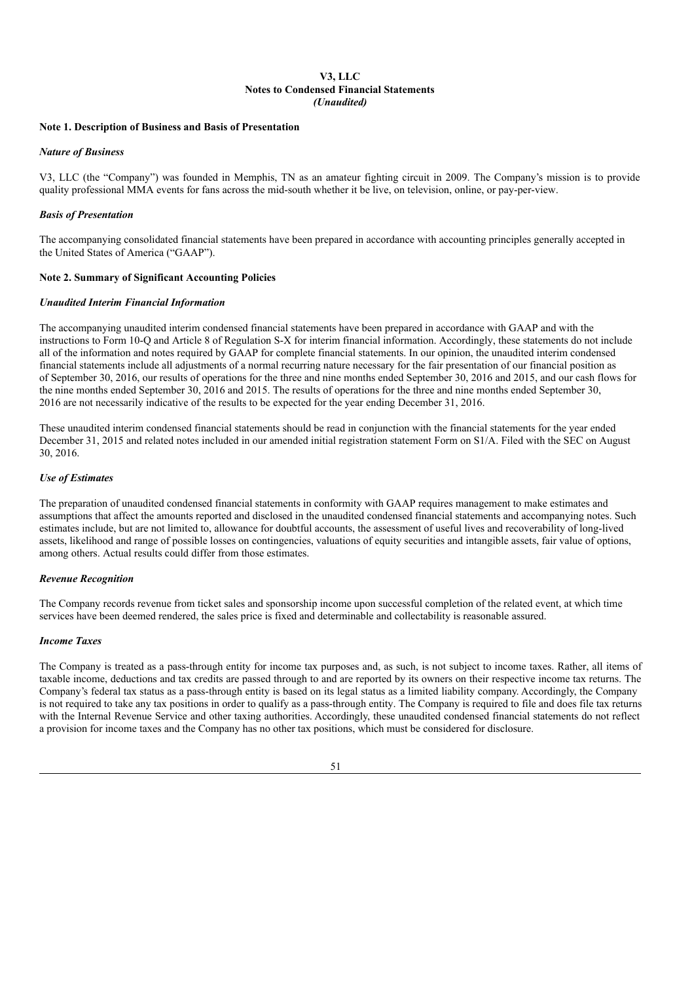#### **V3, LLC Notes to Condensed Financial Statements** *(Unaudited)*

#### **Note 1. Description of Business and Basis of Presentation**

#### *Nature of Business*

V3, LLC (the "Company") was founded in Memphis, TN as an amateur fighting circuit in 2009. The Company's mission is to provide quality professional MMA events for fans across the mid-south whether it be live, on television, online, or pay-per-view.

#### *Basis of Presentation*

The accompanying consolidated financial statements have been prepared in accordance with accounting principles generally accepted in the United States of America ("GAAP").

#### **Note 2. Summary of Significant Accounting Policies**

#### *Unaudited Interim Financial Information*

The accompanying unaudited interim condensed financial statements have been prepared in accordance with GAAP and with the instructions to Form 10-Q and Article 8 of Regulation S-X for interim financial information. Accordingly, these statements do not include all of the information and notes required by GAAP for complete financial statements. In our opinion, the unaudited interim condensed financial statements include all adjustments of a normal recurring nature necessary for the fair presentation of our financial position as of September 30, 2016, our results of operations for the three and nine months ended September 30, 2016 and 2015, and our cash flows for the nine months ended September 30, 2016 and 2015. The results of operations for the three and nine months ended September 30, 2016 are not necessarily indicative of the results to be expected for the year ending December 31, 2016.

These unaudited interim condensed financial statements should be read in conjunction with the financial statements for the year ended December 31, 2015 and related notes included in our amended initial registration statement Form on S1/A. Filed with the SEC on August 30, 2016.

### *Use of Estimates*

The preparation of unaudited condensed financial statements in conformity with GAAP requires management to make estimates and assumptions that affect the amounts reported and disclosed in the unaudited condensed financial statements and accompanying notes. Such estimates include, but are not limited to, allowance for doubtful accounts, the assessment of useful lives and recoverability of long-lived assets, likelihood and range of possible losses on contingencies, valuations of equity securities and intangible assets, fair value of options, among others. Actual results could differ from those estimates.

#### *Revenue Recognition*

The Company records revenue from ticket sales and sponsorship income upon successful completion of the related event, at which time services have been deemed rendered, the sales price is fixed and determinable and collectability is reasonable assured.

#### *Income Taxes*

The Company is treated as a pass-through entity for income tax purposes and, as such, is not subject to income taxes. Rather, all items of taxable income, deductions and tax credits are passed through to and are reported by its owners on their respective income tax returns. The Company's federal tax status as a pass-through entity is based on its legal status as a limited liability company. Accordingly, the Company is not required to take any tax positions in order to qualify as a pass-through entity. The Company is required to file and does file tax returns with the Internal Revenue Service and other taxing authorities. Accordingly, these unaudited condensed financial statements do not reflect a provision for income taxes and the Company has no other tax positions, which must be considered for disclosure.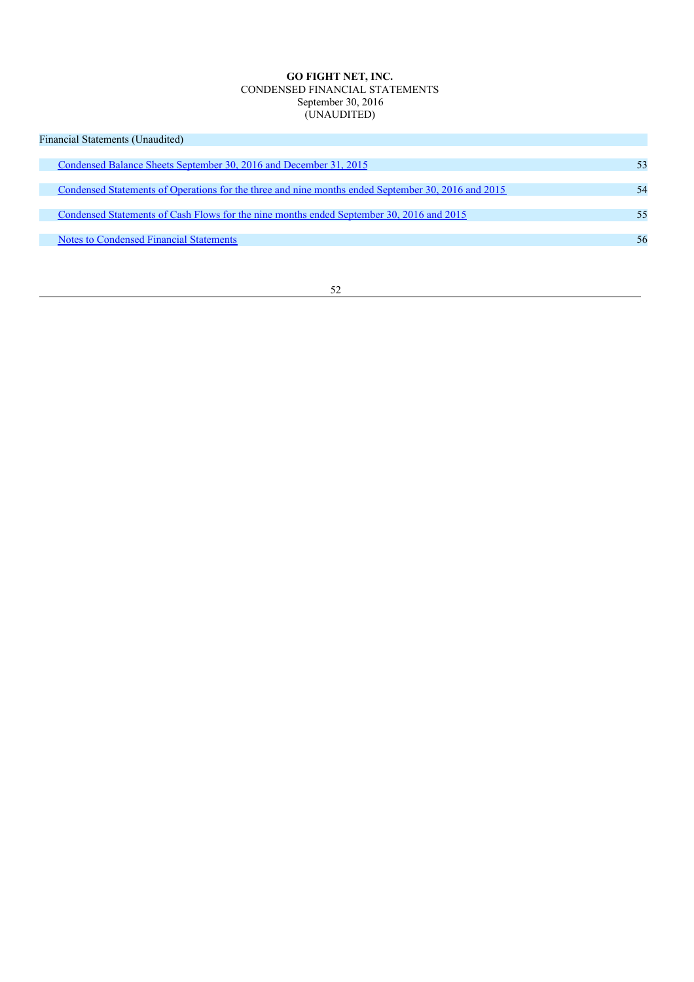# **GO FIGHT NET, INC.** CONDENSED FINANCIAL STATEMENTS September 30, 2016 (UNAUDITED)

| Financial Statements (Unaudited)                                                                   |     |
|----------------------------------------------------------------------------------------------------|-----|
|                                                                                                    |     |
| Condensed Balance Sheets September 30, 2016 and December 31, 2015                                  | 53  |
|                                                                                                    |     |
| Condensed Statements of Operations for the three and nine months ended September 30, 2016 and 2015 | -54 |
|                                                                                                    | 55  |
| Condensed Statements of Cash Flows for the nine months ended September 30, 2016 and 2015           |     |
| Notes to Condensed Financial Statements                                                            | -56 |
|                                                                                                    |     |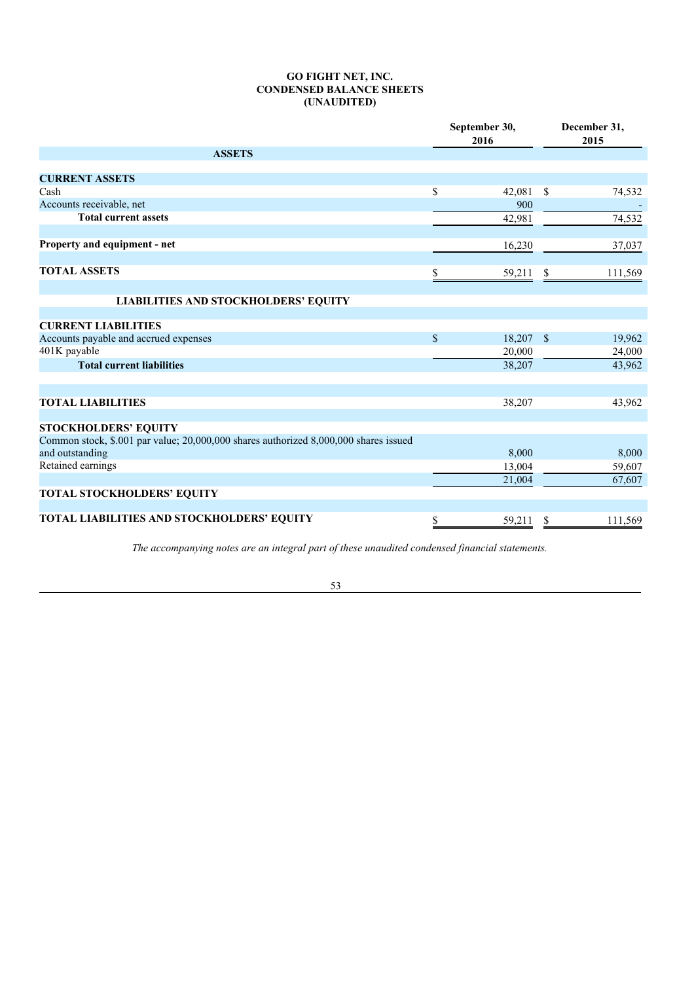# **GO FIGHT NET, INC. CONDENSED BALANCE SHEETS (UNAUDITED)**

|                                                                                                         |    | September 30,<br>2016 | December 31,<br>2015 |         |  |
|---------------------------------------------------------------------------------------------------------|----|-----------------------|----------------------|---------|--|
| <b>ASSETS</b>                                                                                           |    |                       |                      |         |  |
| <b>CURRENT ASSETS</b>                                                                                   |    |                       |                      |         |  |
| Cash                                                                                                    | \$ | 42,081                | <sup>\$</sup>        | 74,532  |  |
| Accounts receivable, net                                                                                |    | 900                   |                      |         |  |
| <b>Total current assets</b>                                                                             |    | 42,981                |                      | 74,532  |  |
| Property and equipment - net                                                                            |    |                       |                      |         |  |
|                                                                                                         |    | 16,230                |                      | 37,037  |  |
| <b>TOTAL ASSETS</b>                                                                                     |    | 59,211                | \$                   | 111,569 |  |
| <b>LIABILITIES AND STOCKHOLDERS' EQUITY</b>                                                             |    |                       |                      |         |  |
| <b>CURRENT LIABILITIES</b>                                                                              |    |                       |                      |         |  |
| Accounts payable and accrued expenses                                                                   | \$ | 18,207                | $\mathcal{S}$        | 19,962  |  |
| 401K payable                                                                                            |    | 20,000                |                      | 24,000  |  |
| <b>Total current liabilities</b>                                                                        |    | 38,207                |                      | 43,962  |  |
|                                                                                                         |    |                       |                      |         |  |
| <b>TOTAL LIABILITIES</b>                                                                                |    | 38,207                |                      | 43,962  |  |
| <b>STOCKHOLDERS' EQUITY</b>                                                                             |    |                       |                      |         |  |
| Common stock, \$.001 par value; 20,000,000 shares authorized 8,000,000 shares issued<br>and outstanding |    | 8,000                 |                      | 8,000   |  |
| Retained earnings                                                                                       |    | 13,004                |                      | 59,607  |  |
|                                                                                                         |    | 21,004                |                      | 67,607  |  |
| TOTAL STOCKHOLDERS' EQUITY                                                                              |    |                       |                      |         |  |
| TOTAL LIABILITIES AND STOCKHOLDERS' EQUITY                                                              | \$ | 59,211                | \$                   | 111,569 |  |

*The accompanying notes are an integral part of these unaudited condensed financial statements.*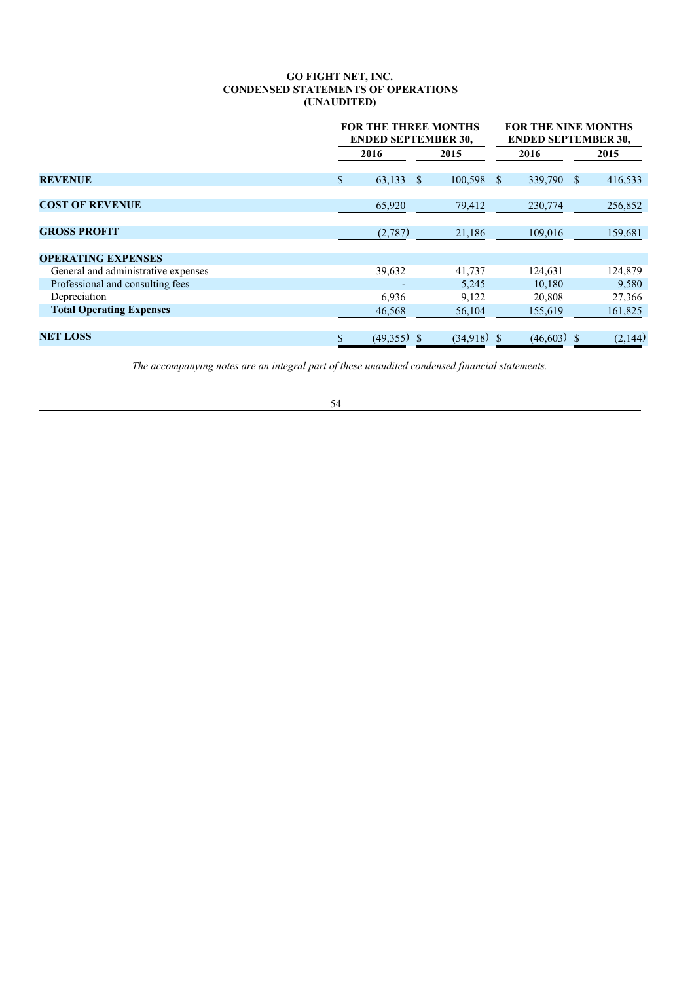### **GO FIGHT NET, INC. CONDENSED STATEMENTS OF OPERATIONS (UNAUDITED)**

|                                     | <b>FOR THE THREE MONTHS</b><br><b>ENDED SEPTEMBER 30,</b> |  |               | <b>FOR THE NINE MONTHS</b><br><b>ENDED SEPTEMBER 30,</b> |               |  |          |
|-------------------------------------|-----------------------------------------------------------|--|---------------|----------------------------------------------------------|---------------|--|----------|
|                                     | 2016                                                      |  | 2015          |                                                          | 2016          |  | 2015     |
| <b>REVENUE</b>                      | \$<br>$63,133$ \$                                         |  | 100,598       | -S                                                       | 339,790 \$    |  | 416,533  |
| <b>COST OF REVENUE</b>              | 65,920                                                    |  | 79,412        |                                                          | 230,774       |  | 256,852  |
| <b>GROSS PROFIT</b>                 | (2,787)                                                   |  | 21,186        |                                                          | 109,016       |  | 159,681  |
| <b>OPERATING EXPENSES</b>           |                                                           |  |               |                                                          |               |  |          |
| General and administrative expenses | 39,632                                                    |  | 41,737        |                                                          | 124,631       |  | 124,879  |
| Professional and consulting fees    |                                                           |  | 5,245         |                                                          | 10,180        |  | 9,580    |
| Depreciation                        | 6,936                                                     |  | 9,122         |                                                          | 20,808        |  | 27,366   |
| <b>Total Operating Expenses</b>     | 46,568                                                    |  | 56,104        |                                                          | 155,619       |  | 161,825  |
| <b>NET LOSS</b>                     | $(49,355)$ \$                                             |  | $(34,918)$ \$ |                                                          | $(46,603)$ \$ |  | (2, 144) |

*The accompanying notes are an integral part of these unaudited condensed financial statements.*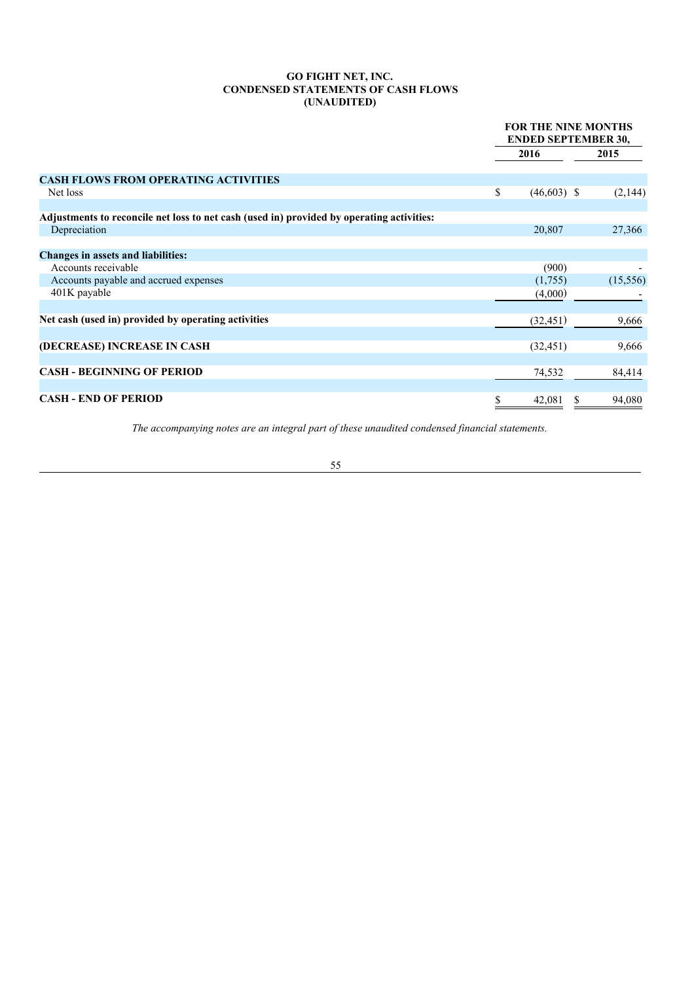### **GO FIGHT NET, INC. CONDENSED STATEMENTS OF CASH FLOWS (UNAUDITED)**

|                                                                                           | <b>FOR THE NINE MONTHS</b><br><b>ENDED SEPTEMBER 30,</b> |               |      |           |
|-------------------------------------------------------------------------------------------|----------------------------------------------------------|---------------|------|-----------|
|                                                                                           | 2016                                                     |               | 2015 |           |
| <b>CASH FLOWS FROM OPERATING ACTIVITIES</b>                                               |                                                          |               |      |           |
| Net loss                                                                                  | \$                                                       | $(46,603)$ \$ |      | (2,144)   |
| Adjustments to reconcile net loss to net cash (used in) provided by operating activities: |                                                          |               |      |           |
| Depreciation                                                                              |                                                          | 20,807        |      | 27,366    |
| <b>Changes in assets and liabilities:</b>                                                 |                                                          |               |      |           |
| Accounts receivable                                                                       |                                                          | (900)         |      |           |
| Accounts payable and accrued expenses                                                     |                                                          | (1,755)       |      | (15, 556) |
| 401K payable                                                                              |                                                          | (4,000)       |      |           |
| Net cash (used in) provided by operating activities                                       |                                                          | (32, 451)     |      | 9,666     |
| (DECREASE) INCREASE IN CASH                                                               |                                                          | (32, 451)     |      | 9,666     |
| <b>CASH - BEGINNING OF PERIOD</b>                                                         |                                                          | 74,532        |      | 84,414    |
| <b>CASH - END OF PERIOD</b>                                                               | \$                                                       | 42,081        |      | 94,080    |

*The accompanying notes are an integral part of these unaudited condensed financial statements.*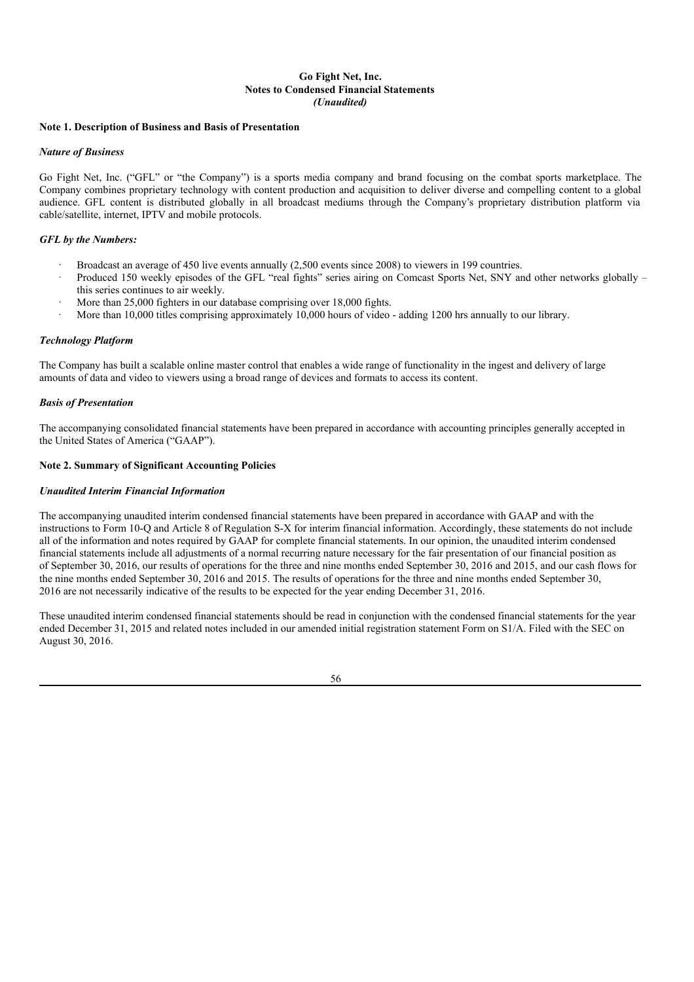#### **Go Fight Net, Inc. Notes to Condensed Financial Statements** *(Unaudited)*

### **Note 1. Description of Business and Basis of Presentation**

#### *Nature of Business*

Go Fight Net, Inc. ("GFL" or "the Company") is a sports media company and brand focusing on the combat sports marketplace. The Company combines proprietary technology with content production and acquisition to deliver diverse and compelling content to a global audience. GFL content is distributed globally in all broadcast mediums through the Company's proprietary distribution platform via cable/satellite, internet, IPTV and mobile protocols.

#### *GFL by the Numbers:*

- · Broadcast an average of 450 live events annually (2,500 events since 2008) to viewers in 199 countries.
- · Produced 150 weekly episodes of the GFL "real fights" series airing on Comcast Sports Net, SNY and other networks globally this series continues to air weekly.
- More than 25,000 fighters in our database comprising over 18,000 fights.
- More than 10,000 titles comprising approximately 10,000 hours of video adding 1200 hrs annually to our library.

#### *Technology Platform*

The Company has built a scalable online master control that enables a wide range of functionality in the ingest and delivery of large amounts of data and video to viewers using a broad range of devices and formats to access its content.

#### *Basis of Presentation*

The accompanying consolidated financial statements have been prepared in accordance with accounting principles generally accepted in the United States of America ("GAAP").

#### **Note 2. Summary of Significant Accounting Policies**

#### *Unaudited Interim Financial Information*

The accompanying unaudited interim condensed financial statements have been prepared in accordance with GAAP and with the instructions to Form 10-Q and Article 8 of Regulation S-X for interim financial information. Accordingly, these statements do not include all of the information and notes required by GAAP for complete financial statements. In our opinion, the unaudited interim condensed financial statements include all adjustments of a normal recurring nature necessary for the fair presentation of our financial position as of September 30, 2016, our results of operations for the three and nine months ended September 30, 2016 and 2015, and our cash flows for the nine months ended September 30, 2016 and 2015. The results of operations for the three and nine months ended September 30, 2016 are not necessarily indicative of the results to be expected for the year ending December 31, 2016.

These unaudited interim condensed financial statements should be read in conjunction with the condensed financial statements for the year ended December 31, 2015 and related notes included in our amended initial registration statement Form on S1/A. Filed with the SEC on August 30, 2016.

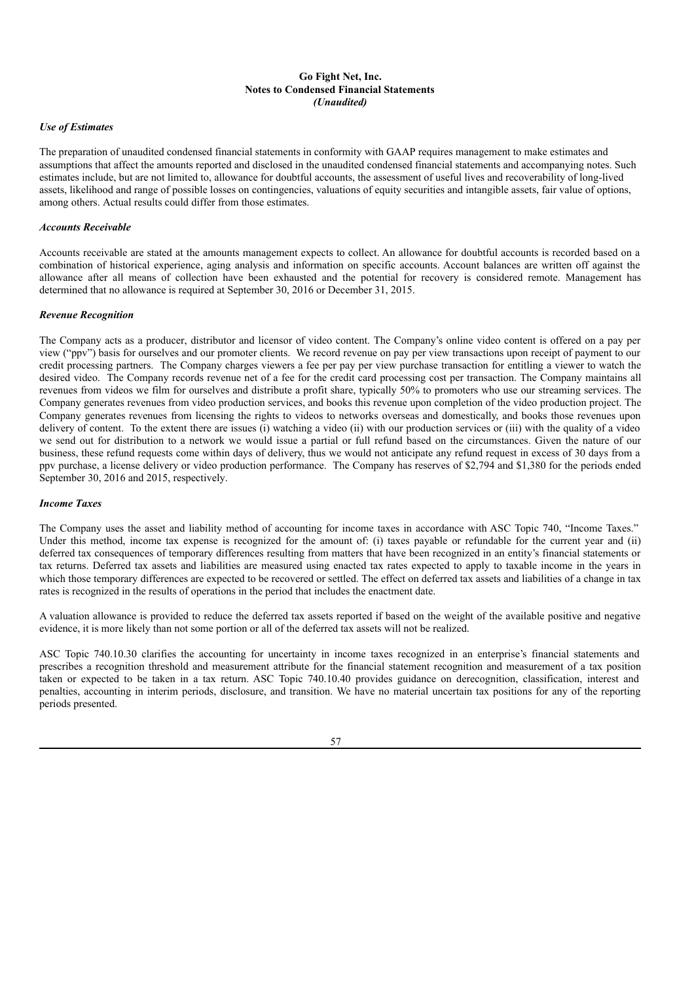#### **Go Fight Net, Inc. Notes to Condensed Financial Statements** *(Unaudited)*

#### *Use of Estimates*

The preparation of unaudited condensed financial statements in conformity with GAAP requires management to make estimates and assumptions that affect the amounts reported and disclosed in the unaudited condensed financial statements and accompanying notes. Such estimates include, but are not limited to, allowance for doubtful accounts, the assessment of useful lives and recoverability of long-lived assets, likelihood and range of possible losses on contingencies, valuations of equity securities and intangible assets, fair value of options, among others. Actual results could differ from those estimates.

#### *Accounts Receivable*

Accounts receivable are stated at the amounts management expects to collect. An allowance for doubtful accounts is recorded based on a combination of historical experience, aging analysis and information on specific accounts. Account balances are written off against the allowance after all means of collection have been exhausted and the potential for recovery is considered remote. Management has determined that no allowance is required at September 30, 2016 or December 31, 2015.

#### *Revenue Recognition*

The Company acts as a producer, distributor and licensor of video content. The Company's online video content is offered on a pay per view ("ppv") basis for ourselves and our promoter clients. We record revenue on pay per view transactions upon receipt of payment to our credit processing partners. The Company charges viewers a fee per pay per view purchase transaction for entitling a viewer to watch the desired video. The Company records revenue net of a fee for the credit card processing cost per transaction. The Company maintains all revenues from videos we film for ourselves and distribute a profit share, typically 50% to promoters who use our streaming services. The Company generates revenues from video production services, and books this revenue upon completion of the video production project. The Company generates revenues from licensing the rights to videos to networks overseas and domestically, and books those revenues upon delivery of content. To the extent there are issues (i) watching a video (ii) with our production services or (iii) with the quality of a video we send out for distribution to a network we would issue a partial or full refund based on the circumstances. Given the nature of our business, these refund requests come within days of delivery, thus we would not anticipate any refund request in excess of 30 days from a ppv purchase, a license delivery or video production performance. The Company has reserves of \$2,794 and \$1,380 for the periods ended September 30, 2016 and 2015, respectively.

#### *Income Taxes*

The Company uses the asset and liability method of accounting for income taxes in accordance with ASC Topic 740, "Income Taxes." Under this method, income tax expense is recognized for the amount of: (i) taxes payable or refundable for the current year and (ii) deferred tax consequences of temporary differences resulting from matters that have been recognized in an entity's financial statements or tax returns. Deferred tax assets and liabilities are measured using enacted tax rates expected to apply to taxable income in the years in which those temporary differences are expected to be recovered or settled. The effect on deferred tax assets and liabilities of a change in tax rates is recognized in the results of operations in the period that includes the enactment date.

A valuation allowance is provided to reduce the deferred tax assets reported if based on the weight of the available positive and negative evidence, it is more likely than not some portion or all of the deferred tax assets will not be realized.

ASC Topic 740.10.30 clarifies the accounting for uncertainty in income taxes recognized in an enterprise's financial statements and prescribes a recognition threshold and measurement attribute for the financial statement recognition and measurement of a tax position taken or expected to be taken in a tax return. ASC Topic 740.10.40 provides guidance on derecognition, classification, interest and penalties, accounting in interim periods, disclosure, and transition. We have no material uncertain tax positions for any of the reporting periods presented.

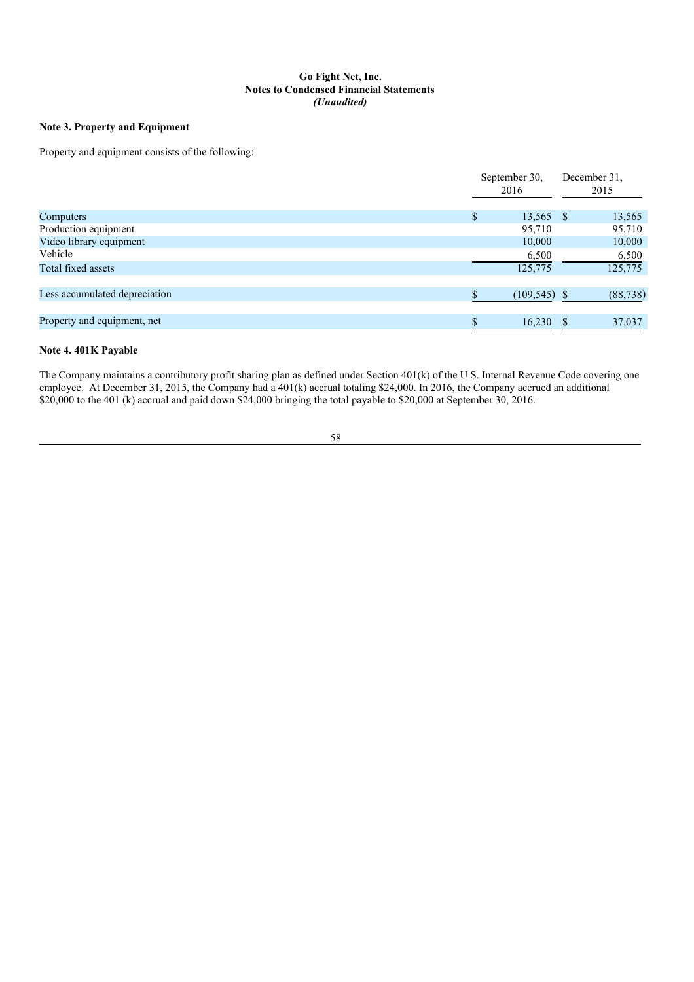# **Go Fight Net, Inc. Notes to Condensed Financial Statements** *(Unaudited)*

# **Note 3. Property and Equipment**

Property and equipment consists of the following:

|                               |              | September 30,<br>2016 | December 31.<br>2015 |           |
|-------------------------------|--------------|-----------------------|----------------------|-----------|
| Computers                     | $\mathbb{S}$ | 13,565 \$             |                      | 13,565    |
| Production equipment          |              | 95,710                |                      | 95,710    |
| Video library equipment       |              | 10,000                |                      | 10,000    |
| Vehicle                       |              | 6,500                 |                      | 6,500     |
| Total fixed assets            |              | 125,775               |                      | 125,775   |
| Less accumulated depreciation |              | $(109, 545)$ \$       |                      | (88, 738) |
| Property and equipment, net   |              | 16.230                |                      | 37,037    |

# **Note 4. 401K Payable**

The Company maintains a contributory profit sharing plan as defined under Section 401(k) of the U.S. Internal Revenue Code covering one employee. At December 31, 2015, the Company had a 401(k) accrual totaling \$24,000. In 2016, the Company accrued an additional \$20,000 to the 401 (k) accrual and paid down \$24,000 bringing the total payable to \$20,000 at September 30, 2016.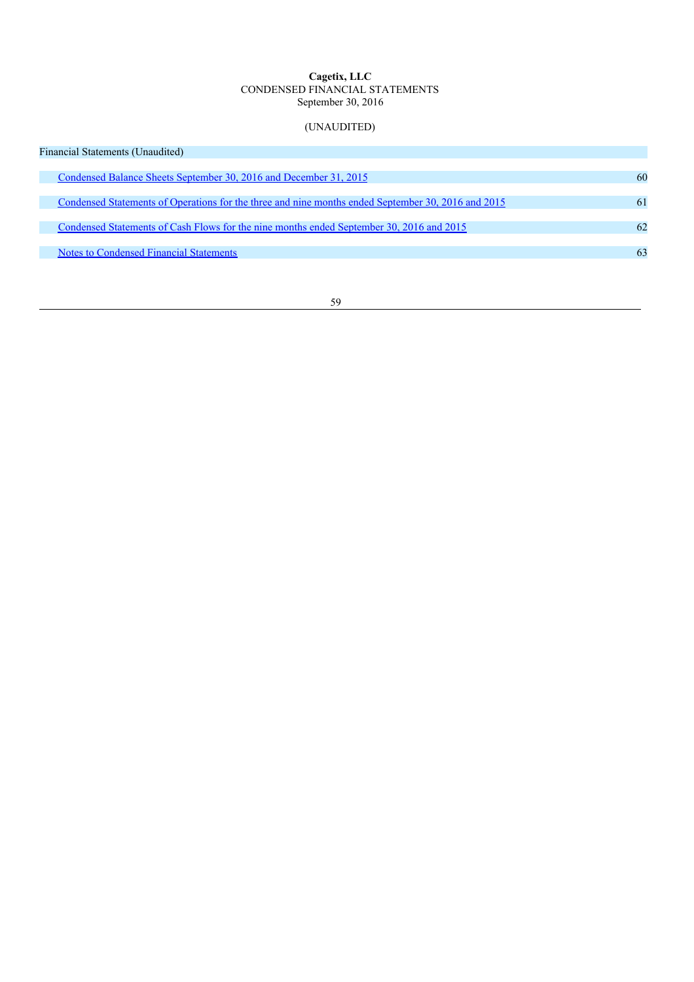### **Cagetix, LLC** CONDENSED FINANCIAL STATEMENTS September 30, 2016

# (UNAUDITED)

| Financial Statements (Unaudited)                                                                   |    |
|----------------------------------------------------------------------------------------------------|----|
|                                                                                                    |    |
| Condensed Balance Sheets September 30, 2016 and December 31, 2015                                  | 60 |
|                                                                                                    |    |
| Condensed Statements of Operations for the three and nine months ended September 30, 2016 and 2015 | 61 |
|                                                                                                    |    |
| Condensed Statements of Cash Flows for the nine months ended September 30, 2016 and 2015           | 62 |
|                                                                                                    |    |
| <b>Notes to Condensed Financial Statements</b>                                                     | 63 |
|                                                                                                    |    |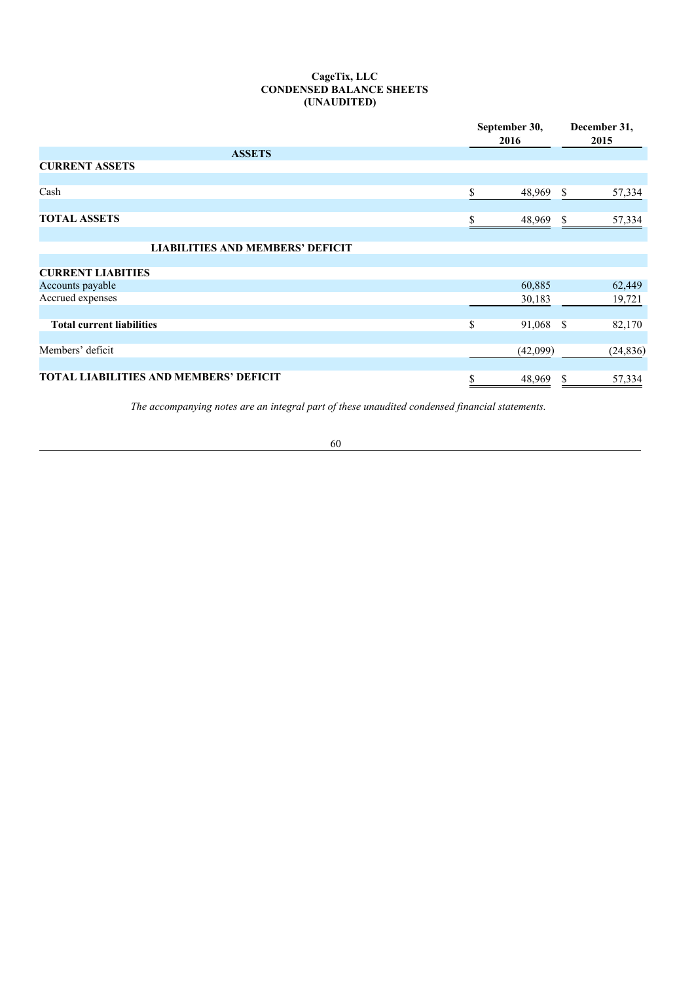### **CageTix, LLC CONDENSED BALANCE SHEETS (UNAUDITED)**

|                                               | September 30,<br>2016 | December 31,<br>2015              |
|-----------------------------------------------|-----------------------|-----------------------------------|
| <b>ASSETS</b>                                 |                       |                                   |
| <b>CURRENT ASSETS</b>                         |                       |                                   |
|                                               |                       |                                   |
| Cash                                          | \$                    | 48,969<br>57,334<br><sup>\$</sup> |
|                                               |                       |                                   |
| <b>TOTAL ASSETS</b>                           | \$                    | 57,334<br>48,969<br>S             |
|                                               |                       |                                   |
| <b>LIABILITIES AND MEMBERS' DEFICIT</b>       |                       |                                   |
|                                               |                       |                                   |
| <b>CURRENT LIABITIES</b>                      |                       |                                   |
| Accounts payable                              |                       | 62,449<br>60,885                  |
| Accrued expenses                              |                       | 30,183<br>19,721                  |
|                                               |                       |                                   |
| <b>Total current liabilities</b>              | \$                    | 82,170<br>91,068 \$               |
|                                               |                       |                                   |
| Members' deficit                              |                       | (42,099)<br>(24, 836)             |
|                                               |                       |                                   |
| <b>TOTAL LIABILITIES AND MEMBERS' DEFICIT</b> |                       | 57,334<br>48,969                  |
|                                               |                       |                                   |

*The accompanying notes are an integral part of these unaudited condensed financial statements.*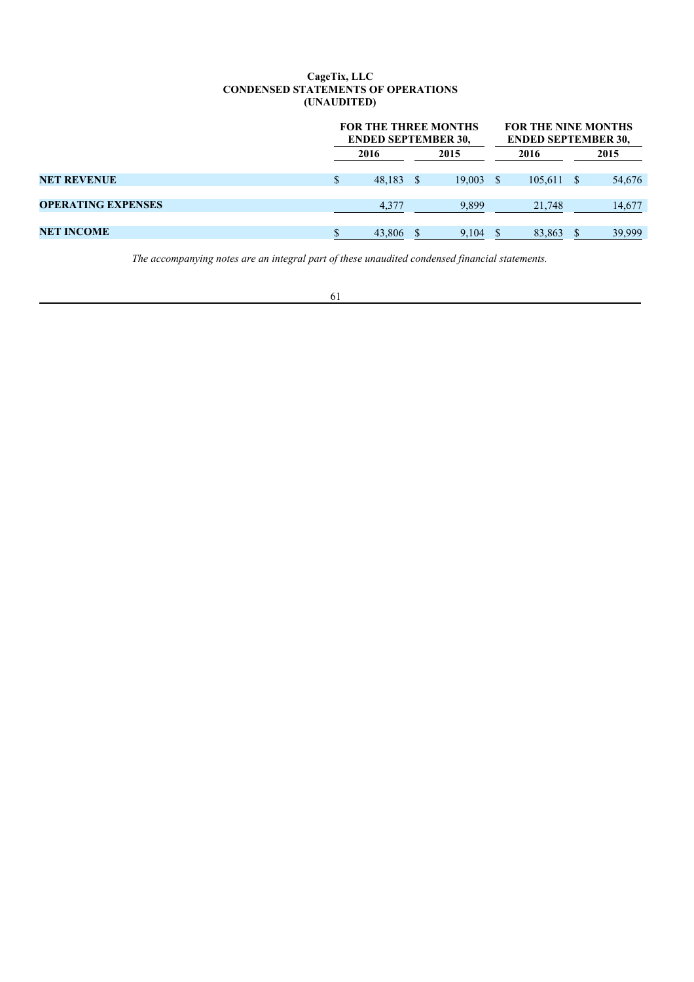# **CageTix, LLC CONDENSED STATEMENTS OF OPERATIONS (UNAUDITED)**

|                           |     | <b>FOR THE THREE MONTHS</b><br><b>ENDED SEPTEMBER 30,</b> |  |        | <b>FOR THE NINE MONTHS</b><br><b>ENDED SEPTEMBER 30,</b> |         |    |        |
|---------------------------|-----|-----------------------------------------------------------|--|--------|----------------------------------------------------------|---------|----|--------|
|                           |     | 2016                                                      |  | 2015   |                                                          | 2016    |    | 2015   |
| <b>NET REVENUE</b>        | \$. | $48,183$ \$                                               |  | 19,003 | - \$                                                     | 105.611 | -S | 54,676 |
| <b>OPERATING EXPENSES</b> |     | 4,377                                                     |  | 9,899  |                                                          | 21,748  |    | 14,677 |
| <b>NET INCOME</b>         |     | 43,806                                                    |  | 9,104  | - S                                                      | 83,863  | S  | 39,999 |

*The accompanying notes are an integral part of these unaudited condensed financial statements.*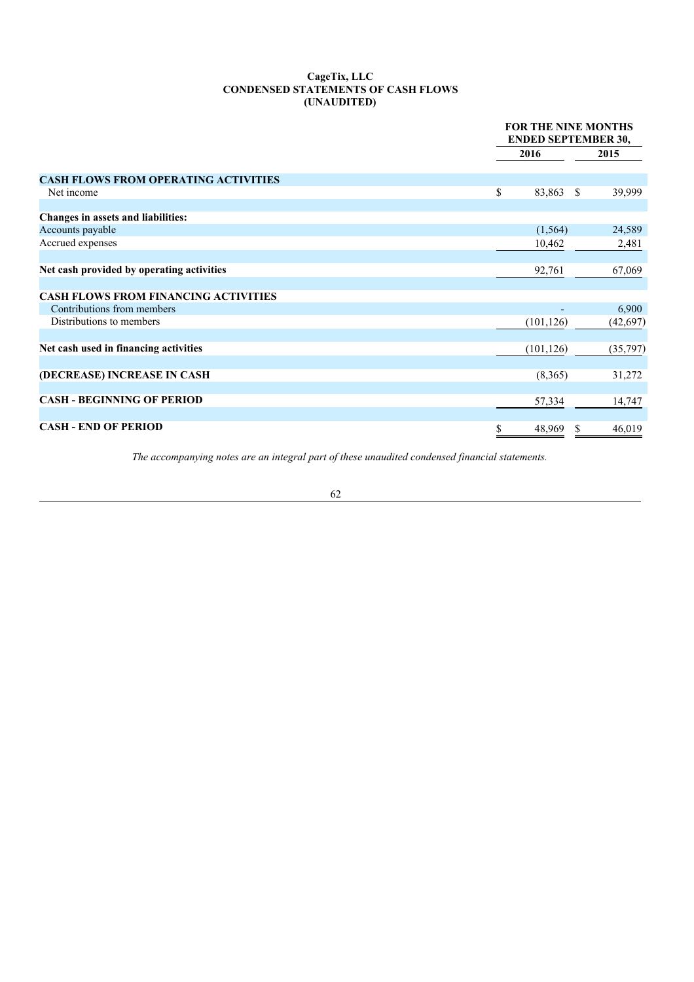# **CageTix, LLC CONDENSED STATEMENTS OF CASH FLOWS (UNAUDITED)**

|                                             |            | <b>FOR THE NINE MONTHS</b><br><b>ENDED SEPTEMBER 30,</b> |
|---------------------------------------------|------------|----------------------------------------------------------|
|                                             | 2016       | 2015                                                     |
| <b>CASH FLOWS FROM OPERATING ACTIVITIES</b> |            |                                                          |
| Net income                                  | \$         | 83,863<br>39,999<br>-S                                   |
| Changes in assets and liabilities:          |            |                                                          |
| Accounts payable                            |            | 24,589<br>(1, 564)                                       |
| Accrued expenses                            | 10,462     | 2,481                                                    |
| Net cash provided by operating activities   | 92,761     | 67,069                                                   |
| <b>CASH FLOWS FROM FINANCING ACTIVITIES</b> |            |                                                          |
| Contributions from members                  |            | 6,900                                                    |
| Distributions to members                    | (101, 126) | (42,697)                                                 |
| Net cash used in financing activities       | (101, 126) | (35,797)                                                 |
| (DECREASE) INCREASE IN CASH                 |            | (8,365)<br>31,272                                        |
| <b>CASH - BEGINNING OF PERIOD</b>           | 57,334     | 14,747                                                   |
| <b>CASH - END OF PERIOD</b>                 | 48,969     | 46,019<br>S                                              |

*The accompanying notes are an integral part of these unaudited condensed financial statements.*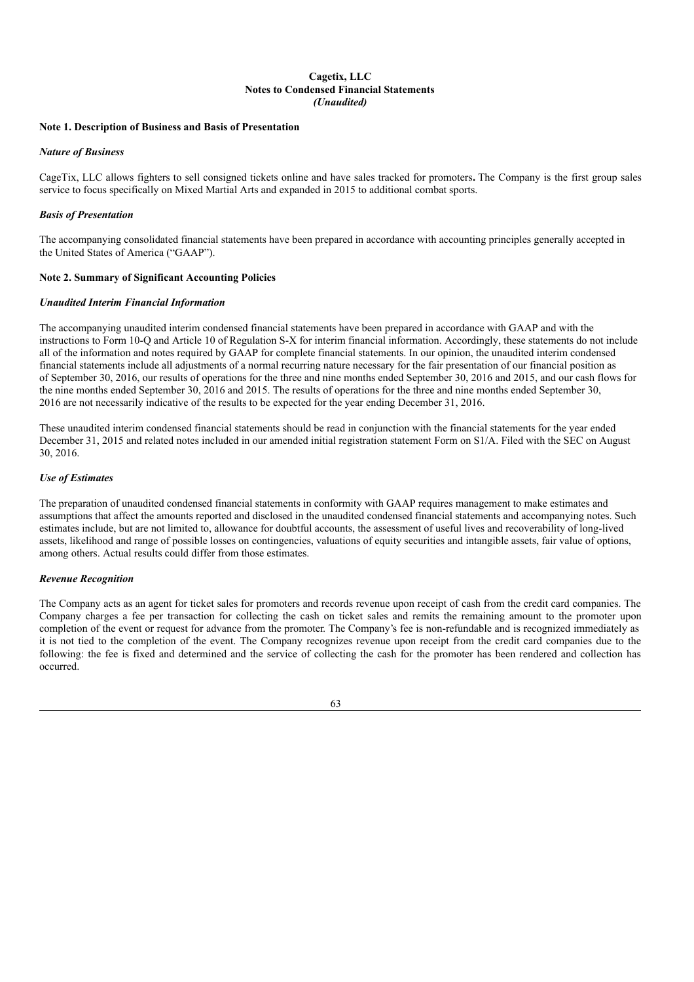#### **Cagetix, LLC Notes to Condensed Financial Statements** *(Unaudited)*

#### **Note 1. Description of Business and Basis of Presentation**

#### *Nature of Business*

CageTix, LLC allows fighters to sell consigned tickets online and have sales tracked for promoters**.** The Company is the first group sales service to focus specifically on Mixed Martial Arts and expanded in 2015 to additional combat sports.

### *Basis of Presentation*

The accompanying consolidated financial statements have been prepared in accordance with accounting principles generally accepted in the United States of America ("GAAP").

#### **Note 2. Summary of Significant Accounting Policies**

#### *Unaudited Interim Financial Information*

The accompanying unaudited interim condensed financial statements have been prepared in accordance with GAAP and with the instructions to Form 10-Q and Article 10 of Regulation S-X for interim financial information. Accordingly, these statements do not include all of the information and notes required by GAAP for complete financial statements. In our opinion, the unaudited interim condensed financial statements include all adjustments of a normal recurring nature necessary for the fair presentation of our financial position as of September 30, 2016, our results of operations for the three and nine months ended September 30, 2016 and 2015, and our cash flows for the nine months ended September 30, 2016 and 2015. The results of operations for the three and nine months ended September 30, 2016 are not necessarily indicative of the results to be expected for the year ending December 31, 2016.

These unaudited interim condensed financial statements should be read in conjunction with the financial statements for the year ended December 31, 2015 and related notes included in our amended initial registration statement Form on S1/A. Filed with the SEC on August 30, 2016.

### *Use of Estimates*

The preparation of unaudited condensed financial statements in conformity with GAAP requires management to make estimates and assumptions that affect the amounts reported and disclosed in the unaudited condensed financial statements and accompanying notes. Such estimates include, but are not limited to, allowance for doubtful accounts, the assessment of useful lives and recoverability of long-lived assets, likelihood and range of possible losses on contingencies, valuations of equity securities and intangible assets, fair value of options, among others. Actual results could differ from those estimates.

#### *Revenue Recognition*

The Company acts as an agent for ticket sales for promoters and records revenue upon receipt of cash from the credit card companies. The Company charges a fee per transaction for collecting the cash on ticket sales and remits the remaining amount to the promoter upon completion of the event or request for advance from the promoter. The Company's fee is non-refundable and is recognized immediately as it is not tied to the completion of the event. The Company recognizes revenue upon receipt from the credit card companies due to the following: the fee is fixed and determined and the service of collecting the cash for the promoter has been rendered and collection has occurred.

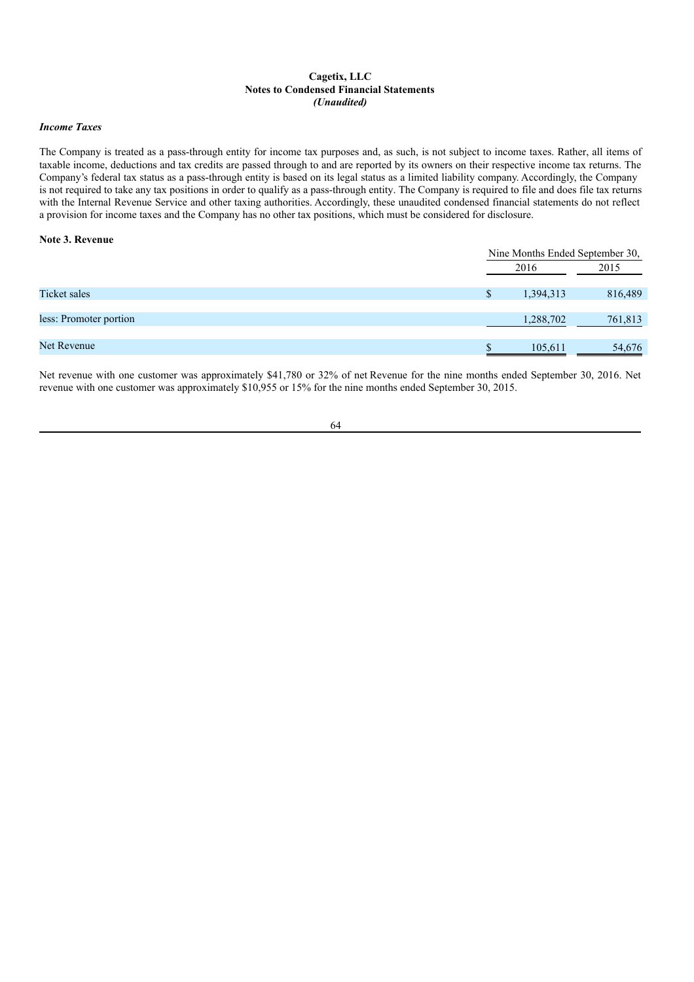### **Cagetix, LLC Notes to Condensed Financial Statements** *(Unaudited)*

#### *Income Taxes*

The Company is treated as a pass-through entity for income tax purposes and, as such, is not subject to income taxes. Rather, all items of taxable income, deductions and tax credits are passed through to and are reported by its owners on their respective income tax returns. The Company's federal tax status as a pass-through entity is based on its legal status as a limited liability company. Accordingly, the Company is not required to take any tax positions in order to qualify as a pass-through entity. The Company is required to file and does file tax returns with the Internal Revenue Service and other taxing authorities. Accordingly, these unaudited condensed financial statements do not reflect a provision for income taxes and the Company has no other tax positions, which must be considered for disclosure.

### **Note 3. Revenue**

|                        |   | Nine Months Ended September 30, |         |  |  |
|------------------------|---|---------------------------------|---------|--|--|
|                        |   | 2016                            | 2015    |  |  |
| Ticket sales           | S | 1,394,313                       | 816,489 |  |  |
| less: Promoter portion |   | 1,288,702                       | 761,813 |  |  |
| Net Revenue            |   | 105,611                         | 54,676  |  |  |

Net revenue with one customer was approximately \$41,780 or 32% of net Revenue for the nine months ended September 30, 2016. Net revenue with one customer was approximately \$10,955 or 15% for the nine months ended September 30, 2015.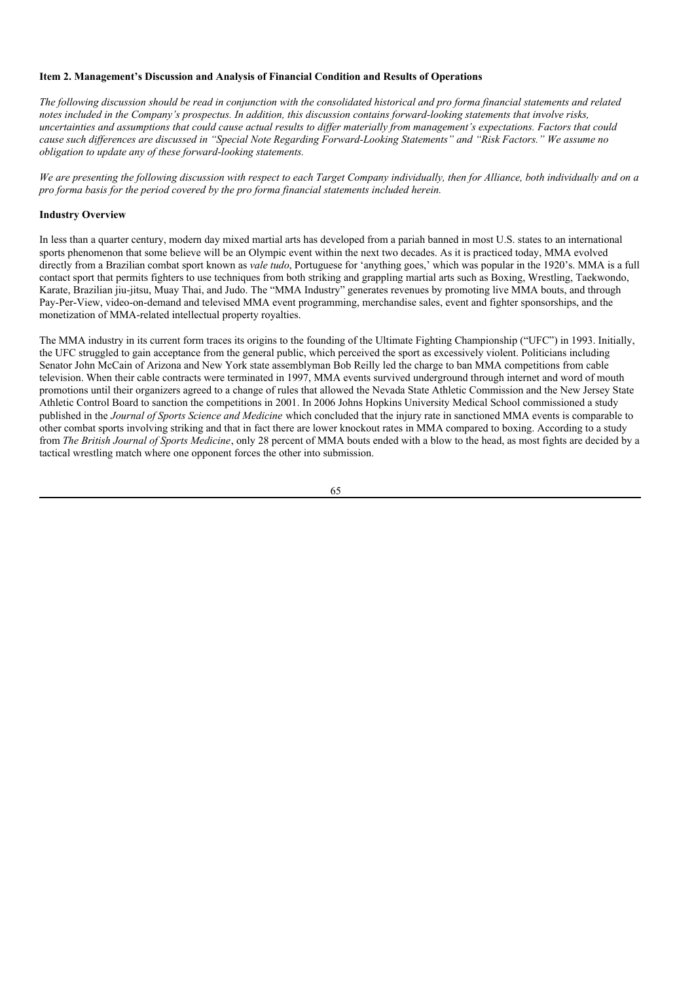# **Item 2. Management's Discussion and Analysis of Financial Condition and Results of Operations**

The following discussion should be read in conjunction with the consolidated historical and pro forma financial statements and related notes included in the Company's prospectus. In addition, this discussion contains forward-looking statements that involve risks, uncertainties and assumptions that could cause actual results to differ materially from management's expectations. Factors that could cause such differences are discussed in "Special Note Regarding Forward-Looking Statements" and "Risk Factors." We assume no *obligation to update any of these forward-looking statements.*

We are presenting the following discussion with respect to each Target Company individually, then for Alliance, both individually and on a *pro forma basis for the period covered by the pro forma financial statements included herein.*

### **Industry Overview**

In less than a quarter century, modern day mixed martial arts has developed from a pariah banned in most U.S. states to an international sports phenomenon that some believe will be an Olympic event within the next two decades. As it is practiced today, MMA evolved directly from a Brazilian combat sport known as *vale tudo*, Portuguese for 'anything goes,' which was popular in the 1920's. MMA is a full contact sport that permits fighters to use techniques from both striking and grappling martial arts such as Boxing, Wrestling, Taekwondo, Karate, Brazilian jiu-jitsu, Muay Thai, and Judo. The "MMA Industry" generates revenues by promoting live MMA bouts, and through Pay-Per-View, video-on-demand and televised MMA event programming, merchandise sales, event and fighter sponsorships, and the monetization of MMA-related intellectual property royalties.

The MMA industry in its current form traces its origins to the founding of the Ultimate Fighting Championship ("UFC") in 1993. Initially, the UFC struggled to gain acceptance from the general public, which perceived the sport as excessively violent. Politicians including Senator John McCain of Arizona and New York state assemblyman Bob Reilly led the charge to ban MMA competitions from cable television. When their cable contracts were terminated in 1997, MMA events survived underground through internet and word of mouth promotions until their organizers agreed to a change of rules that allowed the Nevada State Athletic Commission and the New Jersey State Athletic Control Board to sanction the competitions in 2001. In 2006 Johns Hopkins University Medical School commissioned a study published in the *Journal of Sports Science and Medicine* which concluded that the injury rate in sanctioned MMA events is comparable to other combat sports involving striking and that in fact there are lower knockout rates in MMA compared to boxing. According to a study from *The British Journal of Sports Medicine*, only 28 percent of MMA bouts ended with a blow to the head, as most fights are decided by a tactical wrestling match where one opponent forces the other into submission.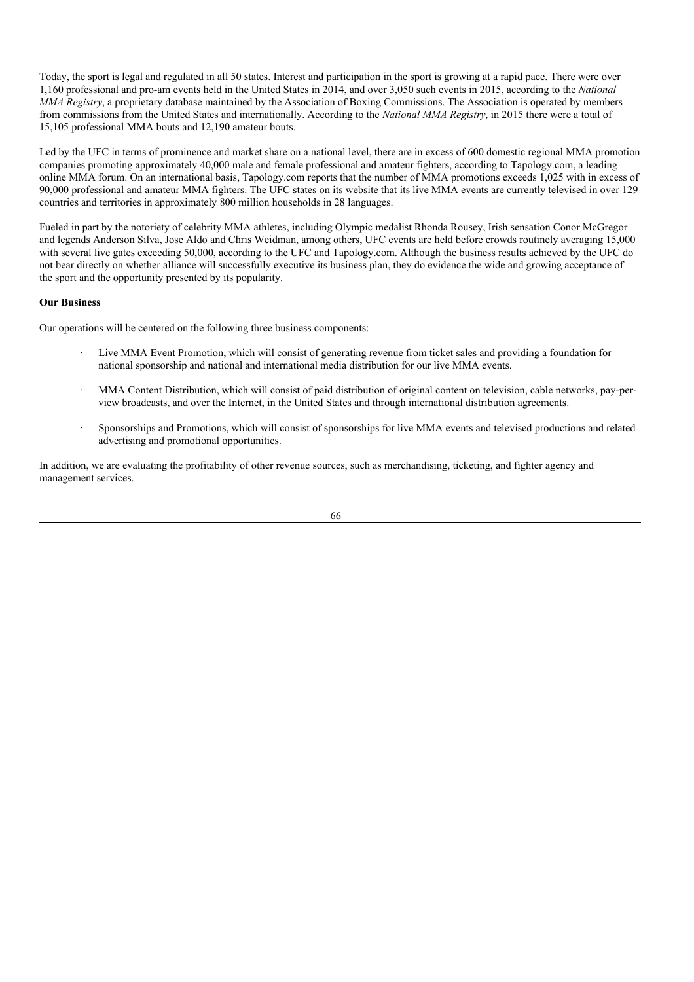Today, the sport is legal and regulated in all 50 states. Interest and participation in the sport is growing at a rapid pace. There were over 1,160 professional and pro-am events held in the United States in 2014, and over 3,050 such events in 2015, according to the *National MMA Registry*, a proprietary database maintained by the Association of Boxing Commissions. The Association is operated by members from commissions from the United States and internationally. According to the *National MMA Registry*, in 2015 there were a total of 15,105 professional MMA bouts and 12,190 amateur bouts.

Led by the UFC in terms of prominence and market share on a national level, there are in excess of 600 domestic regional MMA promotion companies promoting approximately 40,000 male and female professional and amateur fighters, according to Tapology.com, a leading online MMA forum. On an international basis, Tapology.com reports that the number of MMA promotions exceeds 1,025 with in excess of 90,000 professional and amateur MMA fighters. The UFC states on its website that its live MMA events are currently televised in over 129 countries and territories in approximately 800 million households in 28 languages.

Fueled in part by the notoriety of celebrity MMA athletes, including Olympic medalist Rhonda Rousey, Irish sensation Conor McGregor and legends Anderson Silva, Jose Aldo and Chris Weidman, among others, UFC events are held before crowds routinely averaging 15,000 with several live gates exceeding 50,000, according to the UFC and Tapology.com. Although the business results achieved by the UFC do not bear directly on whether alliance will successfully executive its business plan, they do evidence the wide and growing acceptance of the sport and the opportunity presented by its popularity.

# **Our Business**

Our operations will be centered on the following three business components:

- Live MMA Event Promotion, which will consist of generating revenue from ticket sales and providing a foundation for national sponsorship and national and international media distribution for our live MMA events.
- MMA Content Distribution, which will consist of paid distribution of original content on television, cable networks, pay-perview broadcasts, and over the Internet, in the United States and through international distribution agreements.
- · Sponsorships and Promotions, which will consist of sponsorships for live MMA events and televised productions and related advertising and promotional opportunities.

In addition, we are evaluating the profitability of other revenue sources, such as merchandising, ticketing, and fighter agency and management services.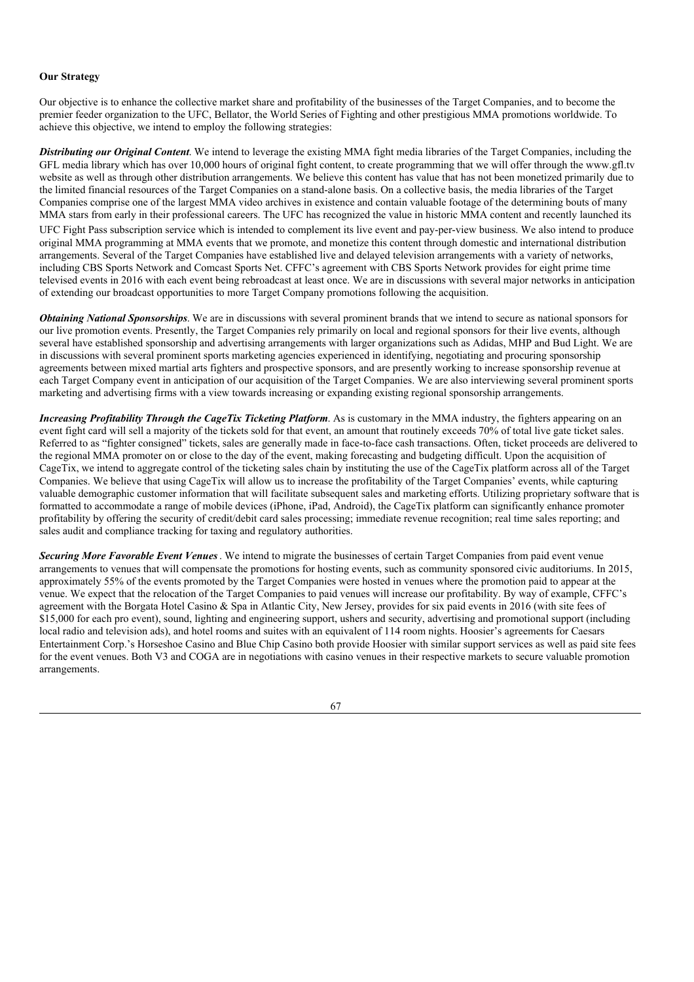### **Our Strategy**

Our objective is to enhance the collective market share and profitability of the businesses of the Target Companies, and to become the premier feeder organization to the UFC, Bellator, the World Series of Fighting and other prestigious MMA promotions worldwide. To achieve this objective, we intend to employ the following strategies:

*Distributing our Original Content*. We intend to leverage the existing MMA fight media libraries of the Target Companies, including the GFL media library which has over 10,000 hours of original fight content, to create programming that we will offer through the www.gfl.tv website as well as through other distribution arrangements. We believe this content has value that has not been monetized primarily due to the limited financial resources of the Target Companies on a stand-alone basis. On a collective basis, the media libraries of the Target Companies comprise one of the largest MMA video archives in existence and contain valuable footage of the determining bouts of many MMA stars from early in their professional careers. The UFC has recognized the value in historic MMA content and recently launched its UFC Fight Pass subscription service which is intended to complement its live event and pay-per-view business. We also intend to produce original MMA programming at MMA events that we promote, and monetize this content through domestic and international distribution arrangements. Several of the Target Companies have established live and delayed television arrangements with a variety of networks, including CBS Sports Network and Comcast Sports Net. CFFC's agreement with CBS Sports Network provides for eight prime time televised events in 2016 with each event being rebroadcast at least once. We are in discussions with several major networks in anticipation of extending our broadcast opportunities to more Target Company promotions following the acquisition.

*Obtaining National Sponsorships*. We are in discussions with several prominent brands that we intend to secure as national sponsors for our live promotion events. Presently, the Target Companies rely primarily on local and regional sponsors for their live events, although several have established sponsorship and advertising arrangements with larger organizations such as Adidas, MHP and Bud Light. We are in discussions with several prominent sports marketing agencies experienced in identifying, negotiating and procuring sponsorship agreements between mixed martial arts fighters and prospective sponsors, and are presently working to increase sponsorship revenue at each Target Company event in anticipation of our acquisition of the Target Companies. We are also interviewing several prominent sports marketing and advertising firms with a view towards increasing or expanding existing regional sponsorship arrangements.

*Increasing Profitability Through the CageTix Ticketing Platform*. As is customary in the MMA industry, the fighters appearing on an event fight card will sell a majority of the tickets sold for that event, an amount that routinely exceeds 70% of total live gate ticket sales. Referred to as "fighter consigned" tickets, sales are generally made in face-to-face cash transactions. Often, ticket proceeds are delivered to the regional MMA promoter on or close to the day of the event, making forecasting and budgeting difficult. Upon the acquisition of CageTix, we intend to aggregate control of the ticketing sales chain by instituting the use of the CageTix platform across all of the Target Companies. We believe that using CageTix will allow us to increase the profitability of the Target Companies' events, while capturing valuable demographic customer information that will facilitate subsequent sales and marketing efforts. Utilizing proprietary software that is formatted to accommodate a range of mobile devices (iPhone, iPad, Android), the CageTix platform can significantly enhance promoter profitability by offering the security of credit/debit card sales processing; immediate revenue recognition; real time sales reporting; and sales audit and compliance tracking for taxing and regulatory authorities.

*Securing More Favorable Event Venues*. We intend to migrate the businesses of certain Target Companies from paid event venue arrangements to venues that will compensate the promotions for hosting events, such as community sponsored civic auditoriums. In 2015, approximately 55% of the events promoted by the Target Companies were hosted in venues where the promotion paid to appear at the venue. We expect that the relocation of the Target Companies to paid venues will increase our profitability. By way of example, CFFC's agreement with the Borgata Hotel Casino & Spa in Atlantic City, New Jersey, provides for six paid events in 2016 (with site fees of \$15,000 for each pro event), sound, lighting and engineering support, ushers and security, advertising and promotional support (including local radio and television ads), and hotel rooms and suites with an equivalent of 114 room nights. Hoosier's agreements for Caesars Entertainment Corp.'s Horseshoe Casino and Blue Chip Casino both provide Hoosier with similar support services as well as paid site fees for the event venues. Both V3 and COGA are in negotiations with casino venues in their respective markets to secure valuable promotion arrangements.

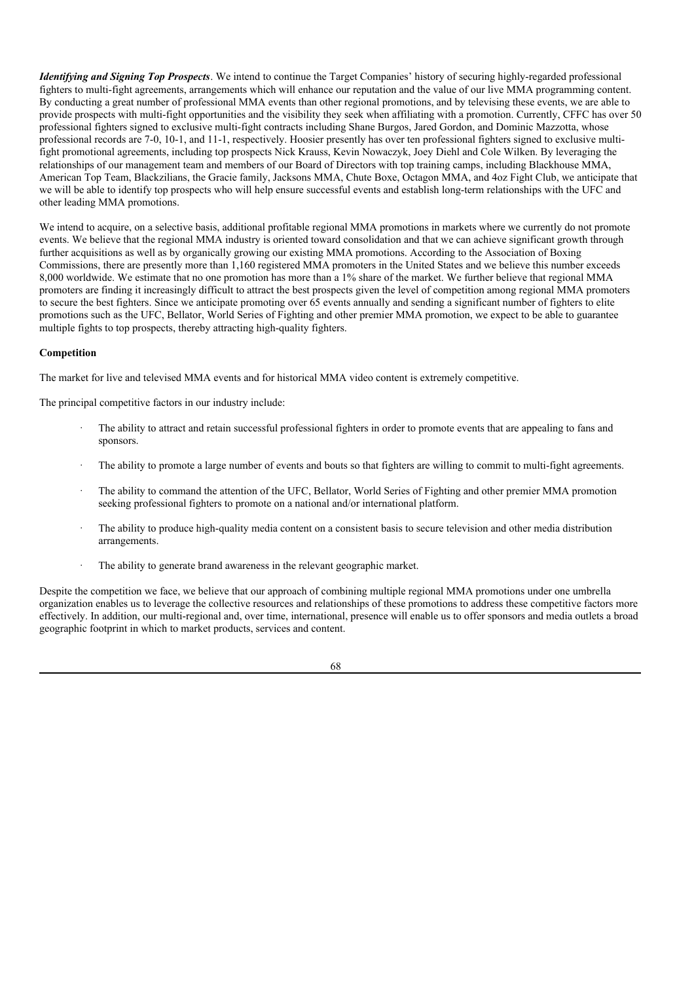*Identifying and Signing Top Prospects*. We intend to continue the Target Companies' history of securing highly-regarded professional fighters to multi-fight agreements, arrangements which will enhance our reputation and the value of our live MMA programming content. By conducting a great number of professional MMA events than other regional promotions, and by televising these events, we are able to provide prospects with multi-fight opportunities and the visibility they seek when affiliating with a promotion. Currently, CFFC has over 50 professional fighters signed to exclusive multi-fight contracts including Shane Burgos, Jared Gordon, and Dominic Mazzotta, whose professional records are 7-0, 10-1, and 11-1, respectively. Hoosier presently has over ten professional fighters signed to exclusive multifight promotional agreements, including top prospects Nick Krauss, Kevin Nowaczyk, Joey Diehl and Cole Wilken. By leveraging the relationships of our management team and members of our Board of Directors with top training camps, including Blackhouse MMA, American Top Team, Blackzilians, the Gracie family, Jacksons MMA, Chute Boxe, Octagon MMA, and 4oz Fight Club, we anticipate that we will be able to identify top prospects who will help ensure successful events and establish long-term relationships with the UFC and other leading MMA promotions.

We intend to acquire, on a selective basis, additional profitable regional MMA promotions in markets where we currently do not promote events. We believe that the regional MMA industry is oriented toward consolidation and that we can achieve significant growth through further acquisitions as well as by organically growing our existing MMA promotions. According to the Association of Boxing Commissions, there are presently more than 1,160 registered MMA promoters in the United States and we believe this number exceeds 8,000 worldwide. We estimate that no one promotion has more than a 1% share of the market. We further believe that regional MMA promoters are finding it increasingly difficult to attract the best prospects given the level of competition among regional MMA promoters to secure the best fighters. Since we anticipate promoting over 65 events annually and sending a significant number of fighters to elite promotions such as the UFC, Bellator, World Series of Fighting and other premier MMA promotion, we expect to be able to guarantee multiple fights to top prospects, thereby attracting high-quality fighters.

### **Competition**

The market for live and televised MMA events and for historical MMA video content is extremely competitive.

The principal competitive factors in our industry include:

- The ability to attract and retain successful professional fighters in order to promote events that are appealing to fans and sponsors.
- The ability to promote a large number of events and bouts so that fighters are willing to commit to multi-fight agreements.
- The ability to command the attention of the UFC, Bellator, World Series of Fighting and other premier MMA promotion seeking professional fighters to promote on a national and/or international platform.
- The ability to produce high-quality media content on a consistent basis to secure television and other media distribution arrangements.
- · The ability to generate brand awareness in the relevant geographic market.

Despite the competition we face, we believe that our approach of combining multiple regional MMA promotions under one umbrella organization enables us to leverage the collective resources and relationships of these promotions to address these competitive factors more effectively. In addition, our multi-regional and, over time, international, presence will enable us to offer sponsors and media outlets a broad geographic footprint in which to market products, services and content.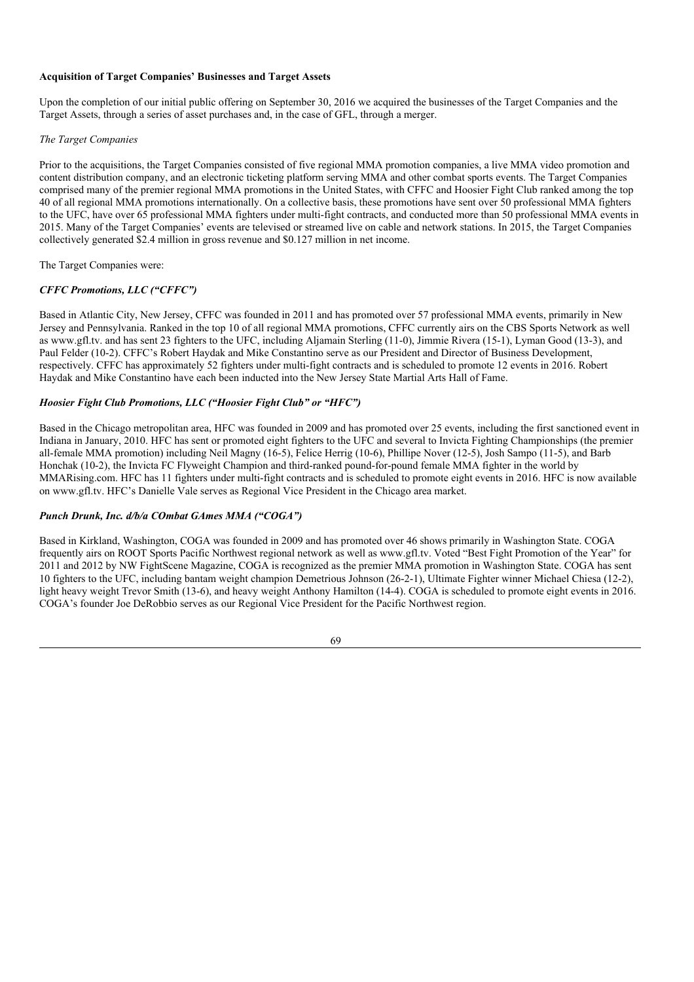### **Acquisition of Target Companies' Businesses and Target Assets**

Upon the completion of our initial public offering on September 30, 2016 we acquired the businesses of the Target Companies and the Target Assets, through a series of asset purchases and, in the case of GFL, through a merger.

#### *The Target Companies*

Prior to the acquisitions, the Target Companies consisted of five regional MMA promotion companies, a live MMA video promotion and content distribution company, and an electronic ticketing platform serving MMA and other combat sports events. The Target Companies comprised many of the premier regional MMA promotions in the United States, with CFFC and Hoosier Fight Club ranked among the top 40 of all regional MMA promotions internationally. On a collective basis, these promotions have sent over 50 professional MMA fighters to the UFC, have over 65 professional MMA fighters under multi-fight contracts, and conducted more than 50 professional MMA events in 2015. Many of the Target Companies' events are televised or streamed live on cable and network stations. In 2015, the Target Companies collectively generated \$2.4 million in gross revenue and \$0.127 million in net income.

#### The Target Companies were:

# *CFFC Promotions, LLC ("CFFC")*

Based in Atlantic City, New Jersey, CFFC was founded in 2011 and has promoted over 57 professional MMA events, primarily in New Jersey and Pennsylvania. Ranked in the top 10 of all regional MMA promotions, CFFC currently airs on the CBS Sports Network as well as www.gfl.tv. and has sent 23 fighters to the UFC, including Aljamain Sterling (11-0), Jimmie Rivera (15-1), Lyman Good (13-3), and Paul Felder (10-2). CFFC's Robert Haydak and Mike Constantino serve as our President and Director of Business Development, respectively. CFFC has approximately 52 fighters under multi-fight contracts and is scheduled to promote 12 events in 2016. Robert Haydak and Mike Constantino have each been inducted into the New Jersey State Martial Arts Hall of Fame.

# *Hoosier Fight Club Promotions, LLC ("Hoosier Fight Club" or "HFC")*

Based in the Chicago metropolitan area, HFC was founded in 2009 and has promoted over 25 events, including the first sanctioned event in Indiana in January, 2010. HFC has sent or promoted eight fighters to the UFC and several to Invicta Fighting Championships (the premier all-female MMA promotion) including Neil Magny (16-5), Felice Herrig (10-6), Phillipe Nover (12-5), Josh Sampo (11-5), and Barb Honchak (10-2), the Invicta FC Flyweight Champion and third-ranked pound-for-pound female MMA fighter in the world by MMARising.com. HFC has 11 fighters under multi-fight contracts and is scheduled to promote eight events in 2016. HFC is now available on www.gfl.tv. HFC's Danielle Vale serves as Regional Vice President in the Chicago area market.

# *Punch Drunk, Inc. d/b/a COmbat GAmes MMA ("COGA")*

Based in Kirkland, Washington, COGA was founded in 2009 and has promoted over 46 shows primarily in Washington State. COGA frequently airs on ROOT Sports Pacific Northwest regional network as well as www.gfl.tv. Voted "Best Fight Promotion of the Year" for 2011 and 2012 by NW FightScene Magazine, COGA is recognized as the premier MMA promotion in Washington State. COGA has sent 10 fighters to the UFC, including bantam weight champion Demetrious Johnson (26-2-1), Ultimate Fighter winner Michael Chiesa (12-2), light heavy weight Trevor Smith (13-6), and heavy weight Anthony Hamilton (14-4). COGA is scheduled to promote eight events in 2016. COGA's founder Joe DeRobbio serves as our Regional Vice President for the Pacific Northwest region.

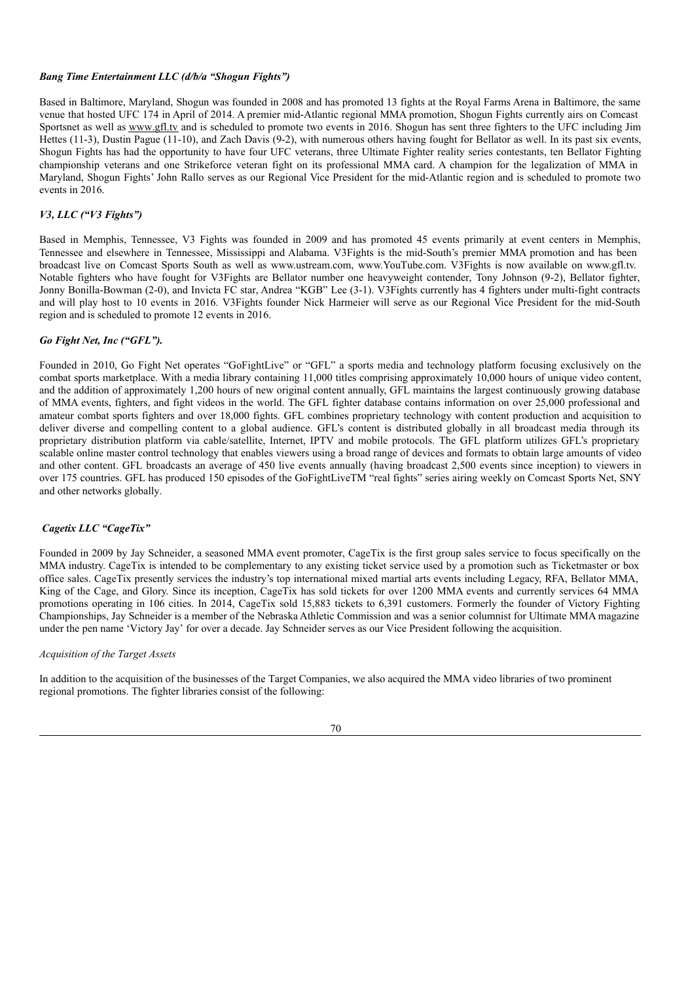#### *Bang Time Entertainment LLC (d/b/a "Shogun Fights")*

Based in Baltimore, Maryland, Shogun was founded in 2008 and has promoted 13 fights at the Royal Farms Arena in Baltimore, the same venue that hosted UFC 174 in April of 2014. A premier mid-Atlantic regional MMA promotion, Shogun Fights currently airs on Comcast Sportsnet as well as www.gfl.tv and is scheduled to promote two events in 2016. Shogun has sent three fighters to the UFC including Jim Hettes (11-3), Dustin Pague (11-10), and Zach Davis (9-2), with numerous others having fought for Bellator as well. In its past six events, Shogun Fights has had the opportunity to have four UFC veterans, three Ultimate Fighter reality series contestants, ten Bellator Fighting championship veterans and one Strikeforce veteran fight on its professional MMA card. A champion for the legalization of MMA in Maryland, Shogun Fights' John Rallo serves as our Regional Vice President for the mid-Atlantic region and is scheduled to promote two events in 2016.

### *V3, LLC ("V3 Fights")*

Based in Memphis, Tennessee, V3 Fights was founded in 2009 and has promoted 45 events primarily at event centers in Memphis, Tennessee and elsewhere in Tennessee, Mississippi and Alabama. V3Fights is the mid-South's premier MMA promotion and has been broadcast live on Comcast Sports South as well as www.ustream.com, www.YouTube.com. V3Fights is now available on www.gfl.tv. Notable fighters who have fought for V3Fights are Bellator number one heavyweight contender, Tony Johnson (9-2), Bellator fighter, Jonny Bonilla-Bowman (2-0), and Invicta FC star, Andrea "KGB" Lee (3-1). V3Fights currently has 4 fighters under multi-fight contracts and will play host to 10 events in 2016. V3Fights founder Nick Harmeier will serve as our Regional Vice President for the mid-South region and is scheduled to promote 12 events in 2016.

#### *Go Fight Net, Inc ("GFL").*

Founded in 2010, Go Fight Net operates "GoFightLive" or "GFL" a sports media and technology platform focusing exclusively on the combat sports marketplace. With a media library containing 11,000 titles comprising approximately 10,000 hours of unique video content, and the addition of approximately 1,200 hours of new original content annually, GFL maintains the largest continuously growing database of MMA events, fighters, and fight videos in the world. The GFL fighter database contains information on over 25,000 professional and amateur combat sports fighters and over 18,000 fights. GFL combines proprietary technology with content production and acquisition to deliver diverse and compelling content to a global audience. GFL's content is distributed globally in all broadcast media through its proprietary distribution platform via cable/satellite, Internet, IPTV and mobile protocols. The GFL platform utilizes GFL's proprietary scalable online master control technology that enables viewers using a broad range of devices and formats to obtain large amounts of video and other content. GFL broadcasts an average of 450 live events annually (having broadcast 2,500 events since inception) to viewers in over 175 countries. GFL has produced 150 episodes of the GoFightLiveTM "real fights" series airing weekly on Comcast Sports Net, SNY and other networks globally.

# *Cagetix LLC "CageTix"*

Founded in 2009 by Jay Schneider, a seasoned MMA event promoter, CageTix is the first group sales service to focus specifically on the MMA industry. CageTix is intended to be complementary to any existing ticket service used by a promotion such as Ticketmaster or box office sales. CageTix presently services the industry's top international mixed martial arts events including Legacy, RFA, Bellator MMA, King of the Cage, and Glory. Since its inception, CageTix has sold tickets for over 1200 MMA events and currently services 64 MMA promotions operating in 106 cities. In 2014, CageTix sold 15,883 tickets to 6,391 customers. Formerly the founder of Victory Fighting Championships, Jay Schneider is a member of the Nebraska Athletic Commission and was a senior columnist for Ultimate MMA magazine under the pen name 'Victory Jay' for over a decade. Jay Schneider serves as our Vice President following the acquisition.

#### *Acquisition of the Target Assets*

In addition to the acquisition of the businesses of the Target Companies, we also acquired the MMA video libraries of two prominent regional promotions. The fighter libraries consist of the following:

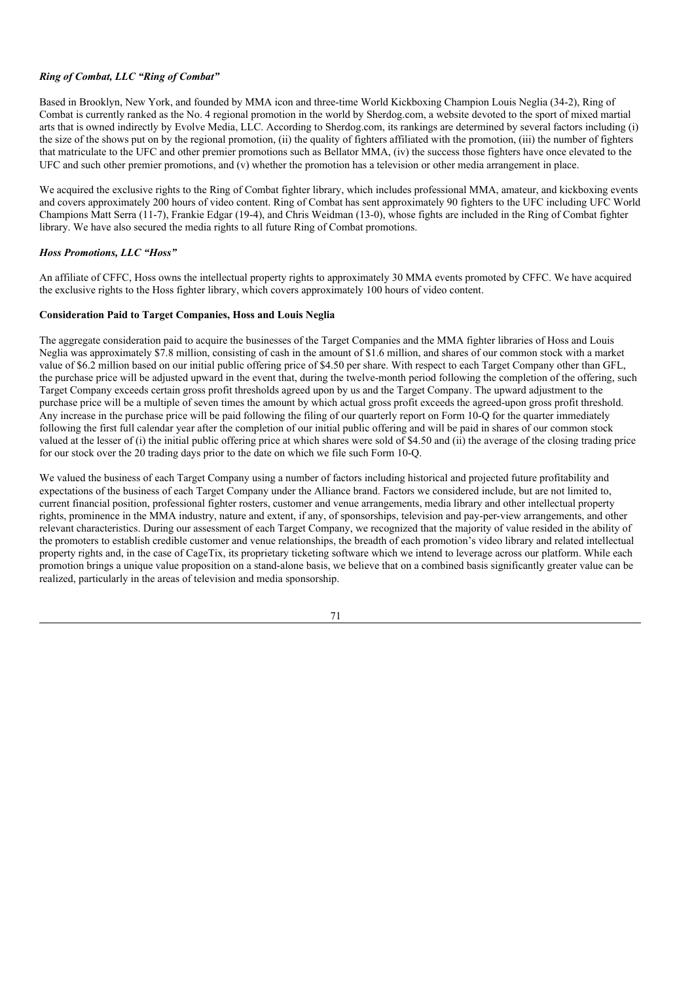# *Ring of Combat, LLC "Ring of Combat"*

Based in Brooklyn, New York, and founded by MMA icon and three-time World Kickboxing Champion Louis Neglia (34-2), Ring of Combat is currently ranked as the No. 4 regional promotion in the world by Sherdog.com, a website devoted to the sport of mixed martial arts that is owned indirectly by Evolve Media, LLC. According to Sherdog.com, its rankings are determined by several factors including (i) the size of the shows put on by the regional promotion, (ii) the quality of fighters affiliated with the promotion, (iii) the number of fighters that matriculate to the UFC and other premier promotions such as Bellator MMA, (iv) the success those fighters have once elevated to the UFC and such other premier promotions, and  $\hat{v}$  whether the promotion has a television or other media arrangement in place.

We acquired the exclusive rights to the Ring of Combat fighter library, which includes professional MMA, amateur, and kickboxing events and covers approximately 200 hours of video content. Ring of Combat has sent approximately 90 fighters to the UFC including UFC World Champions Matt Serra (11-7), Frankie Edgar (19-4), and Chris Weidman (13-0), whose fights are included in the Ring of Combat fighter library. We have also secured the media rights to all future Ring of Combat promotions.

# *Hoss Promotions, LLC "Hoss"*

An affiliate of CFFC, Hoss owns the intellectual property rights to approximately 30 MMA events promoted by CFFC. We have acquired the exclusive rights to the Hoss fighter library, which covers approximately 100 hours of video content.

# **Consideration Paid to Target Companies, Hoss and Louis Neglia**

The aggregate consideration paid to acquire the businesses of the Target Companies and the MMA fighter libraries of Hoss and Louis Neglia was approximately \$7.8 million, consisting of cash in the amount of \$1.6 million, and shares of our common stock with a market value of \$6.2 million based on our initial public offering price of \$4.50 per share. With respect to each Target Company other than GFL, the purchase price will be adjusted upward in the event that, during the twelve-month period following the completion of the offering, such Target Company exceeds certain gross profit thresholds agreed upon by us and the Target Company. The upward adjustment to the purchase price will be a multiple of seven times the amount by which actual gross profit exceeds the agreed-upon gross profit threshold. Any increase in the purchase price will be paid following the filing of our quarterly report on Form 10-Q for the quarter immediately following the first full calendar year after the completion of our initial public offering and will be paid in shares of our common stock valued at the lesser of (i) the initial public offering price at which shares were sold of \$4.50 and (ii) the average of the closing trading price for our stock over the 20 trading days prior to the date on which we file such Form 10-Q.

We valued the business of each Target Company using a number of factors including historical and projected future profitability and expectations of the business of each Target Company under the Alliance brand. Factors we considered include, but are not limited to, current financial position, professional fighter rosters, customer and venue arrangements, media library and other intellectual property rights, prominence in the MMA industry, nature and extent, if any, of sponsorships, television and pay-per-view arrangements, and other relevant characteristics. During our assessment of each Target Company, we recognized that the majority of value resided in the ability of the promoters to establish credible customer and venue relationships, the breadth of each promotion's video library and related intellectual property rights and, in the case of CageTix, its proprietary ticketing software which we intend to leverage across our platform. While each promotion brings a unique value proposition on a stand-alone basis, we believe that on a combined basis significantly greater value can be realized, particularly in the areas of television and media sponsorship.

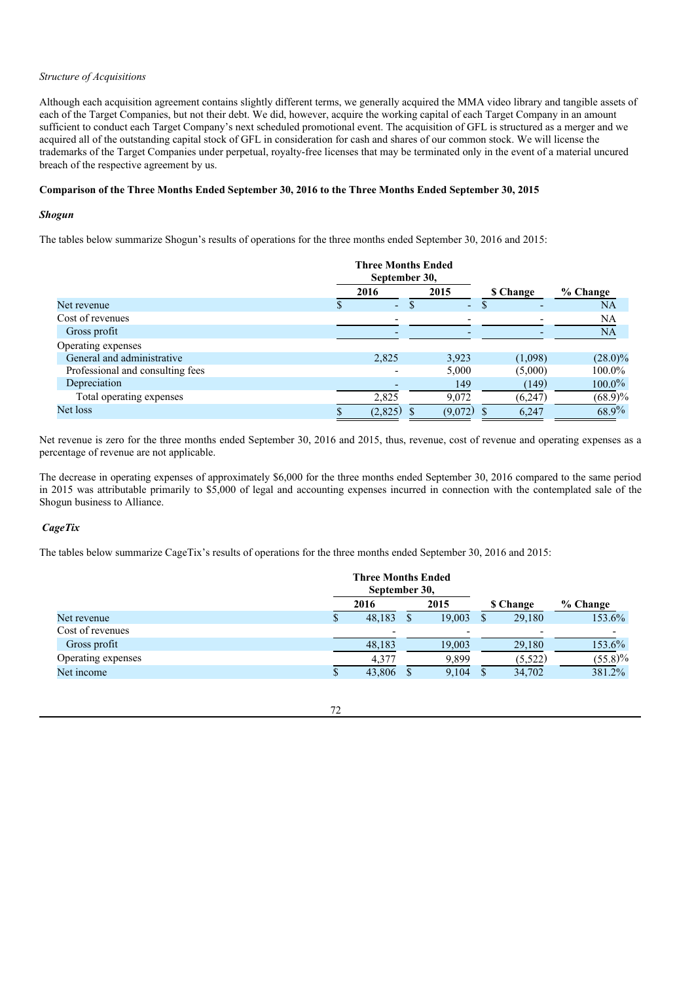### *Structure of Acquisitions*

Although each acquisition agreement contains slightly different terms, we generally acquired the MMA video library and tangible assets of each of the Target Companies, but not their debt. We did, however, acquire the working capital of each Target Company in an amount sufficient to conduct each Target Company's next scheduled promotional event. The acquisition of GFL is structured as a merger and we acquired all of the outstanding capital stock of GFL in consideration for cash and shares of our common stock. We will license the trademarks of the Target Companies under perpetual, royalty-free licenses that may be terminated only in the event of a material uncured breach of the respective agreement by us.

# **Comparison of the Three Months Ended September 30, 2016 to the Three Months Ended September 30, 2015**

### *Shogun*

The tables below summarize Shogun's results of operations for the three months ended September 30, 2016 and 2015:

|                                  | <b>Three Months Ended</b><br>September 30, |   |         |                 |            |
|----------------------------------|--------------------------------------------|---|---------|-----------------|------------|
|                                  | 2016                                       |   | 2015    | <b>S</b> Change | $%$ Change |
| Net revenue                      | $\overline{\phantom{a}}$                   | S | ٠.      | S               | NA         |
| Cost of revenues                 | $\overline{\phantom{0}}$                   |   |         |                 | NA         |
| Gross profit                     |                                            |   |         |                 | NA         |
| Operating expenses               |                                            |   |         |                 |            |
| General and administrative       | 2,825                                      |   | 3,923   | (1,098)         | $(28.0)\%$ |
| Professional and consulting fees |                                            |   | 5,000   | (5,000)         | $100.0\%$  |
| Depreciation                     |                                            |   | 149     | (149)           | $100.0\%$  |
| Total operating expenses         | 2,825                                      |   | 9,072   | (6,247)         | $(68.9)\%$ |
| Net loss                         | (2,825)                                    |   | (9,072) | 6,247           | 68.9%      |

Net revenue is zero for the three months ended September 30, 2016 and 2015, thus, revenue, cost of revenue and operating expenses as a percentage of revenue are not applicable.

The decrease in operating expenses of approximately \$6,000 for the three months ended September 30, 2016 compared to the same period in 2015 was attributable primarily to \$5,000 of legal and accounting expenses incurred in connection with the contemplated sale of the Shogun business to Alliance.

# *CageTix*

The tables below summarize CageTix's results of operations for the three months ended September 30, 2016 and 2015:

|                    | <b>Three Months Ended</b><br>September 30, |                          |      |        |                 |         |            |
|--------------------|--------------------------------------------|--------------------------|------|--------|-----------------|---------|------------|
|                    | 2016                                       |                          | 2015 |        | <b>S</b> Change |         | % Change   |
| Net revenue        | Ф                                          | 48,183                   | \$.  | 19,003 |                 | 29,180  | 153.6%     |
| Cost of revenues   |                                            | $\overline{\phantom{0}}$ |      |        |                 |         |            |
| Gross profit       |                                            | 48,183                   |      | 19.003 |                 | 29,180  | 153.6%     |
| Operating expenses |                                            | 4,377                    |      | 9,899  |                 | (5,522) | $(55.8)\%$ |
| Net income         |                                            | 43,806                   |      | 9,104  |                 | 34,702  | 381.2%     |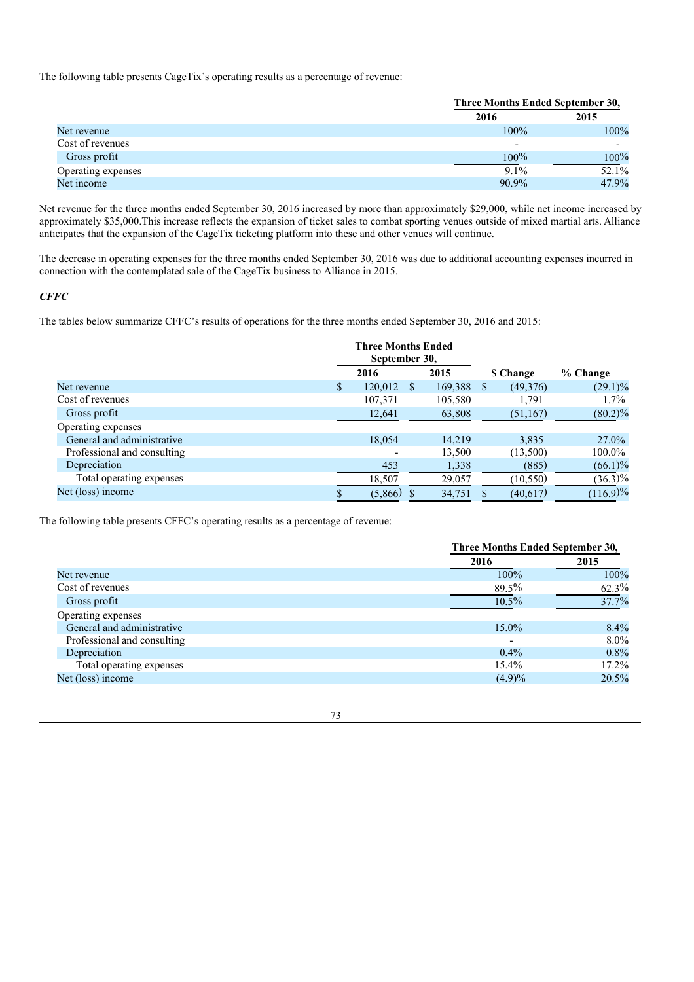The following table presents CageTix's operating results as a percentage of revenue:

|                    |          | Three Months Ended September 30, |  |  |  |
|--------------------|----------|----------------------------------|--|--|--|
|                    | 2016     | 2015                             |  |  |  |
| Net revenue        | $100\%$  | $100\%$                          |  |  |  |
| Cost of revenues   |          |                                  |  |  |  |
| Gross profit       | $100\%$  | $100\%$                          |  |  |  |
| Operating expenses | $9.1\%$  | 52.1%                            |  |  |  |
| Net income         | $90.9\%$ | 47.9%                            |  |  |  |

Net revenue for the three months ended September 30, 2016 increased by more than approximately \$29,000, while net income increased by approximately \$35,000.This increase reflects the expansion of ticket sales to combat sporting venues outside of mixed martial arts. Alliance anticipates that the expansion of the CageTix ticketing platform into these and other venues will continue.

The decrease in operating expenses for the three months ended September 30, 2016 was due to additional accounting expenses incurred in connection with the contemplated sale of the CageTix business to Alliance in 2015.

## *CFFC*

The tables below summarize CFFC's results of operations for the three months ended September 30, 2016 and 2015:

|                             | <b>Three Months Ended</b><br>September 30, |                          |      |         |               |           |             |
|-----------------------------|--------------------------------------------|--------------------------|------|---------|---------------|-----------|-------------|
|                             | 2016                                       |                          | 2015 |         | \$ Change     |           | % Change    |
| Net revenue                 |                                            | 120,012                  | S    | 169,388 | <sup>\$</sup> | (49,376)  | $(29.1)\%$  |
| Cost of revenues            |                                            | 107,371                  |      | 105,580 |               | 1,791     | $1.7\%$     |
| Gross profit                |                                            | 12,641                   |      | 63,808  |               | (51,167)  | $(80.2)\%$  |
| Operating expenses          |                                            |                          |      |         |               |           |             |
| General and administrative  |                                            | 18.054                   |      | 14,219  |               | 3,835     | $27.0\%$    |
| Professional and consulting |                                            | $\overline{\phantom{a}}$ |      | 13,500  |               | (13,500)  | 100.0%      |
| Depreciation                |                                            | 453                      |      | 1,338   |               | (885)     | $(66.1)\%$  |
| Total operating expenses    |                                            | 18,507                   |      | 29,057  |               | (10, 550) | $(36.3)\%$  |
| Net (loss) income           |                                            | (5,866)                  |      | 34,751  |               | (40,617)  | $(116.9)\%$ |

The following table presents CFFC's operating results as a percentage of revenue:

| 2015<br>2016                                            |         |
|---------------------------------------------------------|---------|
| $100\%$<br>Net revenue                                  | 100%    |
| Cost of revenues<br>89.5%                               | 62.3%   |
| $10.5\%$<br>Gross profit                                | 37.7%   |
| Operating expenses                                      |         |
| General and administrative<br>$15.0\%$                  | 8.4%    |
| Professional and consulting<br>$\overline{\phantom{0}}$ | $8.0\%$ |
| $0.4\%$<br>Depreciation                                 | 0.8%    |
| Total operating expenses<br>$15.4\%$                    | 17.2%   |
| Net (loss) income<br>$(4.9)\%$                          | 20.5%   |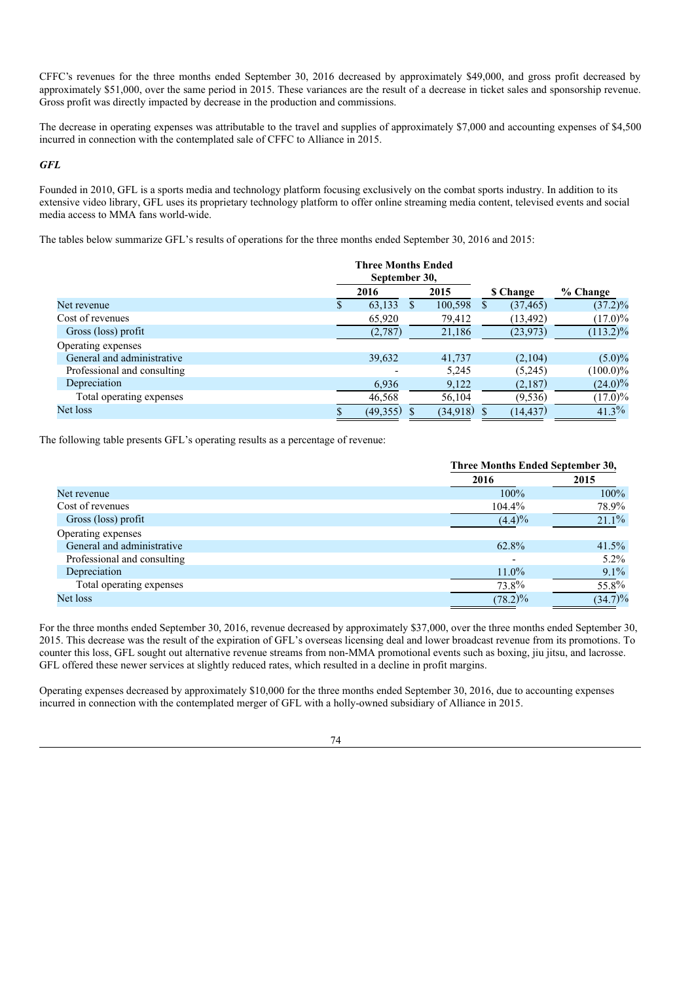CFFC's revenues for the three months ended September 30, 2016 decreased by approximately \$49,000, and gross profit decreased by approximately \$51,000, over the same period in 2015. These variances are the result of a decrease in ticket sales and sponsorship revenue. Gross profit was directly impacted by decrease in the production and commissions.

The decrease in operating expenses was attributable to the travel and supplies of approximately \$7,000 and accounting expenses of \$4,500 incurred in connection with the contemplated sale of CFFC to Alliance in 2015.

### *GFL*

Founded in 2010, GFL is a sports media and technology platform focusing exclusively on the combat sports industry. In addition to its extensive video library, GFL uses its proprietary technology platform to offer online streaming media content, televised events and social media access to MMA fans world-wide.

The tables below summarize GFL's results of operations for the three months ended September 30, 2016 and 2015:

|                             | <b>Three Months Ended</b><br>September 30, |          |          |    |                 |             |
|-----------------------------|--------------------------------------------|----------|----------|----|-----------------|-------------|
|                             | 2016                                       |          | 2015     |    | <b>S</b> Change | $%$ Change  |
| Net revenue                 | 63,133                                     | <b>S</b> | 100,598  | -8 | (37, 465)       | $(37.2)\%$  |
| Cost of revenues            | 65,920                                     |          | 79,412   |    | (13, 492)       | $(17.0)\%$  |
| Gross (loss) profit         | (2,787)                                    |          | 21,186   |    | (23, 973)       | $(113.2)\%$ |
| Operating expenses          |                                            |          |          |    |                 |             |
| General and administrative  | 39.632                                     |          | 41,737   |    | (2,104)         | $(5.0)\%$   |
| Professional and consulting | $\overline{\phantom{0}}$                   |          | 5,245    |    | (5,245)         | $(100.0)\%$ |
| Depreciation                | 6,936                                      |          | 9,122    |    | (2,187)         | $(24.0)\%$  |
| Total operating expenses    | 46,568                                     |          | 56,104   |    | (9,536)         | $(17.0)\%$  |
| Net loss                    | (49, 355)                                  |          | (34,918) |    | (14, 437)       | $41.3\%$    |

The following table presents GFL's operating results as a percentage of revenue:

|                             | Three Months Ended September 30, |                     |
|-----------------------------|----------------------------------|---------------------|
|                             | 2016                             | 2015                |
| Net revenue                 | $100\%$                          | $100\%$             |
| Cost of revenues            | $104.4\%$                        | 78.9%               |
| Gross (loss) profit         | (4.4)%                           | $\overline{21.1\%}$ |
| Operating expenses          |                                  |                     |
| General and administrative  | 62.8%                            | 41.5%               |
| Professional and consulting | $\overline{\phantom{0}}$         | $5.2\%$             |
| Depreciation                | $11.0\%$                         | $9.1\%$             |
| Total operating expenses    | 73.8%                            | $\overline{55.8\%}$ |
| Net loss                    | $(78.2)\%$                       | $(34.7)\%$          |

For the three months ended September 30, 2016, revenue decreased by approximately \$37,000, over the three months ended September 30, 2015. This decrease was the result of the expiration of GFL's overseas licensing deal and lower broadcast revenue from its promotions. To counter this loss, GFL sought out alternative revenue streams from non-MMA promotional events such as boxing, jiu jitsu, and lacrosse. GFL offered these newer services at slightly reduced rates, which resulted in a decline in profit margins.

Operating expenses decreased by approximately \$10,000 for the three months ended September 30, 2016, due to accounting expenses incurred in connection with the contemplated merger of GFL with a holly-owned subsidiary of Alliance in 2015.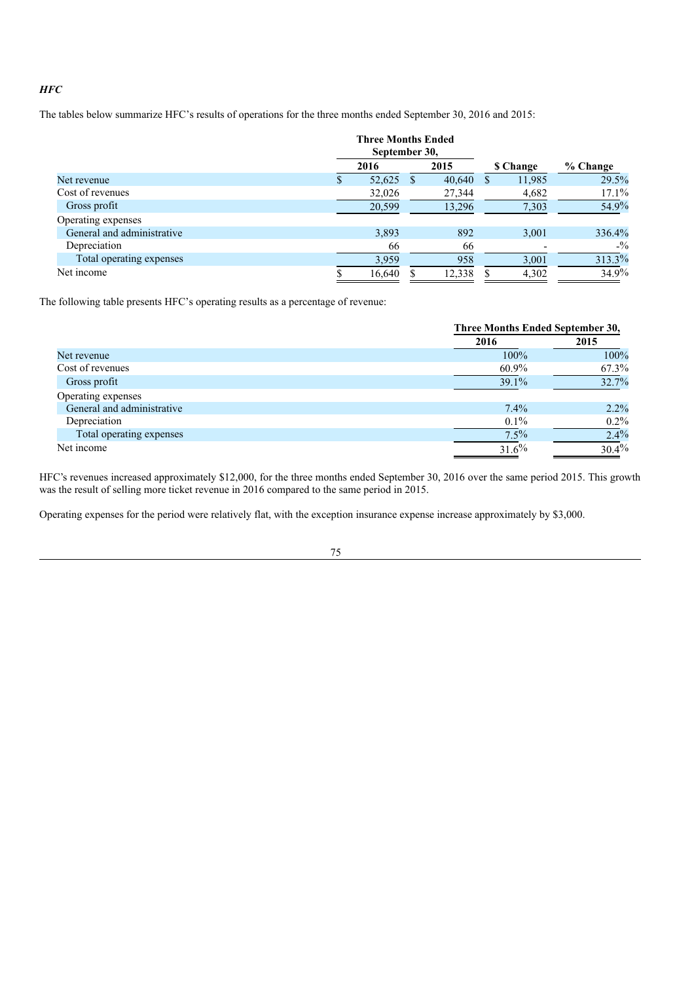# *HFC*

The tables below summarize HFC's results of operations for the three months ended September 30, 2016 and 2015:

|                            | <b>Three Months Ended</b><br>September 30, |        |    |        |   |           |                 |
|----------------------------|--------------------------------------------|--------|----|--------|---|-----------|-----------------|
|                            |                                            | 2016   |    | 2015   |   | \$ Change | $%$ Change      |
| Net revenue                |                                            | 52,625 | -S | 40,640 | S | 11,985    | 29.5%           |
| Cost of revenues           |                                            | 32,026 |    | 27,344 |   | 4,682     | $17.1\%$        |
| Gross profit               |                                            | 20,599 |    | 13,296 |   | 7,303     | 54.9%           |
| Operating expenses         |                                            |        |    |        |   |           |                 |
| General and administrative |                                            | 3,893  |    | 892    |   | 3,001     | 336.4%          |
| Depreciation               |                                            | 66     |    | 66     |   |           | $- \frac{0}{2}$ |
| Total operating expenses   |                                            | 3,959  |    | 958    |   | 3,001     | 313.3%          |
| Net income                 |                                            | 16,640 |    | 12,338 |   | 4,302     | 34.9%           |

The following table presents HFC's operating results as a percentage of revenue:

|                            |          | Three Months Ended September 30, |  |  |  |
|----------------------------|----------|----------------------------------|--|--|--|
|                            | 2016     | 2015                             |  |  |  |
| Net revenue                | $100\%$  | 100%                             |  |  |  |
| Cost of revenues           | $60.9\%$ | 67.3%                            |  |  |  |
| Gross profit               | 39.1%    | 32.7%                            |  |  |  |
| Operating expenses         |          |                                  |  |  |  |
| General and administrative | $7.4\%$  | 2.2%                             |  |  |  |
| Depreciation               | $0.1\%$  | $0.2\%$                          |  |  |  |
| Total operating expenses   | 7.5%     | 2.4%                             |  |  |  |
| Net income                 | 31.6%    | $30.4\%$                         |  |  |  |

HFC's revenues increased approximately \$12,000, for the three months ended September 30, 2016 over the same period 2015. This growth was the result of selling more ticket revenue in 2016 compared to the same period in 2015.

Operating expenses for the period were relatively flat, with the exception insurance expense increase approximately by \$3,000.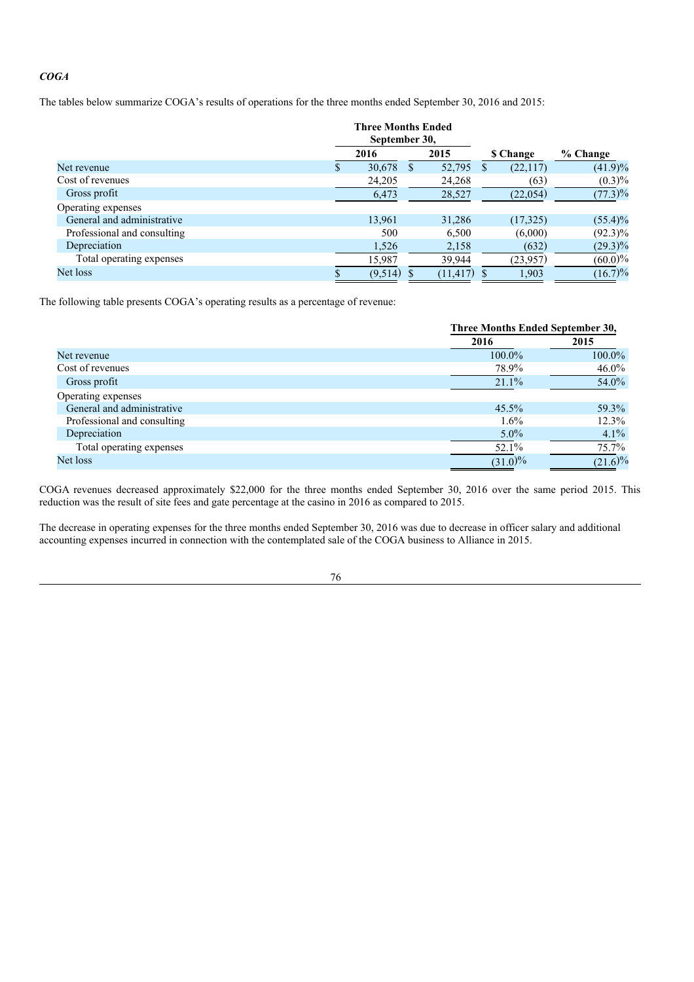# *COGA*

The tables below summarize COGA's results of operations for the three months ended September 30, 2016 and 2015:

|                             | <b>Three Months Ended</b><br>September 30, |             |                       |            |
|-----------------------------|--------------------------------------------|-------------|-----------------------|------------|
|                             | 2016                                       |             | \$ Change             | $%$ Change |
| Net revenue                 | 30,678                                     | 52,795<br>S | (22, 117)<br><b>S</b> | $(41.9)\%$ |
| Cost of revenues            | 24,205                                     | 24,268      | (63)                  | $(0.3)\%$  |
| Gross profit                | 6,473                                      | 28,527      | (22, 054)             | $(77.3)\%$ |
| Operating expenses          |                                            |             |                       |            |
| General and administrative  | 13,961                                     | 31,286      | (17, 325)             | $(55.4)\%$ |
| Professional and consulting | 500                                        | 6.500       | (6,000)               | $(92.3)\%$ |
| Depreciation                | 1,526                                      | 2,158       | (632)                 | $(29.3)\%$ |
| Total operating expenses    | 15,987                                     | 39,944      | (23, 957)             | $(60.0)\%$ |
| Net loss                    | (9,514)                                    | (11, 417)   | 1,903                 | $(16.7)\%$ |

The following table presents COGA's operating results as a percentage of revenue:

|                             | Three Months Ended September 30, |                     |  |
|-----------------------------|----------------------------------|---------------------|--|
|                             | 2016                             | 2015                |  |
| Net revenue                 | 100.0%                           | $100.0\%$           |  |
| Cost of revenues            | 78.9%                            | $46.0\%$            |  |
| Gross profit                | $21.1\%$                         | $\overline{54.0\%}$ |  |
| Operating expenses          |                                  |                     |  |
| General and administrative  | $45.5\%$                         | 59.3%               |  |
| Professional and consulting | $1.6\%$                          | 12.3%               |  |
| Depreciation                | $5.0\%$                          | $4.1\%$             |  |
| Total operating expenses    | 52.1%                            | $\overline{75.7\%}$ |  |
| Net loss                    | $(31.0)\%$                       | $(21.6)\%$          |  |

COGA revenues decreased approximately \$22,000 for the three months ended September 30, 2016 over the same period 2015. This reduction was the result of site fees and gate percentage at the casino in 2016 as compared to 2015.

The decrease in operating expenses for the three months ended September 30, 2016 was due to decrease in officer salary and additional accounting expenses incurred in connection with the contemplated sale of the COGA business to Alliance in 2015.

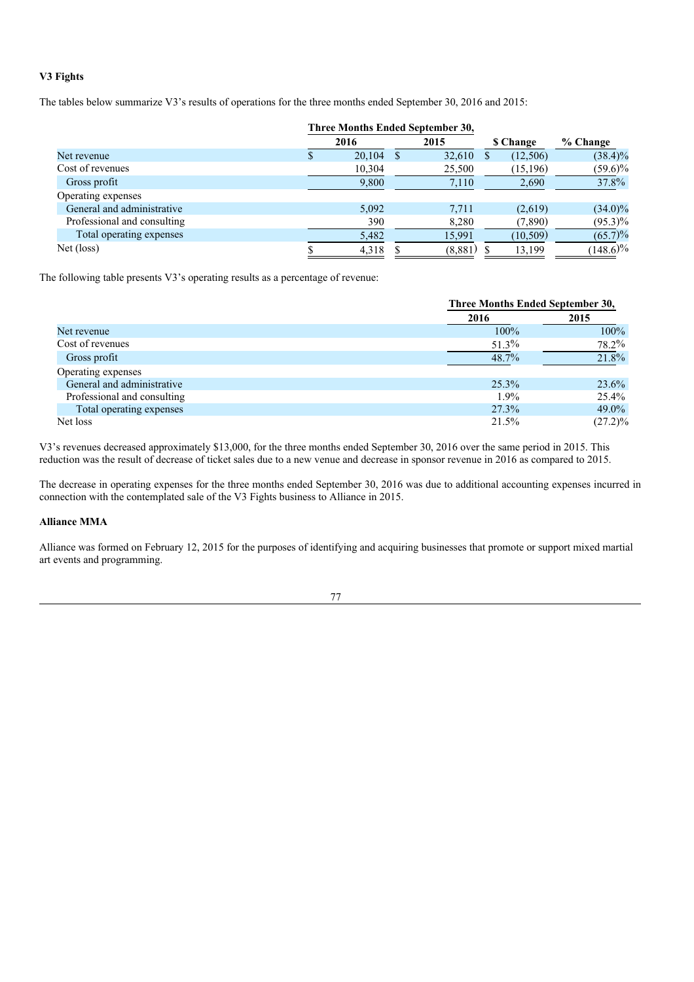# **V3 Fights**

The tables below summarize V3's results of operations for the three months ended September 30, 2016 and 2015:

|                             |      | Three Months Ended September 30, |      |         |           |           |             |
|-----------------------------|------|----------------------------------|------|---------|-----------|-----------|-------------|
|                             | 2016 |                                  | 2015 |         | \$ Change |           | % Change    |
| Net revenue                 |      | 20,104                           |      | 32,610  |           | (12,506)  | $(38.4)\%$  |
| Cost of revenues            |      | 10,304                           |      | 25,500  |           | (15, 196) | $(59.6)\%$  |
| Gross profit                |      | 9,800                            |      | 7.110   |           | 2,690     | 37.8%       |
| Operating expenses          |      |                                  |      |         |           |           |             |
| General and administrative  |      | 5,092                            |      | 7.711   |           | (2,619)   | $(34.0)\%$  |
| Professional and consulting |      | 390                              |      | 8,280   |           | (7,890)   | $(95.3)\%$  |
| Total operating expenses    |      | 5,482                            |      | 15,991  |           | (10, 509) | $(65.7)\%$  |
| Net (loss)                  |      | 4,318                            |      | (8,881) |           | 13,199    | $(148.6)\%$ |

The following table presents V3's operating results as a percentage of revenue:

|                             |          | Three Months Ended September 30, |  |  |  |
|-----------------------------|----------|----------------------------------|--|--|--|
|                             | 2016     | 2015                             |  |  |  |
| Net revenue                 | $100\%$  | $100\%$                          |  |  |  |
| Cost of revenues            | 51.3%    | 78.2%                            |  |  |  |
| Gross profit                | 48.7%    | $\overline{21.8\%}$              |  |  |  |
| Operating expenses          |          |                                  |  |  |  |
| General and administrative  | $25.3\%$ | 23.6%                            |  |  |  |
| Professional and consulting | $1.9\%$  | $25.4\%$                         |  |  |  |
| Total operating expenses    | 27.3%    | 49.0%                            |  |  |  |
| Net loss                    | 21.5%    | $(27.2)\%$                       |  |  |  |

V3's revenues decreased approximately \$13,000, for the three months ended September 30, 2016 over the same period in 2015. This reduction was the result of decrease of ticket sales due to a new venue and decrease in sponsor revenue in 2016 as compared to 2015.

The decrease in operating expenses for the three months ended September 30, 2016 was due to additional accounting expenses incurred in connection with the contemplated sale of the V3 Fights business to Alliance in 2015.

# **Alliance MMA**

Alliance was formed on February 12, 2015 for the purposes of identifying and acquiring businesses that promote or support mixed martial art events and programming.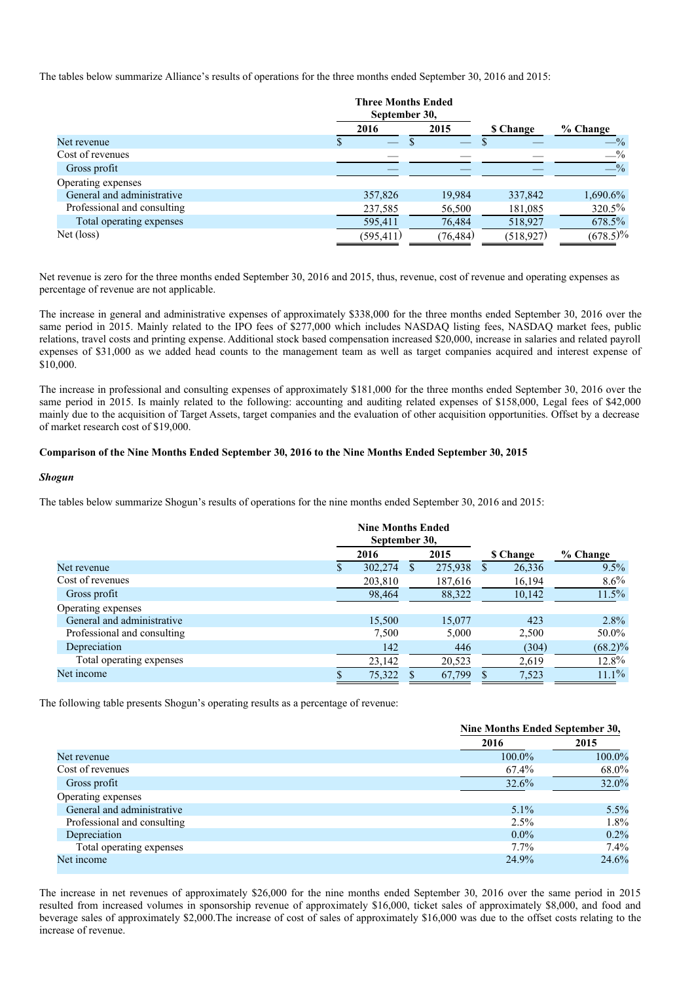The tables below summarize Alliance's results of operations for the three months ended September 30, 2016 and 2015:

|                             | <b>Three Months Ended</b><br>September 30, |          |                 |             |
|-----------------------------|--------------------------------------------|----------|-----------------|-------------|
|                             | 2016                                       | 2015     | <b>S</b> Change | % Change    |
| Net revenue                 |                                            |          |                 | $-$ %       |
| Cost of revenues            |                                            |          |                 | $-$ %       |
| Gross profit                |                                            |          |                 | $-$ %       |
| Operating expenses          |                                            |          |                 |             |
| General and administrative  | 357,826                                    | 19,984   | 337,842         | $1,690.6\%$ |
| Professional and consulting | 237,585                                    | 56,500   | 181,085         | 320.5%      |
| Total operating expenses    | 595,411                                    | 76,484   | 518,927         | 678.5%      |
| Net (loss)                  | (595, 411)                                 | (76,484) | (518, 927)      | $(678.5)\%$ |

Net revenue is zero for the three months ended September 30, 2016 and 2015, thus, revenue, cost of revenue and operating expenses as percentage of revenue are not applicable.

The increase in general and administrative expenses of approximately \$338,000 for the three months ended September 30, 2016 over the same period in 2015. Mainly related to the IPO fees of \$277,000 which includes NASDAQ listing fees, NASDAQ market fees, public relations, travel costs and printing expense. Additional stock based compensation increased \$20,000, increase in salaries and related payroll expenses of \$31,000 as we added head counts to the management team as well as target companies acquired and interest expense of \$10,000.

The increase in professional and consulting expenses of approximately \$181,000 for the three months ended September 30, 2016 over the same period in 2015. Is mainly related to the following: accounting and auditing related expenses of \$158,000, Legal fees of \$42,000 mainly due to the acquisition of Target Assets, target companies and the evaluation of other acquisition opportunities. Offset by a decrease of market research cost of \$19,000.

# **Comparison of the Nine Months Ended September 30, 2016 to the Nine Months Ended September 30, 2015**

#### *Shogun*

The tables below summarize Shogun's results of operations for the nine months ended September 30, 2016 and 2015:

|                             | <b>Nine Months Ended</b><br>September 30, |              |         |              |                 |            |
|-----------------------------|-------------------------------------------|--------------|---------|--------------|-----------------|------------|
|                             | 2016                                      |              | 2015    |              | <b>S</b> Change | % Change   |
| Net revenue                 | 302,274                                   | <sup>S</sup> | 275,938 | <sup>S</sup> | 26,336          | $9.5\%$    |
| Cost of revenues            | 203,810                                   |              | 187,616 |              | 16,194          | $8.6\%$    |
| Gross profit                | 98,464                                    |              | 88,322  |              | 10,142          | 11.5%      |
| Operating expenses          |                                           |              |         |              |                 |            |
| General and administrative  | 15,500                                    |              | 15,077  |              | 423             | $2.8\%$    |
| Professional and consulting | 7,500                                     |              | 5,000   |              | 2,500           | 50.0%      |
| Depreciation                | 142                                       |              | 446     |              | (304)           | $(68.2)\%$ |
| Total operating expenses    | 23,142                                    |              | 20,523  |              | 2,619           | $12.8\%$   |
| Net income                  | 75,322                                    |              | 67,799  |              | 7,523           | $11.1\%$   |

The following table presents Shogun's operating results as a percentage of revenue:

|                             | Nine Months Ended September 30, |        |
|-----------------------------|---------------------------------|--------|
|                             | 2016                            | 2015   |
| Net revenue                 | $100.0\%$                       | 100.0% |
| Cost of revenues            | $67.4\%$                        | 68.0%  |
| Gross profit                | 32.6%                           | 32.0%  |
| Operating expenses          |                                 |        |
| General and administrative  | $5.1\%$                         | 5.5%   |
| Professional and consulting | $2.5\%$                         | 1.8%   |
| Depreciation                | $0.0\%$                         | 0.2%   |
| Total operating expenses    | $7.7\%$                         | 7.4%   |
| Net income                  | 24.9%                           | 24.6%  |

The increase in net revenues of approximately \$26,000 for the nine months ended September 30, 2016 over the same period in 2015 resulted from increased volumes in sponsorship revenue of approximately \$16,000, ticket sales of approximately \$8,000, and food and beverage sales of approximately \$2,000.The increase of cost of sales of approximately \$16,000 was due to the offset costs relating to the increase of revenue.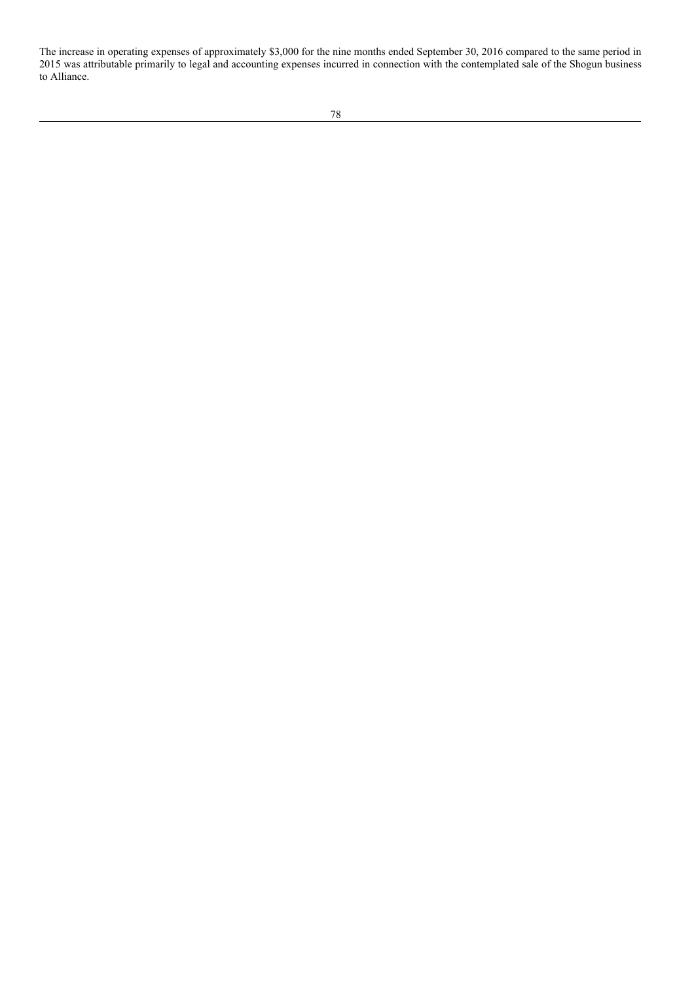The increase in operating expenses of approximately \$3,000 for the nine months ended September 30, 2016 compared to the same period in 2015 was attributable primarily to legal and accounting expenses incurred in connection with the contemplated sale of the Shogun business to Alliance.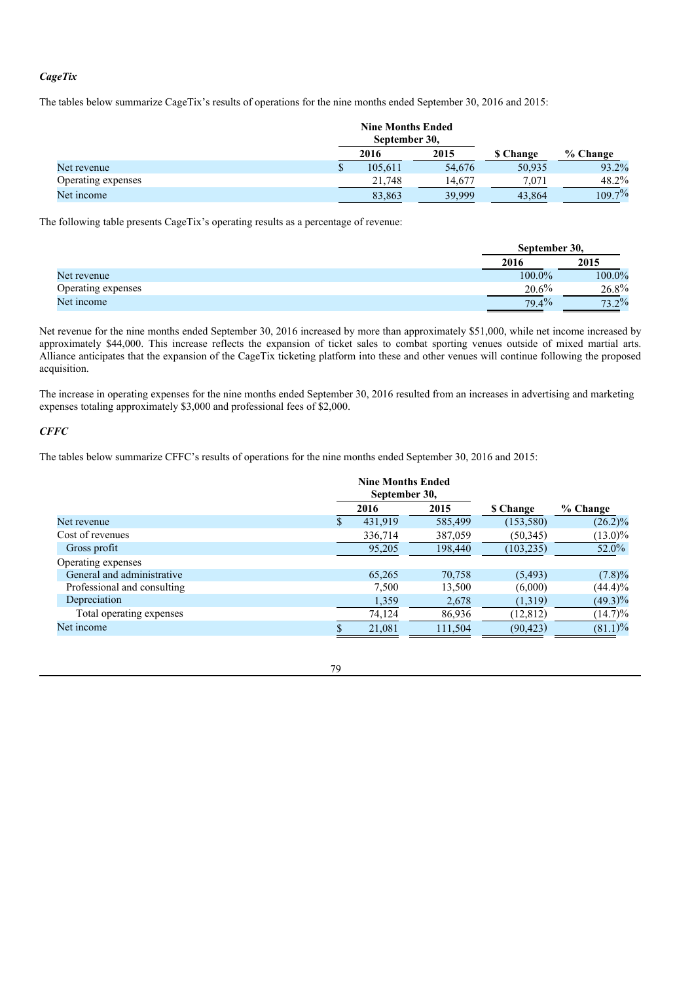# *CageTix*

The tables below summarize CageTix's results of operations for the nine months ended September 30, 2016 and 2015:

|                    | <b>Nine Months Ended</b><br>September 30, |        |                 |             |
|--------------------|-------------------------------------------|--------|-----------------|-------------|
|                    | 2016                                      | 2015   | <b>S</b> Change | $\%$ Change |
| Net revenue        | 105.611                                   | 54,676 | 50,935          | 93.2%       |
| Operating expenses | 21.748                                    | 14.677 | 7.071           | $48.2\%$    |
| Net income         | 83,863                                    | 39.999 | 43,864          | $109.7\%$   |

The following table presents CageTix's operating results as a percentage of revenue:

|                    | September 30, |        |
|--------------------|---------------|--------|
|                    | 2016          | 2015   |
| Net revenue        | 100.0%        | 100.0% |
| Operating expenses | $20.6\%$      | 26.8%  |
| Net income         | $79.4\%$      | 73.2%  |

Net revenue for the nine months ended September 30, 2016 increased by more than approximately \$51,000, while net income increased by approximately \$44,000. This increase reflects the expansion of ticket sales to combat sporting venues outside of mixed martial arts. Alliance anticipates that the expansion of the CageTix ticketing platform into these and other venues will continue following the proposed acquisition.

The increase in operating expenses for the nine months ended September 30, 2016 resulted from an increases in advertising and marketing expenses totaling approximately \$3,000 and professional fees of \$2,000.

# *CFFC*

The tables below summarize CFFC's results of operations for the nine months ended September 30, 2016 and 2015:

|                             | September 30, | <b>Nine Months Ended</b> |                 |            |
|-----------------------------|---------------|--------------------------|-----------------|------------|
|                             | 2016          | 2015                     | <b>S</b> Change | % Change   |
| Net revenue                 | 431,919<br>Ъ. | 585,499                  | (153,580)       | $(26.2)\%$ |
| Cost of revenues            | 336,714       | 387,059                  | (50, 345)       | $(13.0)\%$ |
| Gross profit                | 95,205        | 198,440                  | (103, 235)      | 52.0%      |
| Operating expenses          |               |                          |                 |            |
| General and administrative  | 65,265        | 70,758                   | (5, 493)        | $(7.8)\%$  |
| Professional and consulting | 7,500         | 13,500                   | (6,000)         | $(44.4)\%$ |
| Depreciation                | 1,359         | 2,678                    | (1,319)         | $(49.3)\%$ |
| Total operating expenses    | 74,124        | 86,936                   | (12, 812)       | $(14.7)\%$ |
| Net income                  | 21,081        | 111,504                  | (90, 423)       | $(81.1)$ % |

79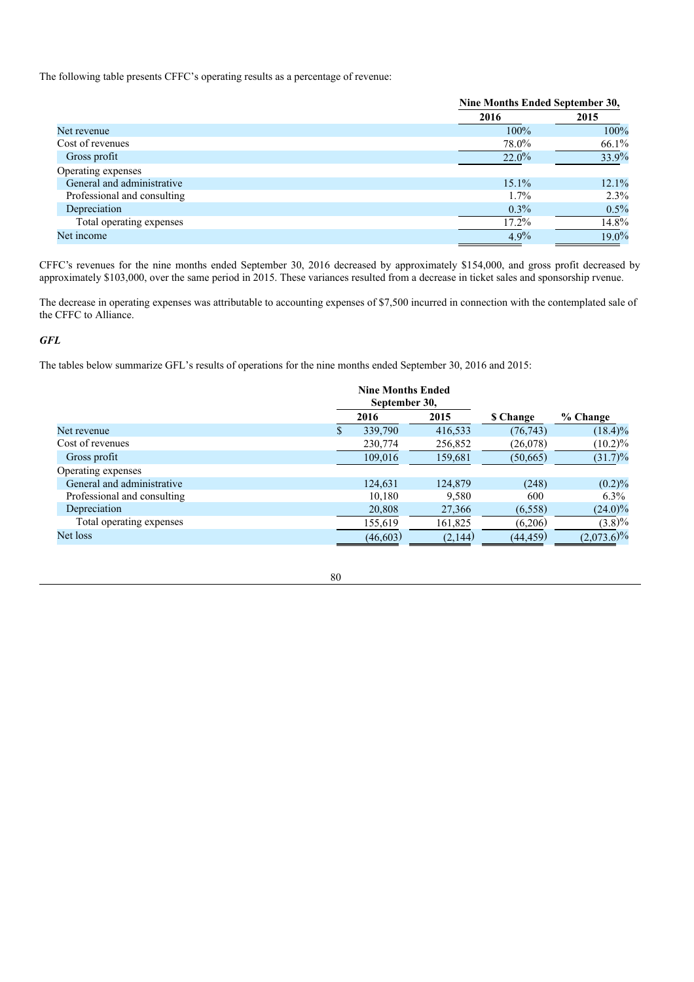The following table presents CFFC's operating results as a percentage of revenue:

|                             | Nine Months Ended September 30, |          |
|-----------------------------|---------------------------------|----------|
|                             | 2016                            | 2015     |
| Net revenue                 | $100\%$                         | 100%     |
| Cost of revenues            | 78.0%                           | $66.1\%$ |
| Gross profit                | $22.0\%$                        | 33.9%    |
| Operating expenses          |                                 |          |
| General and administrative  | $15.1\%$                        | 12.1%    |
| Professional and consulting | $1.7\%$                         | 2.3%     |
| Depreciation                | $0.3\%$                         | $0.5\%$  |
| Total operating expenses    | 17.2%                           | 14.8%    |
| Net income                  | 4.9%                            | $19.0\%$ |
|                             |                                 |          |

CFFC's revenues for the nine months ended September 30, 2016 decreased by approximately \$154,000, and gross profit decreased by approximately \$103,000, over the same period in 2015. These variances resulted from a decrease in ticket sales and sponsorship rvenue.

The decrease in operating expenses was attributable to accounting expenses of \$7,500 incurred in connection with the contemplated sale of the CFFC to Alliance.

## *GFL*

The tables below summarize GFL's results of operations for the nine months ended September 30, 2016 and 2015:

|                             | <b>Nine Months Ended</b><br>September 30, |          |         |           |               |
|-----------------------------|-------------------------------------------|----------|---------|-----------|---------------|
|                             |                                           | 2016     | 2015    | \$ Change | $%$ Change    |
| Net revenue                 |                                           | 339,790  | 416,533 | (76, 743) | $(18.4)\%$    |
| Cost of revenues            |                                           | 230,774  | 256,852 | (26,078)  | $(10.2)\%$    |
| Gross profit                |                                           | 109,016  | 159,681 | (50,665)  | $(31.7)\%$    |
| Operating expenses          |                                           |          |         |           |               |
| General and administrative  |                                           | 124,631  | 124,879 | (248)     | $(0.2)\%$     |
| Professional and consulting |                                           | 10,180   | 9,580   | 600       | $6.3\%$       |
| Depreciation                |                                           | 20,808   | 27,366  | (6, 558)  | $(24.0)\%$    |
| Total operating expenses    |                                           | 155,619  | 161,825 | (6,206)   | $(3.8)\%$     |
| Net loss                    |                                           | (46,603) | (2,144) | (44, 459) | $(2,073.6)\%$ |

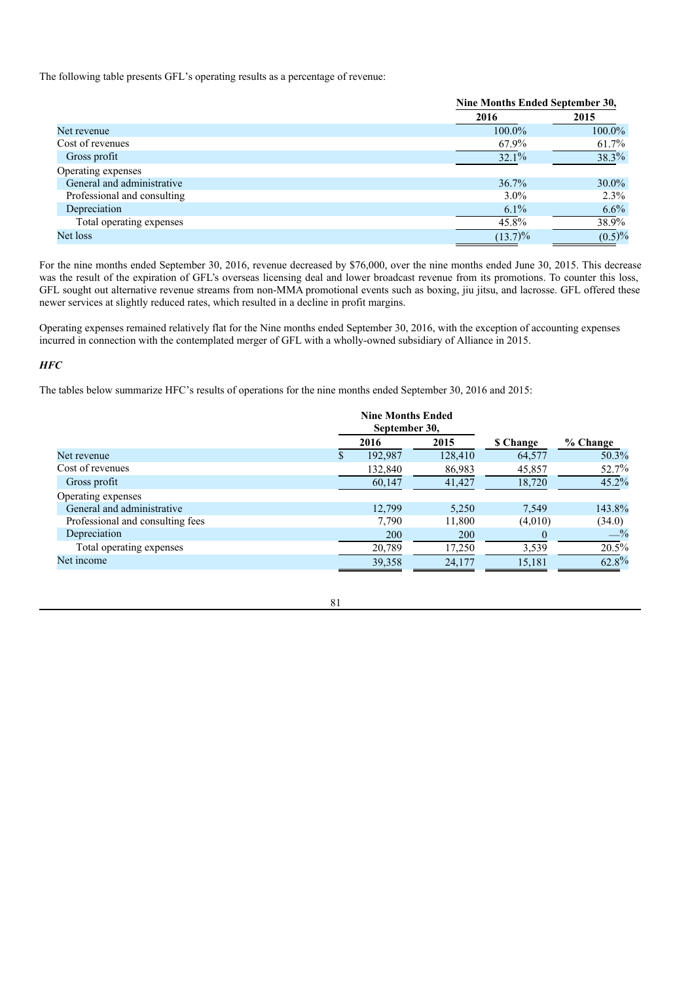The following table presents GFL's operating results as a percentage of revenue:

|                             | Nine Months Ended September 30, |           |  |
|-----------------------------|---------------------------------|-----------|--|
|                             | 2016                            | 2015      |  |
| Net revenue                 | 100.0%                          | 100.0%    |  |
| Cost of revenues            | 67.9%                           | 61.7%     |  |
| Gross profit                | $32.1\%$                        | $38.3\%$  |  |
| Operating expenses          |                                 |           |  |
| General and administrative  | 36.7%                           | $30.0\%$  |  |
| Professional and consulting | $3.0\%$                         | $2.3\%$   |  |
| Depreciation                | $6.1\%$                         | $6.6\%$   |  |
| Total operating expenses    | 45.8%                           | 38.9%     |  |
| Net loss                    | $(13.7)\%$                      | $(0.5)$ % |  |

For the nine months ended September 30, 2016, revenue decreased by \$76,000, over the nine months ended June 30, 2015. This decrease was the result of the expiration of GFL's overseas licensing deal and lower broadcast revenue from its promotions. To counter this loss, GFL sought out alternative revenue streams from non-MMA promotional events such as boxing, jiu jitsu, and lacrosse. GFL offered these newer services at slightly reduced rates, which resulted in a decline in profit margins.

Operating expenses remained relatively flat for the Nine months ended September 30, 2016, with the exception of accounting expenses incurred in connection with the contemplated merger of GFL with a wholly-owned subsidiary of Alliance in 2015.

# *HFC*

The tables below summarize HFC's results of operations for the nine months ended September 30, 2016 and 2015:

|                                  | <b>Nine Months Ended</b><br>September 30, |         |           |            |
|----------------------------------|-------------------------------------------|---------|-----------|------------|
|                                  | 2016                                      | 2015    | \$ Change | $%$ Change |
| Net revenue                      | 192,987                                   | 128,410 | 64,577    | 50.3%      |
| Cost of revenues                 | 132,840                                   | 86,983  | 45,857    | 52.7%      |
| Gross profit                     | 60,147                                    | 41,427  | 18,720    | 45.2%      |
| Operating expenses               |                                           |         |           |            |
| General and administrative       | 12.799                                    | 5,250   | 7.549     | 143.8%     |
| Professional and consulting fees | 7,790                                     | 11,800  | (4,010)   | (34.0)     |
| Depreciation                     | <b>200</b>                                | 200     |           | $-$ %      |
| Total operating expenses         | 20,789                                    | 17,250  | 3,539     | 20.5%      |
| Net income                       | 39,358                                    | 24,177  | 15,181    | $62.8\%$   |
|                                  |                                           |         |           |            |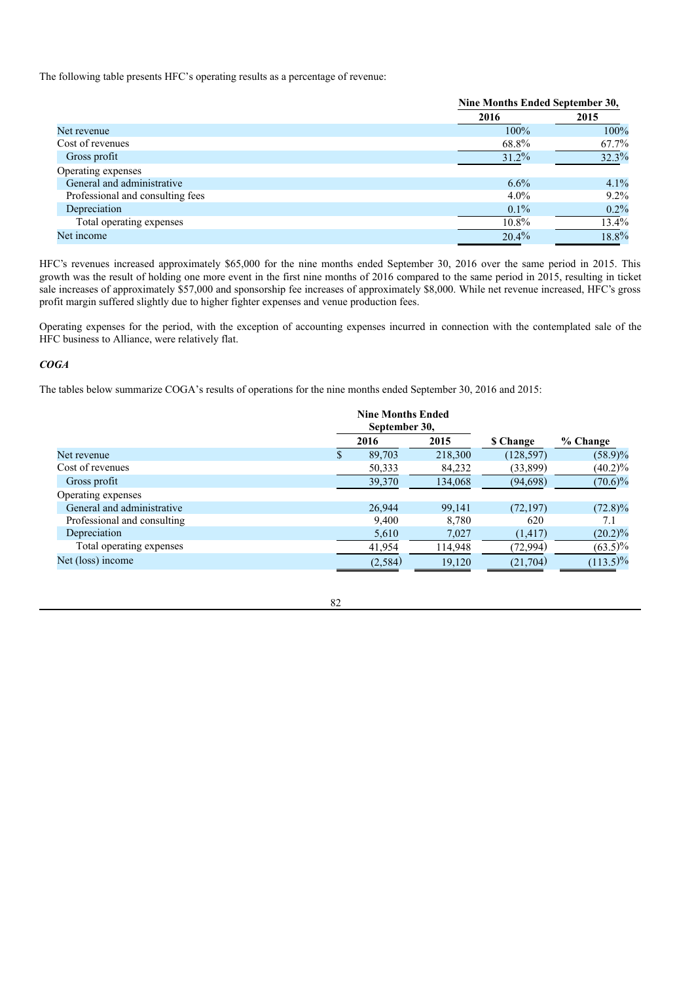The following table presents HFC's operating results as a percentage of revenue:

| Nine Months Ended September 30, |          |  |
|---------------------------------|----------|--|
| 2016                            | 2015     |  |
| $100\%$                         | 100%     |  |
| 68.8%                           | $67.7\%$ |  |
| $31.2\%$                        | 32.3%    |  |
|                                 |          |  |
| $6.6\%$                         | 4.1%     |  |
| $4.0\%$                         | $9.2\%$  |  |
| $0.1\%$                         | $0.2\%$  |  |
| 10.8%                           | 13.4%    |  |
| $20.4\%$                        | 18.8%    |  |
|                                 |          |  |

HFC's revenues increased approximately \$65,000 for the nine months ended September 30, 2016 over the same period in 2015. This growth was the result of holding one more event in the first nine months of 2016 compared to the same period in 2015, resulting in ticket sale increases of approximately \$57,000 and sponsorship fee increases of approximately \$8,000. While net revenue increased, HFC's gross profit margin suffered slightly due to higher fighter expenses and venue production fees.

Operating expenses for the period, with the exception of accounting expenses incurred in connection with the contemplated sale of the HFC business to Alliance, were relatively flat.

# *COGA*

The tables below summarize COGA's results of operations for the nine months ended September 30, 2016 and 2015:

|                             | <b>Nine Months Ended</b><br>September 30, |         |                 |             |
|-----------------------------|-------------------------------------------|---------|-----------------|-------------|
|                             | 2016                                      | 2015    | <b>S</b> Change | % Change    |
| Net revenue                 | 89,703                                    | 218,300 | (128, 597)      | $(58.9)\%$  |
| Cost of revenues            | 50,333                                    | 84,232  | (33,899)        | $(40.2)\%$  |
| Gross profit                | 39,370                                    | 134,068 | (94, 698)       | $(70.6)\%$  |
| Operating expenses          |                                           |         |                 |             |
| General and administrative  | 26,944                                    | 99,141  | (72, 197)       | $(72.8)\%$  |
| Professional and consulting | 9,400                                     | 8,780   | 620             | 7.1         |
| Depreciation                | 5,610                                     | 7,027   | (1, 417)        | $(20.2)\%$  |
| Total operating expenses    | 41,954                                    | 114,948 | (72,994)        | $(63.5)\%$  |
| Net (loss) income           | (2, 584)                                  | 19,120  | (21,704)        | $(113.5)\%$ |

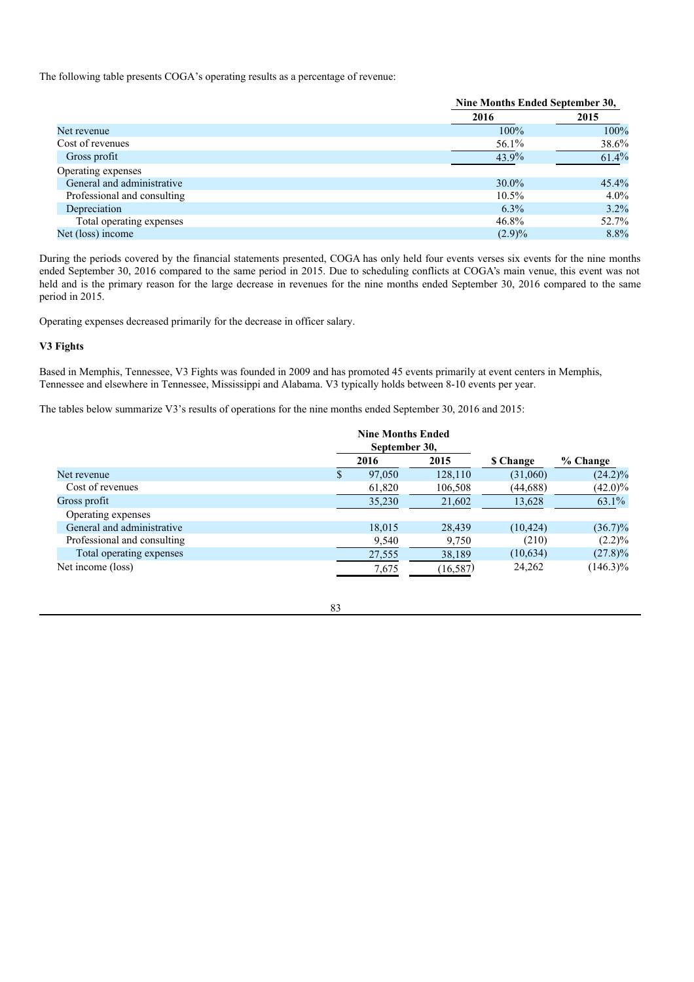The following table presents COGA's operating results as a percentage of revenue:

|                             | Nine Months Ended September 30, |         |
|-----------------------------|---------------------------------|---------|
|                             | 2016                            | 2015    |
| Net revenue                 | $100\%$                         | 100%    |
| Cost of revenues            | 56.1%                           | 38.6%   |
| Gross profit                | $43.9\%$                        | 61.4%   |
| Operating expenses          |                                 |         |
| General and administrative  | $30.0\%$                        | 45.4%   |
| Professional and consulting | $10.5\%$                        | $4.0\%$ |
| Depreciation                | $6.3\%$                         | 3.2%    |
| Total operating expenses    | $46.8\%$                        | 52.7%   |
| Net (loss) income           | $(2.9)\%$                       | 8.8%    |

During the periods covered by the financial statements presented, COGA has only held four events verses six events for the nine months ended September 30, 2016 compared to the same period in 2015. Due to scheduling conflicts at COGA's main venue, this event was not held and is the primary reason for the large decrease in revenues for the nine months ended September 30, 2016 compared to the same period in 2015.

Operating expenses decreased primarily for the decrease in officer salary.

#### **V3 Fights**

Based in Memphis, Tennessee, V3 Fights was founded in 2009 and has promoted 45 events primarily at event centers in Memphis, Tennessee and elsewhere in Tennessee, Mississippi and Alabama. V3 typically holds between 8-10 events per year.

The tables below summarize V3's results of operations for the nine months ended September 30, 2016 and 2015:

|                             | <b>Nine Months Ended</b><br>September 30, |           |                 |             |
|-----------------------------|-------------------------------------------|-----------|-----------------|-------------|
|                             | 2016                                      | 2015      | <b>S</b> Change | % Change    |
| Net revenue                 | 97,050                                    | 128,110   | (31,060)        | $(24.2)\%$  |
| Cost of revenues            | 61,820                                    | 106,508   | (44, 688)       | $(42.0)\%$  |
| Gross profit                | 35,230                                    | 21,602    | 13,628          | $63.1\%$    |
| Operating expenses          |                                           |           |                 |             |
| General and administrative  | 18,015                                    | 28.439    | (10, 424)       | $(36.7)\%$  |
| Professional and consulting | 9,540                                     | 9,750     | (210)           | $(2.2)\%$   |
| Total operating expenses    | 27,555                                    | 38,189    | (10, 634)       | $(27.8)\%$  |
| Net income (loss)           | 7,675                                     | (16, 587) | 24,262          | $(146.3)\%$ |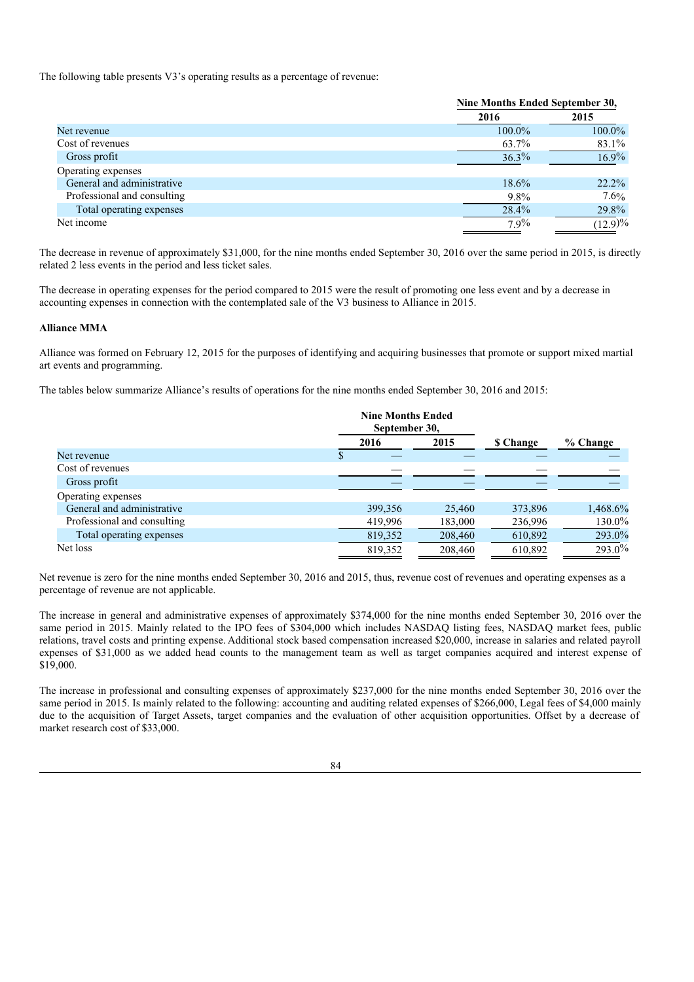The following table presents V3's operating results as a percentage of revenue:

|                             | Nine Months Ended September 30, |            |
|-----------------------------|---------------------------------|------------|
|                             | 2016                            | 2015       |
| Net revenue                 | 100.0%                          | 100.0%     |
| Cost of revenues            | 63.7%                           | 83.1%      |
| Gross profit                | $36.3\%$                        | $16.9\%$   |
| Operating expenses          |                                 |            |
| General and administrative  | 18.6%                           | $22.2\%$   |
| Professional and consulting | 9.8%                            | 7.6%       |
| Total operating expenses    | $28.4\%$                        | 29.8%      |
| Net income                  | $7.9\%$                         | $(12.9)\%$ |

The decrease in revenue of approximately \$31,000, for the nine months ended September 30, 2016 over the same period in 2015, is directly related 2 less events in the period and less ticket sales.

The decrease in operating expenses for the period compared to 2015 were the result of promoting one less event and by a decrease in accounting expenses in connection with the contemplated sale of the V3 business to Alliance in 2015.

## **Alliance MMA**

Alliance was formed on February 12, 2015 for the purposes of identifying and acquiring businesses that promote or support mixed martial art events and programming.

The tables below summarize Alliance's results of operations for the nine months ended September 30, 2016 and 2015:

|                             | <b>Nine Months Ended</b><br>September 30, |         |           |            |
|-----------------------------|-------------------------------------------|---------|-----------|------------|
|                             | 2016                                      | 2015    | \$ Change | $%$ Change |
| Net revenue                 |                                           |         |           |            |
| Cost of revenues            |                                           |         |           |            |
| Gross profit                |                                           |         |           |            |
| Operating expenses          |                                           |         |           |            |
| General and administrative  | 399.356                                   | 25,460  | 373,896   | 1,468.6%   |
| Professional and consulting | 419,996                                   | 183,000 | 236,996   | 130.0%     |
| Total operating expenses    | 819,352                                   | 208,460 | 610,892   | 293.0%     |
| Net loss                    | 819,352                                   | 208,460 | 610,892   | 293.0%     |

Net revenue is zero for the nine months ended September 30, 2016 and 2015, thus, revenue cost of revenues and operating expenses as a percentage of revenue are not applicable.

The increase in general and administrative expenses of approximately \$374,000 for the nine months ended September 30, 2016 over the same period in 2015. Mainly related to the IPO fees of \$304,000 which includes NASDAQ listing fees, NASDAQ market fees, public relations, travel costs and printing expense. Additional stock based compensation increased \$20,000, increase in salaries and related payroll expenses of \$31,000 as we added head counts to the management team as well as target companies acquired and interest expense of \$19,000.

The increase in professional and consulting expenses of approximately \$237,000 for the nine months ended September 30, 2016 over the same period in 2015. Is mainly related to the following: accounting and auditing related expenses of \$266,000, Legal fees of \$4,000 mainly due to the acquisition of Target Assets, target companies and the evaluation of other acquisition opportunities. Offset by a decrease of market research cost of \$33,000.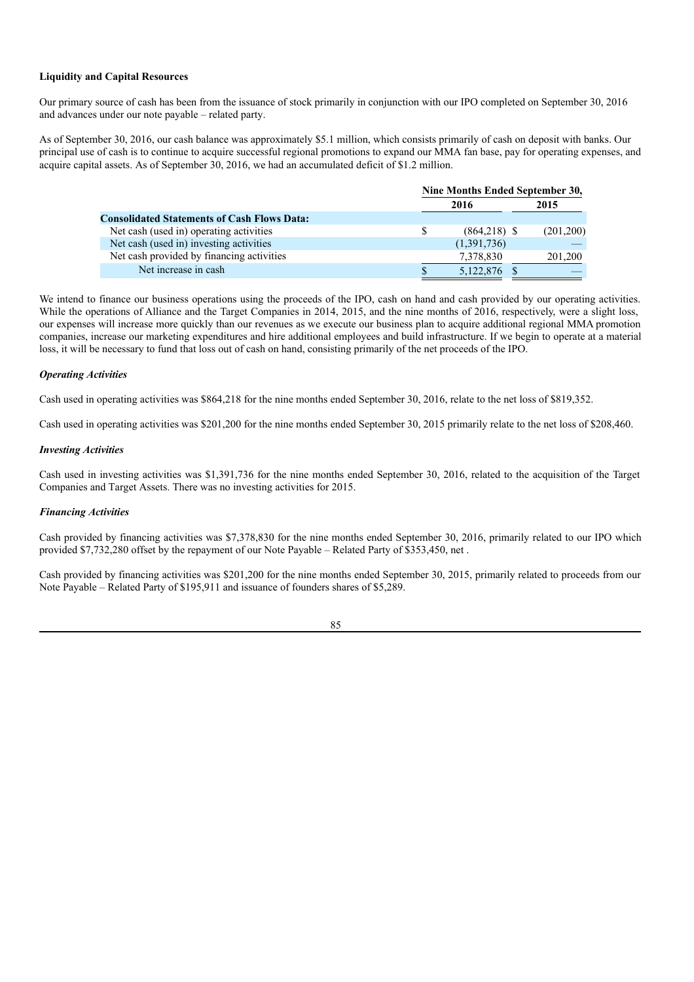## **Liquidity and Capital Resources**

Our primary source of cash has been from the issuance of stock primarily in conjunction with our IPO completed on September 30, 2016 and advances under our note payable – related party.

As of September 30, 2016, our cash balance was approximately \$5.1 million, which consists primarily of cash on deposit with banks. Our principal use of cash is to continue to acquire successful regional promotions to expand our MMA fan base, pay for operating expenses, and acquire capital assets. As of September 30, 2016, we had an accumulated deficit of \$1.2 million.

|                                                    |   | Nine Months Ended September 30, |            |  |
|----------------------------------------------------|---|---------------------------------|------------|--|
|                                                    |   | 2016                            | 2015       |  |
| <b>Consolidated Statements of Cash Flows Data:</b> |   |                                 |            |  |
| Net cash (used in) operating activities            | S | $(864,218)$ \$                  | (201, 200) |  |
| Net cash (used in) investing activities            |   | (1,391,736)                     |            |  |
| Net cash provided by financing activities          |   | 7,378,830                       | 201,200    |  |
| Net increase in cash                               |   | 5,122,876                       |            |  |

We intend to finance our business operations using the proceeds of the IPO, cash on hand and cash provided by our operating activities. While the operations of Alliance and the Target Companies in 2014, 2015, and the nine months of 2016, respectively, were a slight loss, our expenses will increase more quickly than our revenues as we execute our business plan to acquire additional regional MMA promotion companies, increase our marketing expenditures and hire additional employees and build infrastructure. If we begin to operate at a material loss, it will be necessary to fund that loss out of cash on hand, consisting primarily of the net proceeds of the IPO.

# *Operating Activities*

Cash used in operating activities was \$864,218 for the nine months ended September 30, 2016, relate to the net loss of \$819,352.

Cash used in operating activities was \$201,200 for the nine months ended September 30, 2015 primarily relate to the net loss of \$208,460.

## *Investing Activities*

Cash used in investing activities was \$1,391,736 for the nine months ended September 30, 2016, related to the acquisition of the Target Companies and Target Assets. There was no investing activities for 2015.

## *Financing Activities*

Cash provided by financing activities was \$7,378,830 for the nine months ended September 30, 2016, primarily related to our IPO which provided \$7,732,280 offset by the repayment of our Note Payable – Related Party of \$353,450, net .

Cash provided by financing activities was \$201,200 for the nine months ended September 30, 2015, primarily related to proceeds from our Note Payable – Related Party of \$195,911 and issuance of founders shares of \$5,289.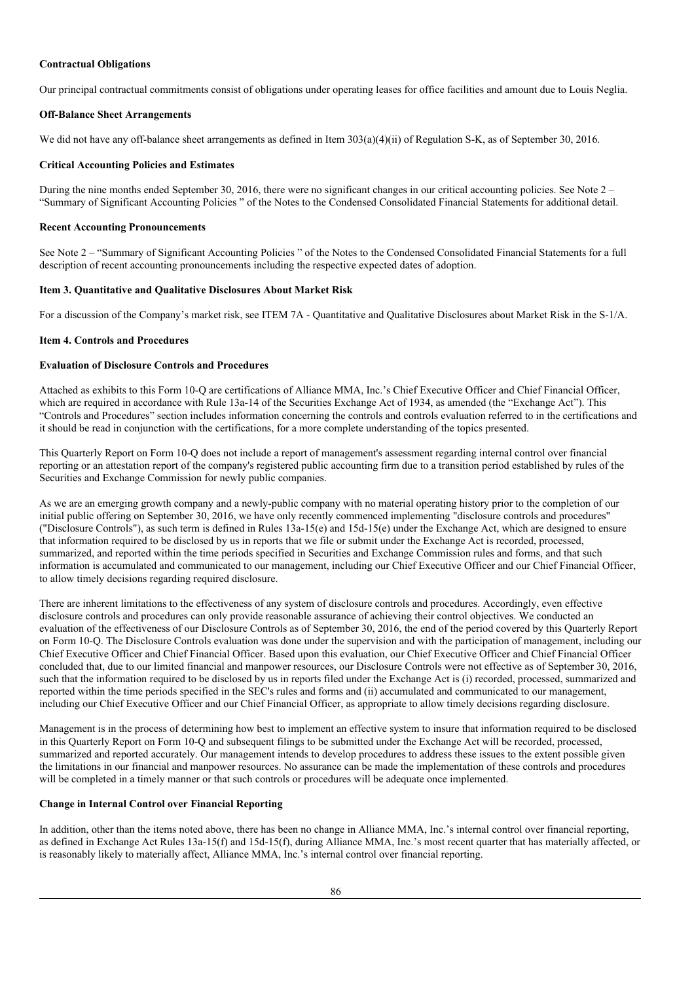### **Contractual Obligations**

Our principal contractual commitments consist of obligations under operating leases for office facilities and amount due to Louis Neglia.

#### **Off-Balance Sheet Arrangements**

We did not have any off-balance sheet arrangements as defined in Item 303(a)(4)(ii) of Regulation S-K, as of September 30, 2016.

#### **Critical Accounting Policies and Estimates**

During the nine months ended September 30, 2016, there were no significant changes in our critical accounting policies. See Note  $2 -$ "Summary of Significant Accounting Policies " of the Notes to the Condensed Consolidated Financial Statements for additional detail.

#### **Recent Accounting Pronouncements**

See Note 2 – "Summary of Significant Accounting Policies " of the Notes to the Condensed Consolidated Financial Statements for a full description of recent accounting pronouncements including the respective expected dates of adoption.

#### **Item 3. Quantitative and Qualitative Disclosures About Market Risk**

For a discussion of the Company's market risk, see ITEM 7A - Quantitative and Qualitative Disclosures about Market Risk in the S-1/A.

#### **Item 4. Controls and Procedures**

#### **Evaluation of Disclosure Controls and Procedures**

Attached as exhibits to this Form 10-Q are certifications of Alliance MMA, Inc.'s Chief Executive Officer and Chief Financial Officer, which are required in accordance with Rule 13a-14 of the Securities Exchange Act of 1934, as amended (the "Exchange Act"). This "Controls and Procedures" section includes information concerning the controls and controls evaluation referred to in the certifications and it should be read in conjunction with the certifications, for a more complete understanding of the topics presented.

This Quarterly Report on Form 10-Q does not include a report of management's assessment regarding internal control over financial reporting or an attestation report of the company's registered public accounting firm due to a transition period established by rules of the Securities and Exchange Commission for newly public companies.

As we are an emerging growth company and a newly-public company with no material operating history prior to the completion of our initial public offering on September 30, 2016, we have only recently commenced implementing "disclosure controls and procedures" ("Disclosure Controls"), as such term is defined in Rules  $13a-15(e)$  and  $15d-15(e)$  under the Exchange Act, which are designed to ensure that information required to be disclosed by us in reports that we file or submit under the Exchange Act is recorded, processed, summarized, and reported within the time periods specified in Securities and Exchange Commission rules and forms, and that such information is accumulated and communicated to our management, including our Chief Executive Officer and our Chief Financial Officer, to allow timely decisions regarding required disclosure.

There are inherent limitations to the effectiveness of any system of disclosure controls and procedures. Accordingly, even effective disclosure controls and procedures can only provide reasonable assurance of achieving their control objectives. We conducted an evaluation of the effectiveness of our Disclosure Controls as of September 30, 2016, the end of the period covered by this Quarterly Report on Form 10-Q. The Disclosure Controls evaluation was done under the supervision and with the participation of management, including our Chief Executive Officer and Chief Financial Officer. Based upon this evaluation, our Chief Executive Officer and Chief Financial Officer concluded that, due to our limited financial and manpower resources, our Disclosure Controls were not effective as of September 30, 2016, such that the information required to be disclosed by us in reports filed under the Exchange Act is (i) recorded, processed, summarized and reported within the time periods specified in the SEC's rules and forms and (ii) accumulated and communicated to our management, including our Chief Executive Officer and our Chief Financial Officer, as appropriate to allow timely decisions regarding disclosure.

Management is in the process of determining how best to implement an effective system to insure that information required to be disclosed in this Quarterly Report on Form 10-Q and subsequent filings to be submitted under the Exchange Act will be recorded, processed, summarized and reported accurately. Our management intends to develop procedures to address these issues to the extent possible given the limitations in our financial and manpower resources. No assurance can be made the implementation of these controls and procedures will be completed in a timely manner or that such controls or procedures will be adequate once implemented.

## **Change in Internal Control over Financial Reporting**

In addition, other than the items noted above, there has been no change in Alliance MMA, Inc.'s internal control over financial reporting, as defined in Exchange Act Rules 13a-15(f) and 15d-15(f), during Alliance MMA, Inc.'s most recent quarter that has materially affected, or is reasonably likely to materially affect, Alliance MMA, Inc.'s internal control over financial reporting.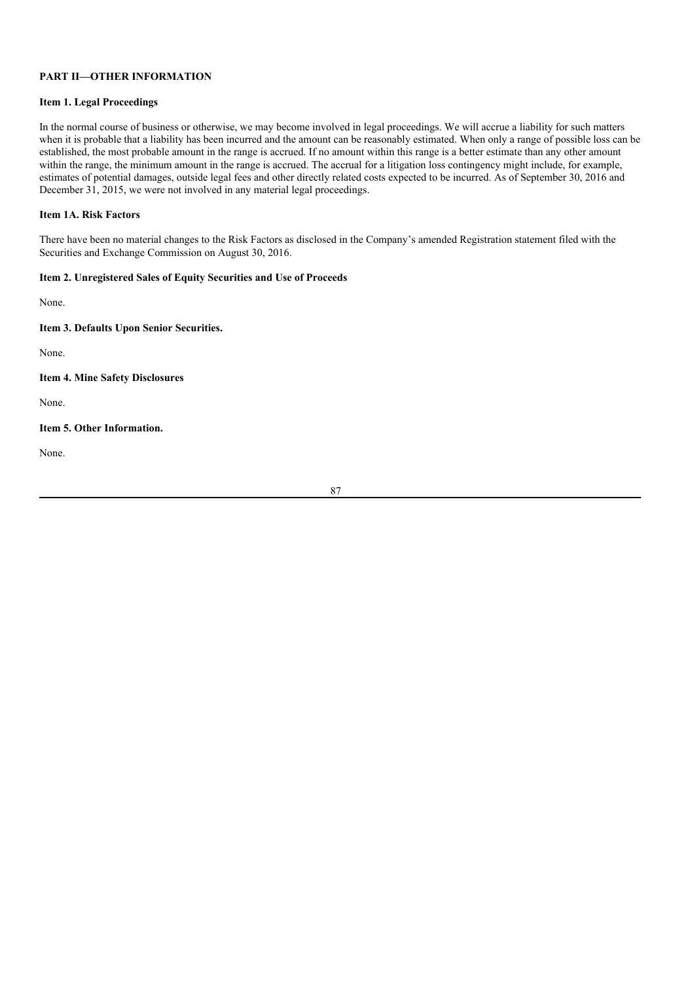# **PART II—OTHER INFORMATION**

## **Item 1. Legal Proceedings**

In the normal course of business or otherwise, we may become involved in legal proceedings. We will accrue a liability for such matters when it is probable that a liability has been incurred and the amount can be reasonably estimated. When only a range of possible loss can be established, the most probable amount in the range is accrued. If no amount within this range is a better estimate than any other amount within the range, the minimum amount in the range is accrued. The accrual for a litigation loss contingency might include, for example, estimates of potential damages, outside legal fees and other directly related costs expected to be incurred. As of September 30, 2016 and December 31, 2015, we were not involved in any material legal proceedings.

### **Item 1A. Risk Factors**

There have been no material changes to the Risk Factors as disclosed in the Company's amended Registration statement filed with the Securities and Exchange Commission on August 30, 2016.

#### **Item 2. Unregistered Sales of Equity Securities and Use of Proceeds**

None.

**Item 3. Defaults Upon Senior Securities.**

None.

**Item 4. Mine Safety Disclosures**

None.

# **Item 5. Other Information.**

None.

87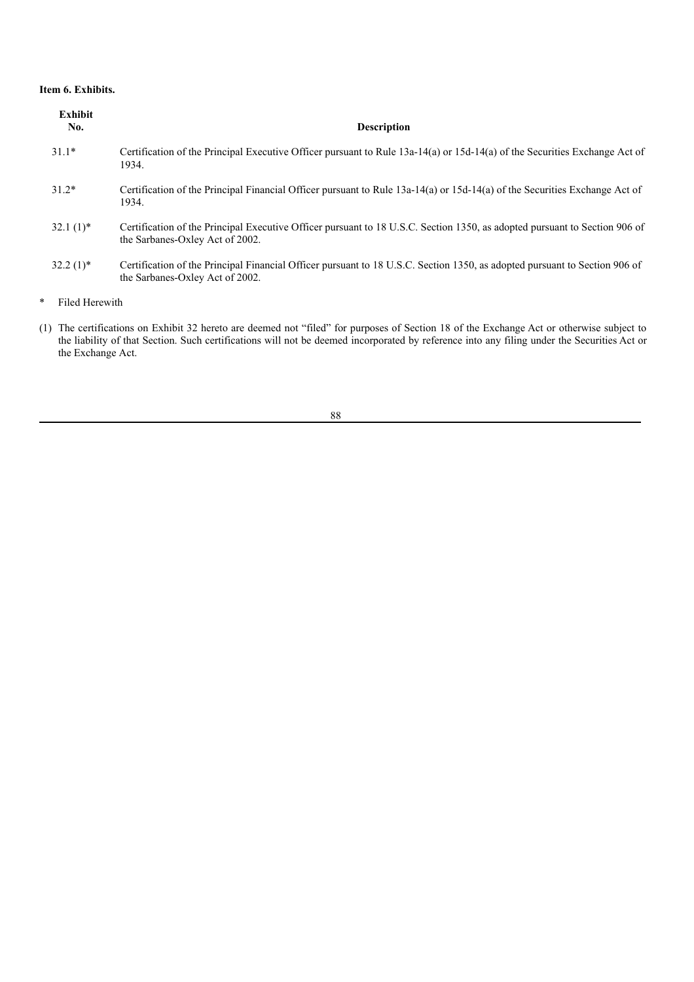## **Item 6. Exhibits.**

| Exhibit<br>No.      | <b>Description</b>                                                                                                                                            |
|---------------------|---------------------------------------------------------------------------------------------------------------------------------------------------------------|
| $31.1*$             | Certification of the Principal Executive Officer pursuant to Rule $13a-14(a)$ or $15d-14(a)$ of the Securities Exchange Act of<br>1934.                       |
| $31.2*$             | Certification of the Principal Financial Officer pursuant to Rule 13a-14(a) or 15d-14(a) of the Securities Exchange Act of<br>1934.                           |
| $32.1(1)^*$         | Certification of the Principal Executive Officer pursuant to 18 U.S.C. Section 1350, as adopted pursuant to Section 906 of<br>the Sarbanes-Oxley Act of 2002. |
| $32.2(1)$ *         | Certification of the Principal Financial Officer pursuant to 18 U.S.C. Section 1350, as adopted pursuant to Section 906 of<br>the Sarbanes-Oxley Act of 2002. |
| *<br>Filed Herewith |                                                                                                                                                               |

(1) The certifications on Exhibit 32 hereto are deemed not "filed" for purposes of Section 18 of the Exchange Act or otherwise subject to the liability of that Section. Such certifications will not be deemed incorporated by reference into any filing under the Securities Act or the Exchange Act.

88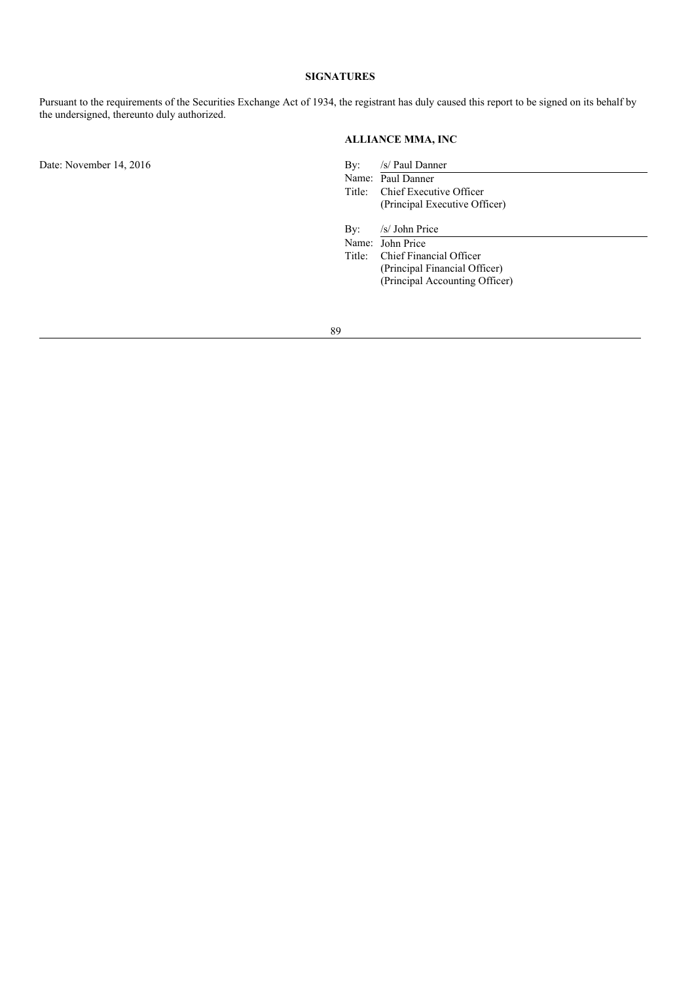# **SIGNATURES**

Pursuant to the requirements of the Securities Exchange Act of 1934, the registrant has duly caused this report to be signed on its behalf by the undersigned, thereunto duly authorized.

# **ALLIANCE MMA, INC**

Date: November 14, 2016 By: By: *Paul Date:* November 14, 2016

| /s/ Paul Danner<br>Зy: |
|------------------------|
|------------------------|

Name: Paul Danner<br>Title: Chief Execut Chief Executive Officer (Principal Executive Officer)

By: /s/ John Price

Name: John Price

Title: Chief Financial Officer (Principal Financial Officer) (Principal Accounting Officer)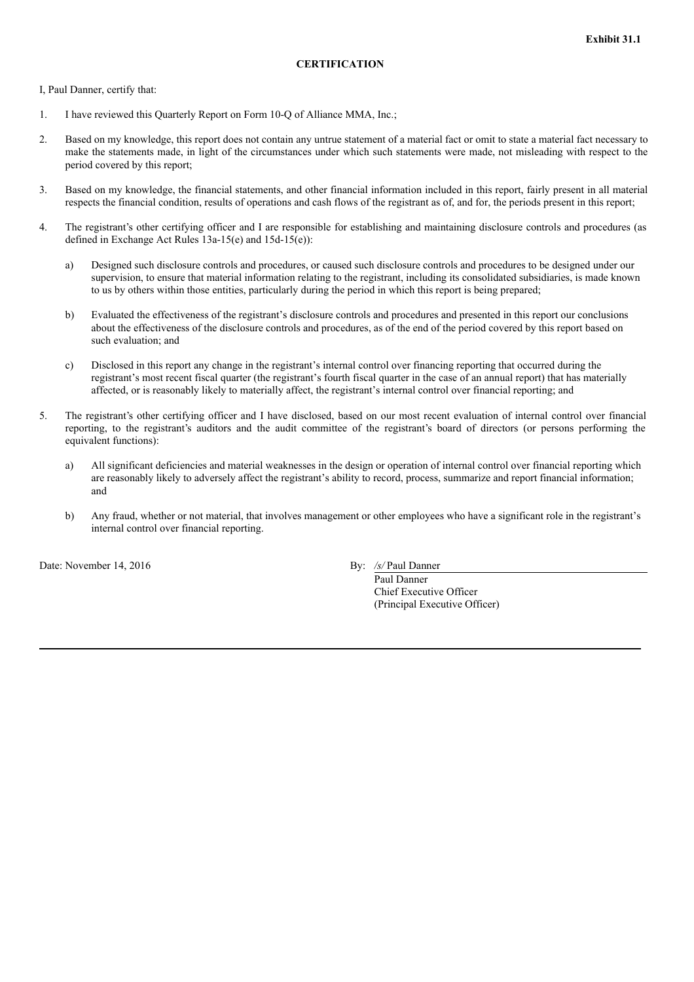### **CERTIFICATION**

I, Paul Danner, certify that:

- 1. I have reviewed this Quarterly Report on Form 10-Q of Alliance MMA, Inc.;
- 2. Based on my knowledge, this report does not contain any untrue statement of a material fact or omit to state a material fact necessary to make the statements made, in light of the circumstances under which such statements were made, not misleading with respect to the period covered by this report;
- 3. Based on my knowledge, the financial statements, and other financial information included in this report, fairly present in all material respects the financial condition, results of operations and cash flows of the registrant as of, and for, the periods present in this report;
- 4. The registrant's other certifying officer and I are responsible for establishing and maintaining disclosure controls and procedures (as defined in Exchange Act Rules 13a-15(e) and 15d-15(e)):
	- a) Designed such disclosure controls and procedures, or caused such disclosure controls and procedures to be designed under our supervision, to ensure that material information relating to the registrant, including its consolidated subsidiaries, is made known to us by others within those entities, particularly during the period in which this report is being prepared;
	- b) Evaluated the effectiveness of the registrant's disclosure controls and procedures and presented in this report our conclusions about the effectiveness of the disclosure controls and procedures, as of the end of the period covered by this report based on such evaluation; and
	- c) Disclosed in this report any change in the registrant's internal control over financing reporting that occurred during the registrant's most recent fiscal quarter (the registrant's fourth fiscal quarter in the case of an annual report) that has materially affected, or is reasonably likely to materially affect, the registrant's internal control over financial reporting; and
- 5. The registrant's other certifying officer and I have disclosed, based on our most recent evaluation of internal control over financial reporting, to the registrant's auditors and the audit committee of the registrant's board of directors (or persons performing the equivalent functions):
	- a) All significant deficiencies and material weaknesses in the design or operation of internal control over financial reporting which are reasonably likely to adversely affect the registrant's ability to record, process, summarize and report financial information; and
	- b) Any fraud, whether or not material, that involves management or other employees who have a significant role in the registrant's internal control over financial reporting.

Date: November 14, 2016 By: /s/Paul Danner

Paul Danner Chief Executive Officer (Principal Executive Officer)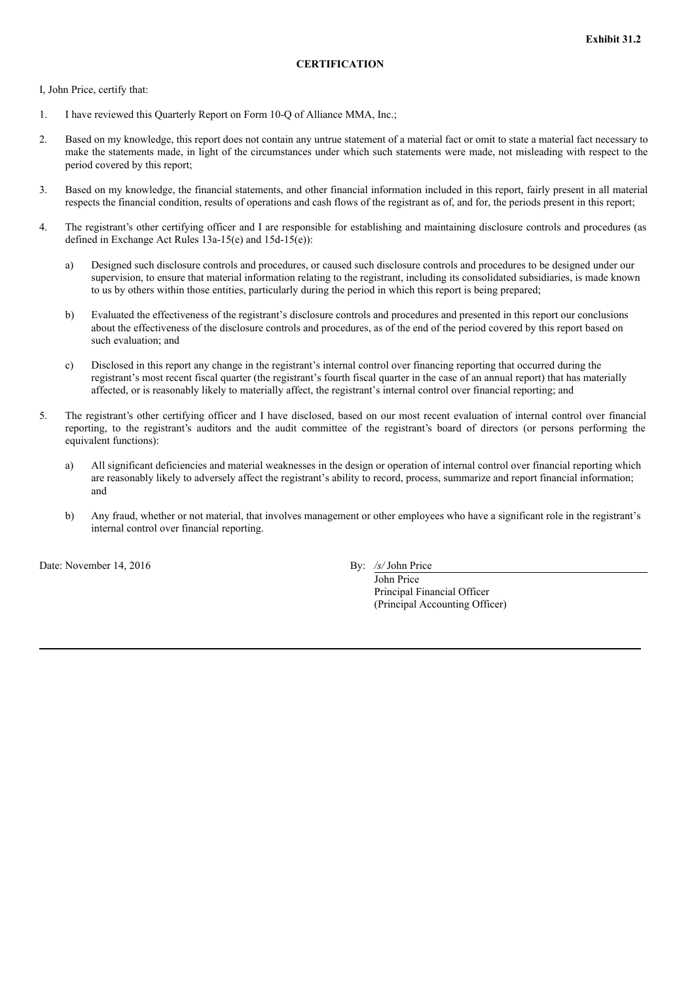### **CERTIFICATION**

I, John Price, certify that:

- 1. I have reviewed this Quarterly Report on Form 10-Q of Alliance MMA, Inc.;
- 2. Based on my knowledge, this report does not contain any untrue statement of a material fact or omit to state a material fact necessary to make the statements made, in light of the circumstances under which such statements were made, not misleading with respect to the period covered by this report;
- 3. Based on my knowledge, the financial statements, and other financial information included in this report, fairly present in all material respects the financial condition, results of operations and cash flows of the registrant as of, and for, the periods present in this report;
- 4. The registrant's other certifying officer and I are responsible for establishing and maintaining disclosure controls and procedures (as defined in Exchange Act Rules 13a-15(e) and 15d-15(e)):
	- a) Designed such disclosure controls and procedures, or caused such disclosure controls and procedures to be designed under our supervision, to ensure that material information relating to the registrant, including its consolidated subsidiaries, is made known to us by others within those entities, particularly during the period in which this report is being prepared;
	- b) Evaluated the effectiveness of the registrant's disclosure controls and procedures and presented in this report our conclusions about the effectiveness of the disclosure controls and procedures, as of the end of the period covered by this report based on such evaluation; and
	- c) Disclosed in this report any change in the registrant's internal control over financing reporting that occurred during the registrant's most recent fiscal quarter (the registrant's fourth fiscal quarter in the case of an annual report) that has materially affected, or is reasonably likely to materially affect, the registrant's internal control over financial reporting; and
- 5. The registrant's other certifying officer and I have disclosed, based on our most recent evaluation of internal control over financial reporting, to the registrant's auditors and the audit committee of the registrant's board of directors (or persons performing the equivalent functions):
	- a) All significant deficiencies and material weaknesses in the design or operation of internal control over financial reporting which are reasonably likely to adversely affect the registrant's ability to record, process, summarize and report financial information; and
	- b) Any fraud, whether or not material, that involves management or other employees who have a significant role in the registrant's internal control over financial reporting.

Date: November 14, 2016 By: /s/John Price

John Price Principal Financial Officer (Principal Accounting Officer)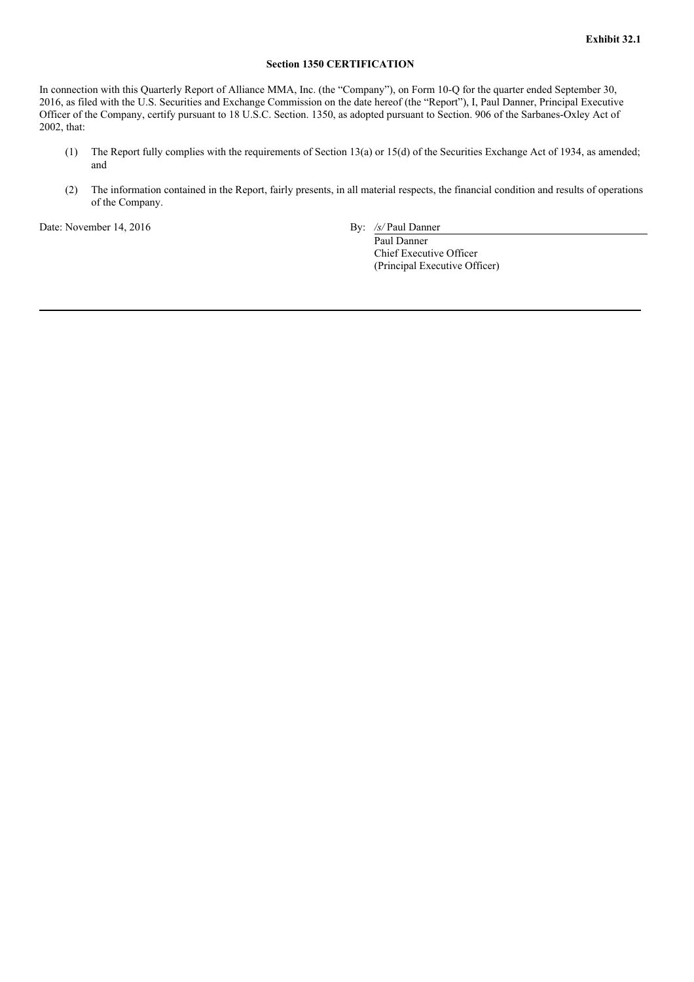### **Section 1350 CERTIFICATION**

In connection with this Quarterly Report of Alliance MMA, Inc. (the "Company"), on Form 10-Q for the quarter ended September 30, 2016, as filed with the U.S. Securities and Exchange Commission on the date hereof (the "Report"), I, Paul Danner, Principal Executive Officer of the Company, certify pursuant to 18 U.S.C. Section. 1350, as adopted pursuant to Section. 906 of the Sarbanes-Oxley Act of 2002, that:

- (1) The Report fully complies with the requirements of Section 13(a) or 15(d) of the Securities Exchange Act of 1934, as amended; and
- (2) The information contained in the Report, fairly presents, in all material respects, the financial condition and results of operations of the Company.

Date: November 14, 2016 By: /s/Paul Danner

Paul Danner Chief Executive Officer (Principal Executive Officer)